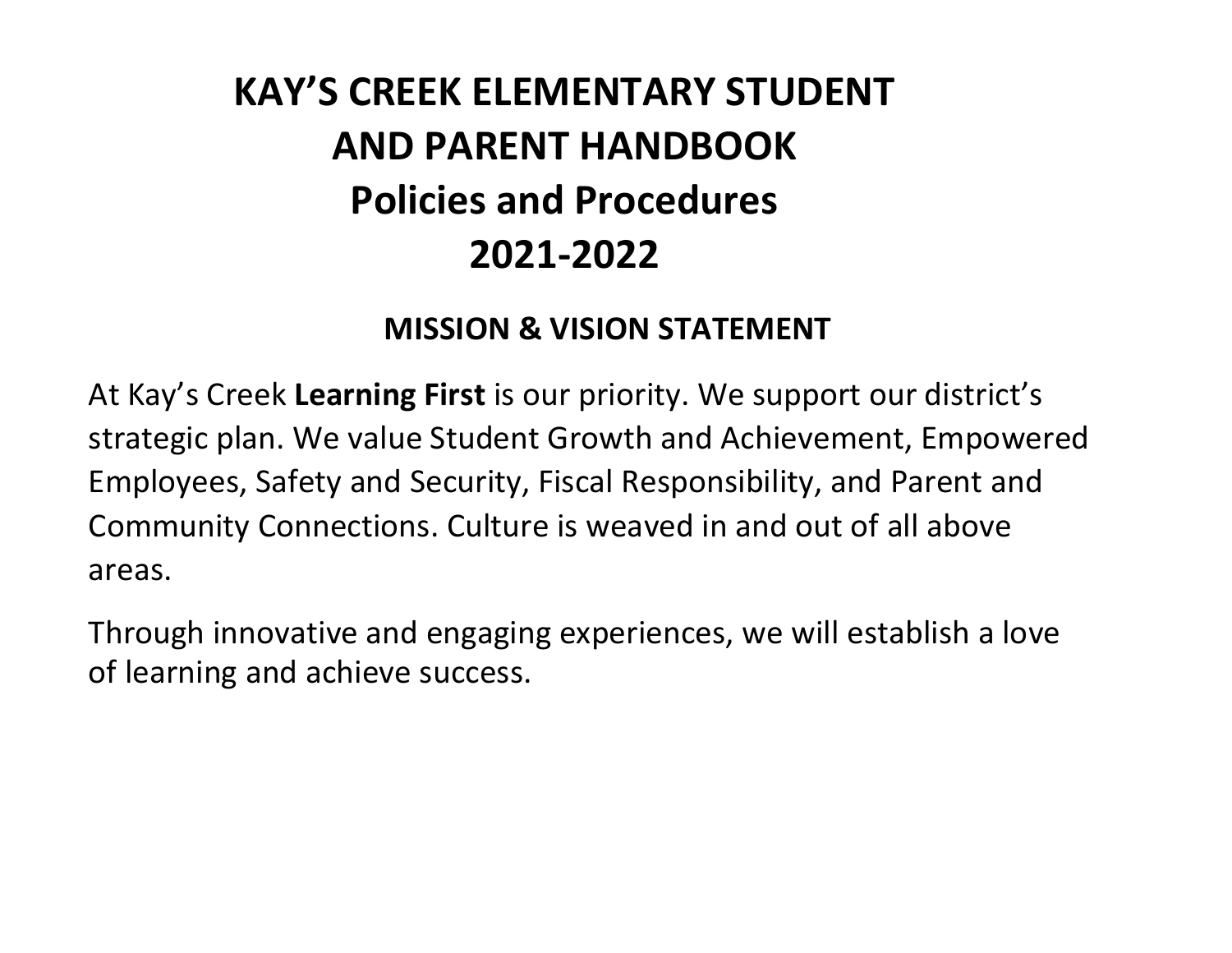# **KAY'S CREEK ELEMENTARY STUDENT AND PARENT HANDBOOK Policies and Procedures 2021-2022**

#### **MISSION & VISION STATEMENT**

At Kay's Creek **Learning First** is our priority. We support our district's strategic plan. We value Student Growth and Achievement, Empowered Employees, Safety and Security, Fiscal Responsibility, and Parent and Community Connections. Culture is weaved in and out of all above areas.

Through innovative and engaging experiences, we will establish a love of learning and achieve success.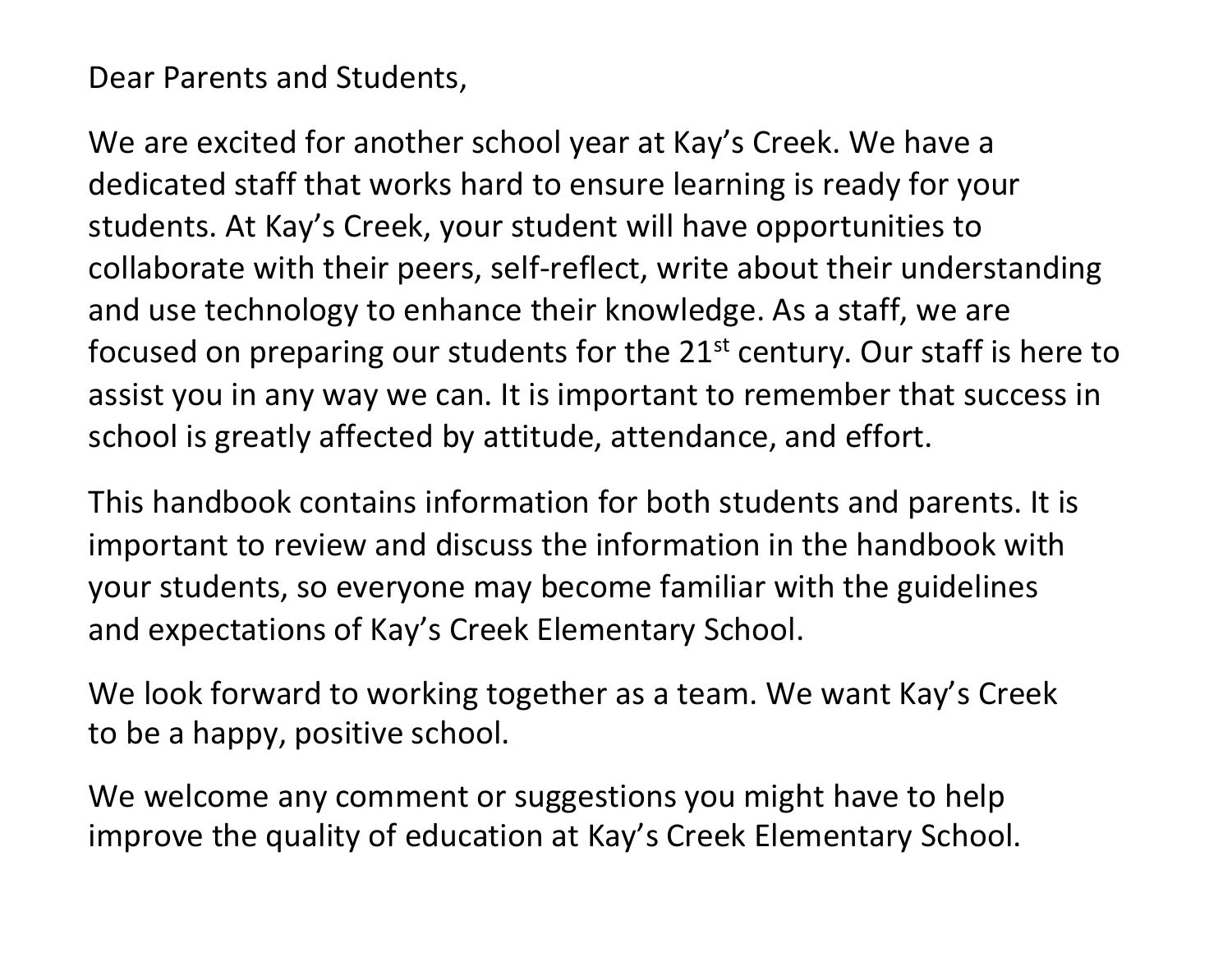Dear Parents and Students,

We are excited for another school year at Kay's Creek. We have a dedicated staff that works hard to ensure learning is ready for your students. At Kay's Creek, your student will have opportunities to collaborate with their peers, self-reflect, write about their understanding and use technology to enhance their knowledge. As a staff, we are focused on preparing our students for the  $21<sup>st</sup>$  century. Our staff is here to assist you in any way we can. It is important to remember that success in school is greatly affected by attitude, attendance, and effort.

This handbook contains information for both students and parents. It is important to review and discuss the information in the handbook with your students, so everyone may become familiar with the guidelines and expectations of Kay's Creek Elementary School.

We look forward to working together as a team. We want Kay's Creek to be a happy, positive school.

We welcome any comment or suggestions you might have to help improve the quality of education at Kay's Creek Elementary School.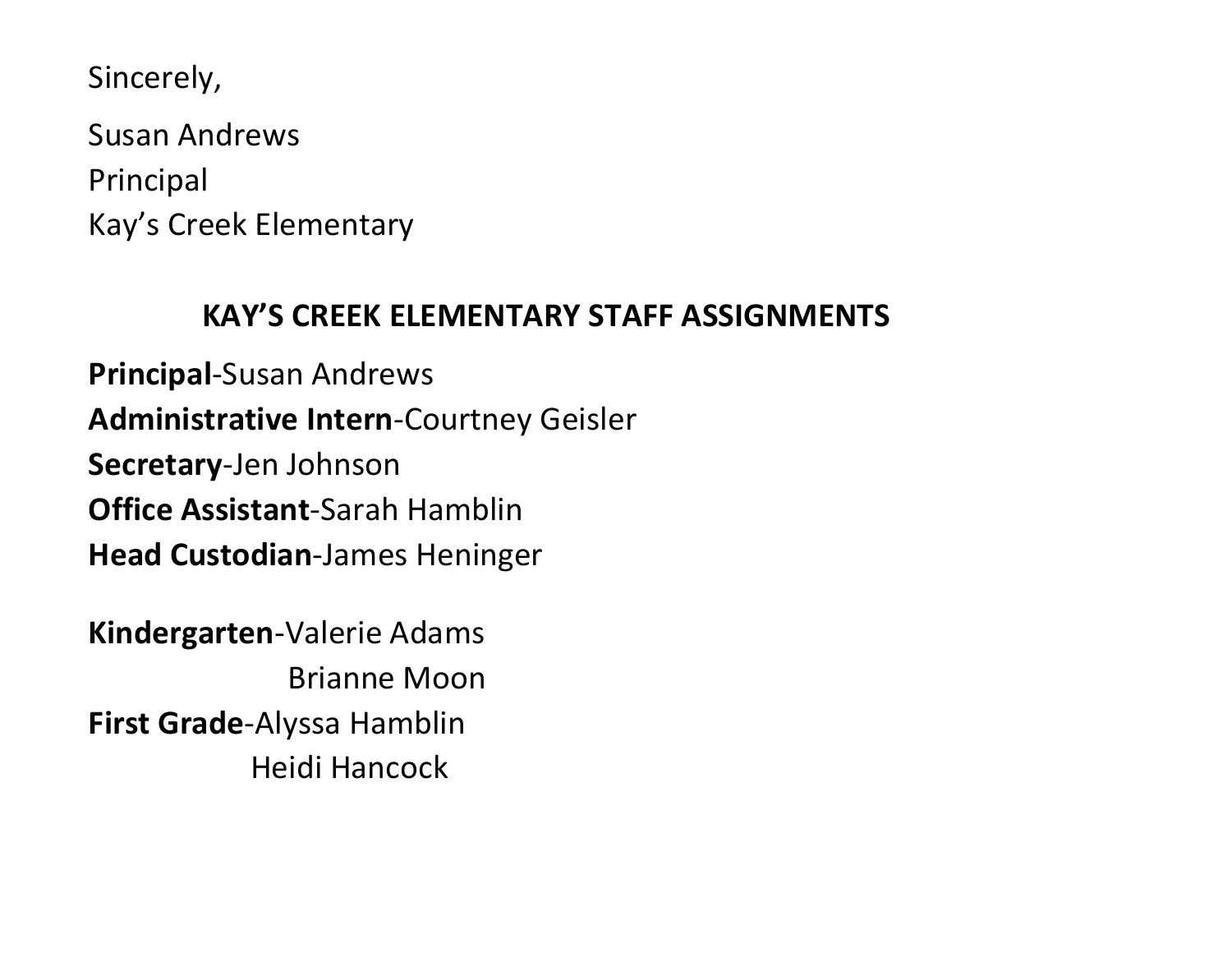Sincerely,

Susan Andrews Principal Kay's Creek Elementary

#### **KAY'S CREEK ELEMENTARY STAFF ASSIGNMENTS**

**Principal**-Susan Andrews **Administrative Intern**-Courtney Geisler **Secretary**-Jen Johnson **Office Assistant**-Sarah Hamblin **Head Custodian**-James Heninger

**Kindergarten**-Valerie Adams Brianne Moon **First Grade**-Alyssa Hamblin Heidi Hancock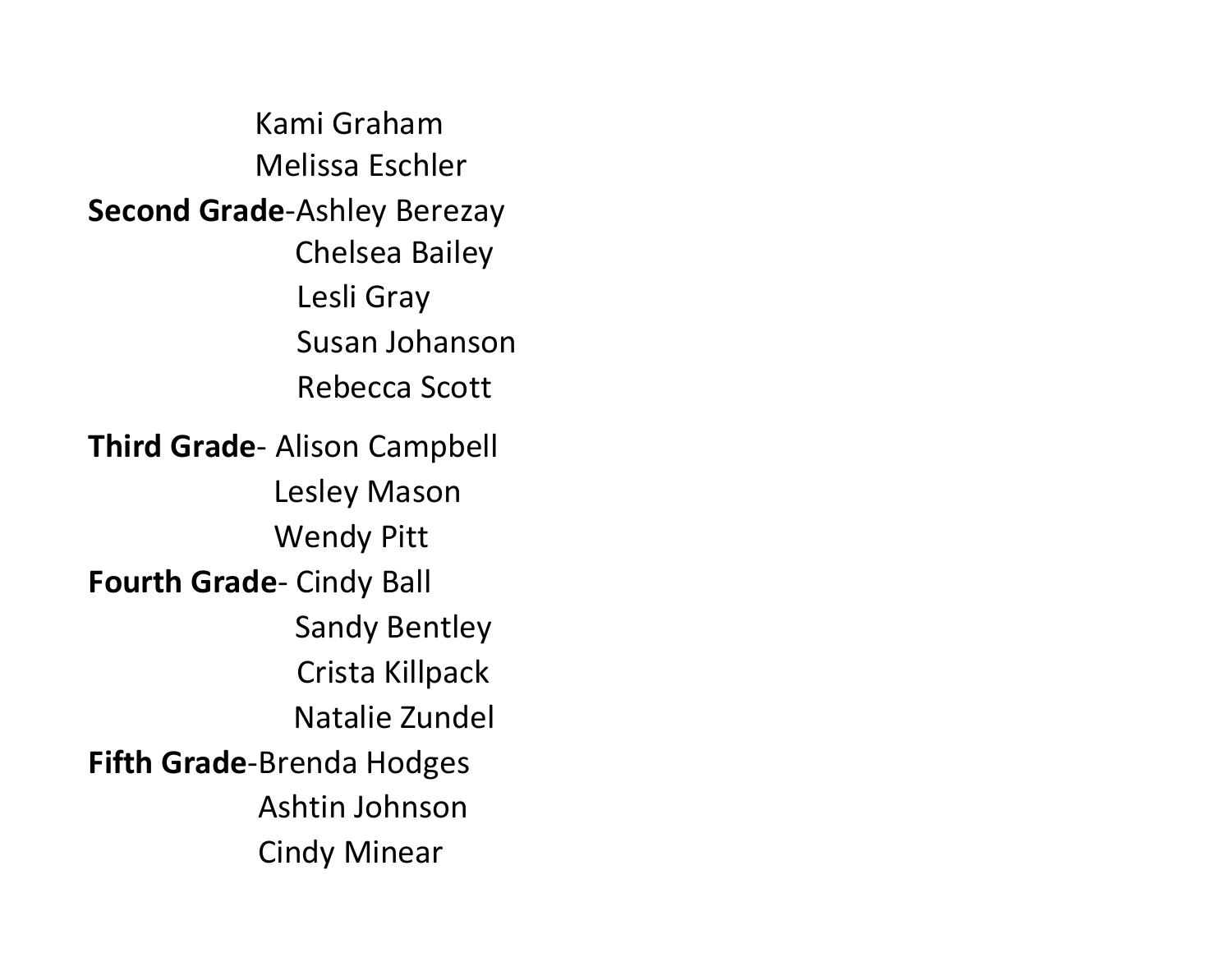Kami Graham Melissa Eschler **Second Grade**-Ashley Berezay Chelsea Bailey Lesli Gray Susan Johanson Rebecca Scott **Third Grade**- Alison Campbell Lesley Mason Wendy Pitt **Fourth Grade**- Cindy Ball Sandy Bentley Crista Killpack Natalie Zundel **Fifth Grade**-Brenda Hodges Ashtin Johnson Cindy Minear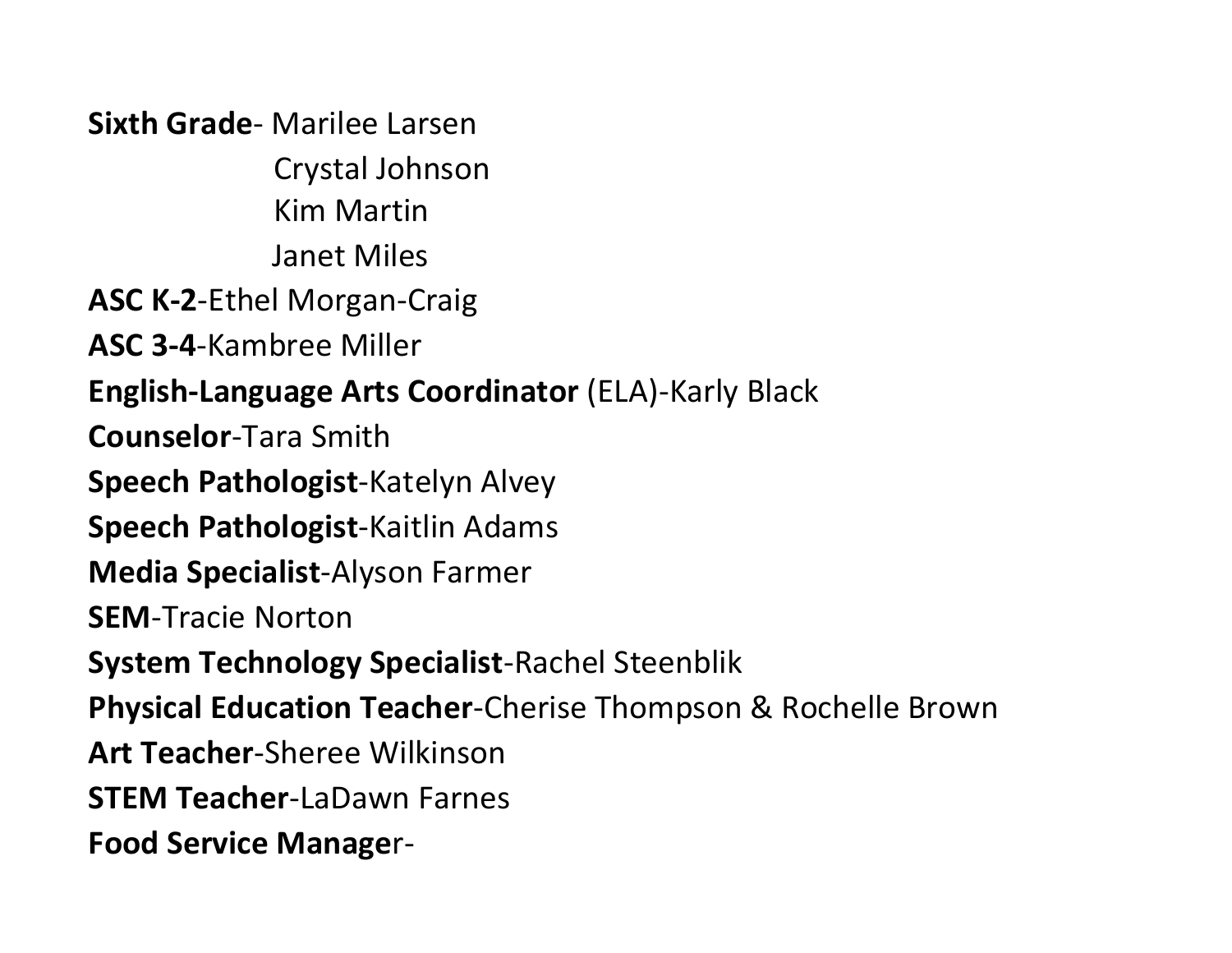**Sixth Grade**- Marilee Larsen Crystal Johnson Kim Martin Janet Miles **ASC K-2**-Ethel Morgan-Craig **ASC 3-4**-Kambree Miller **English-Language Arts Coordinator** (ELA)-Karly Black **Counselor**-Tara Smith **Speech Pathologist**-Katelyn Alvey **Speech Pathologist**-Kaitlin Adams **Media Specialist**-Alyson Farmer **SEM**-Tracie Norton **System Technology Specialist**-Rachel Steenblik **Physical Education Teacher**-Cherise Thompson & Rochelle Brown **Art Teacher**-Sheree Wilkinson **STEM Teacher**-LaDawn Farnes **Food Service Manage**r-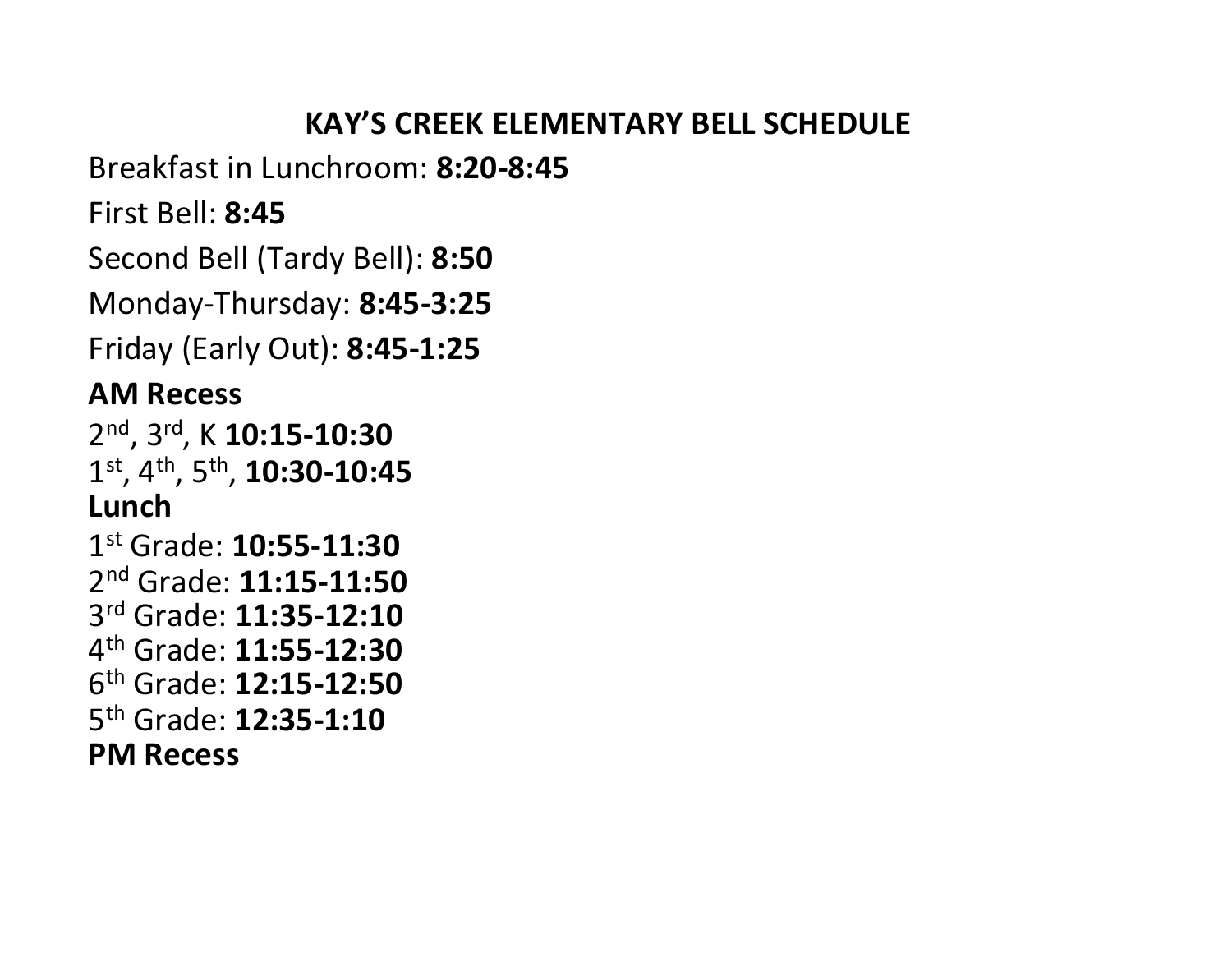#### **KAY'S CREEK ELEMENTARY BELL SCHEDULE**

Breakfast in Lunchroom: **8:20-8:45**

First Bell: **8:45**

Second Bell (Tardy Bell): **8:50**

Monday-Thursday: **8:45-3:25**

Friday (Early Out): **8:45-1:25**

### **AM Recess**

2 nd, 3rd, K **10:15-10:30** 1 st, 4th, 5th , **10:30-10:45 Lunch**

 st Grade: **10:55-11:30** nd Grade: **11:15-11:50** rd Grade: **11:35-12:10** th Grade: **11:55-12:30** th Grade: **12:15-12:50** th Grade: **12:35-1:10 PM Recess**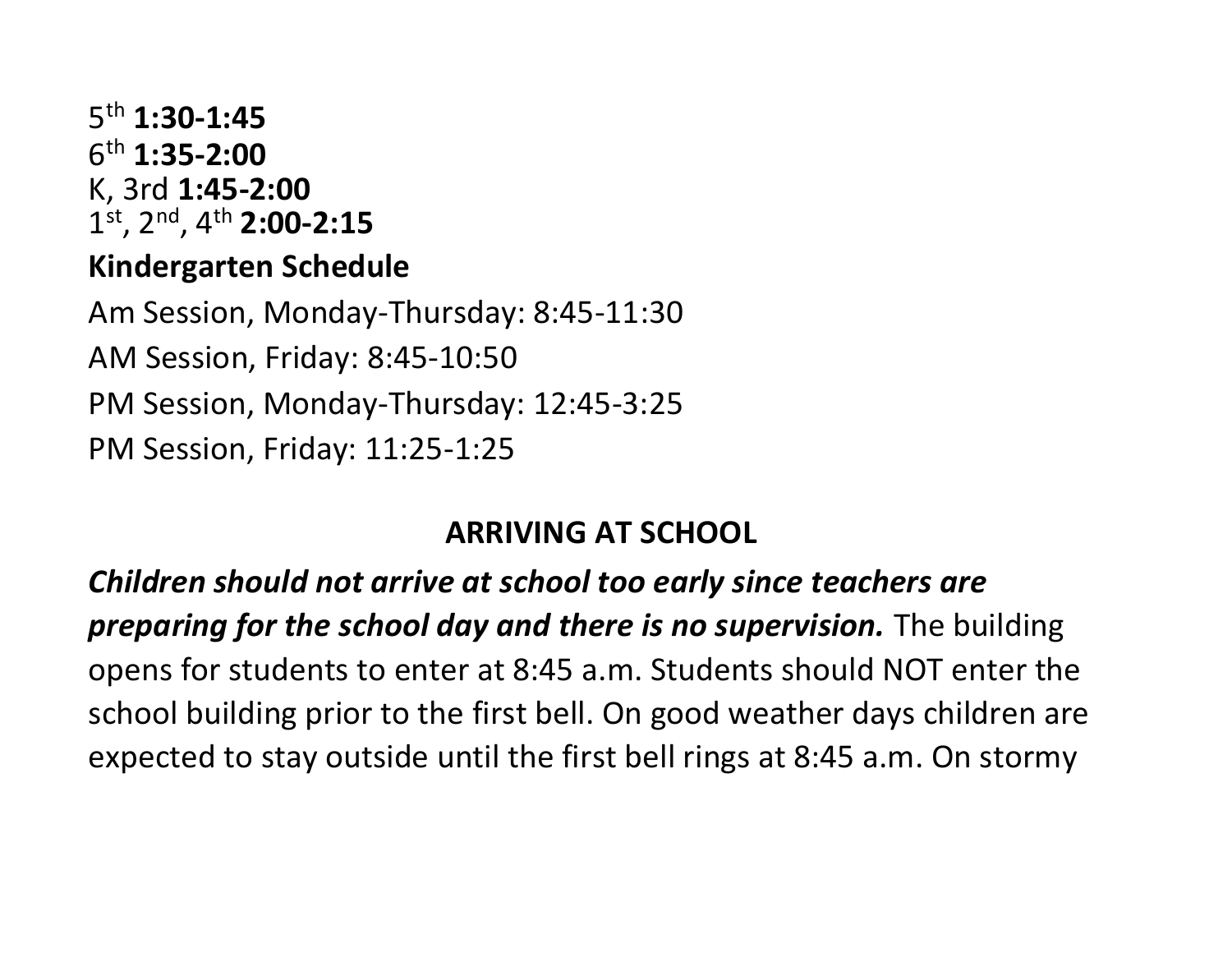#### 5 th **1:30-1:45** 6 th **1:35-2:00** K, 3rd **1:45-2:00** 1 st, 2nd, 4th **2:00-2:15**

#### **Kindergarten Schedule**

Am Session, Monday-Thursday: 8:45-11:30 AM Session, Friday: 8:45-10:50 PM Session, Monday-Thursday: 12:45-3:25 PM Session, Friday: 11:25-1:25

#### **ARRIVING AT SCHOOL**

*Children should not arrive at school too early since teachers are preparing for the school day and there is no supervision.* The building opens for students to enter at 8:45 a.m. Students should NOT enter the school building prior to the first bell. On good weather days children are expected to stay outside until the first bell rings at 8:45 a.m. On stormy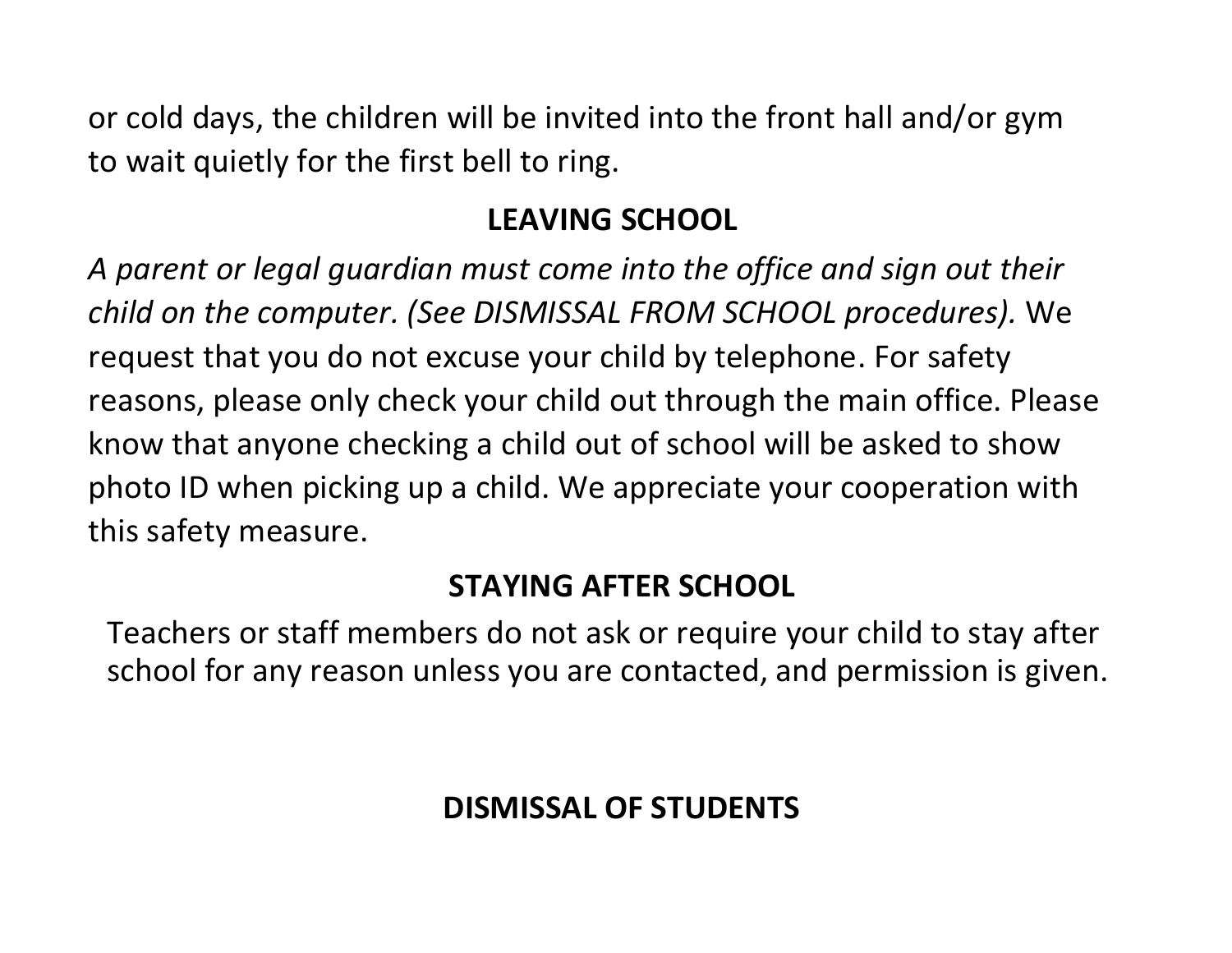or cold days, the children will be invited into the front hall and/or gym to wait quietly for the first bell to ring.

### **LEAVING SCHOOL**

*A parent or legal guardian must come into the office and sign out their child on the computer. (See DISMISSAL FROM SCHOOL procedures).* We request that you do not excuse your child by telephone. For safety reasons, please only check your child out through the main office. Please know that anyone checking a child out of school will be asked to show photo ID when picking up a child. We appreciate your cooperation with this safety measure.

#### **STAYING AFTER SCHOOL**

Teachers or staff members do not ask or require your child to stay after school for any reason unless you are contacted, and permission is given.

# **DISMISSAL OF STUDENTS**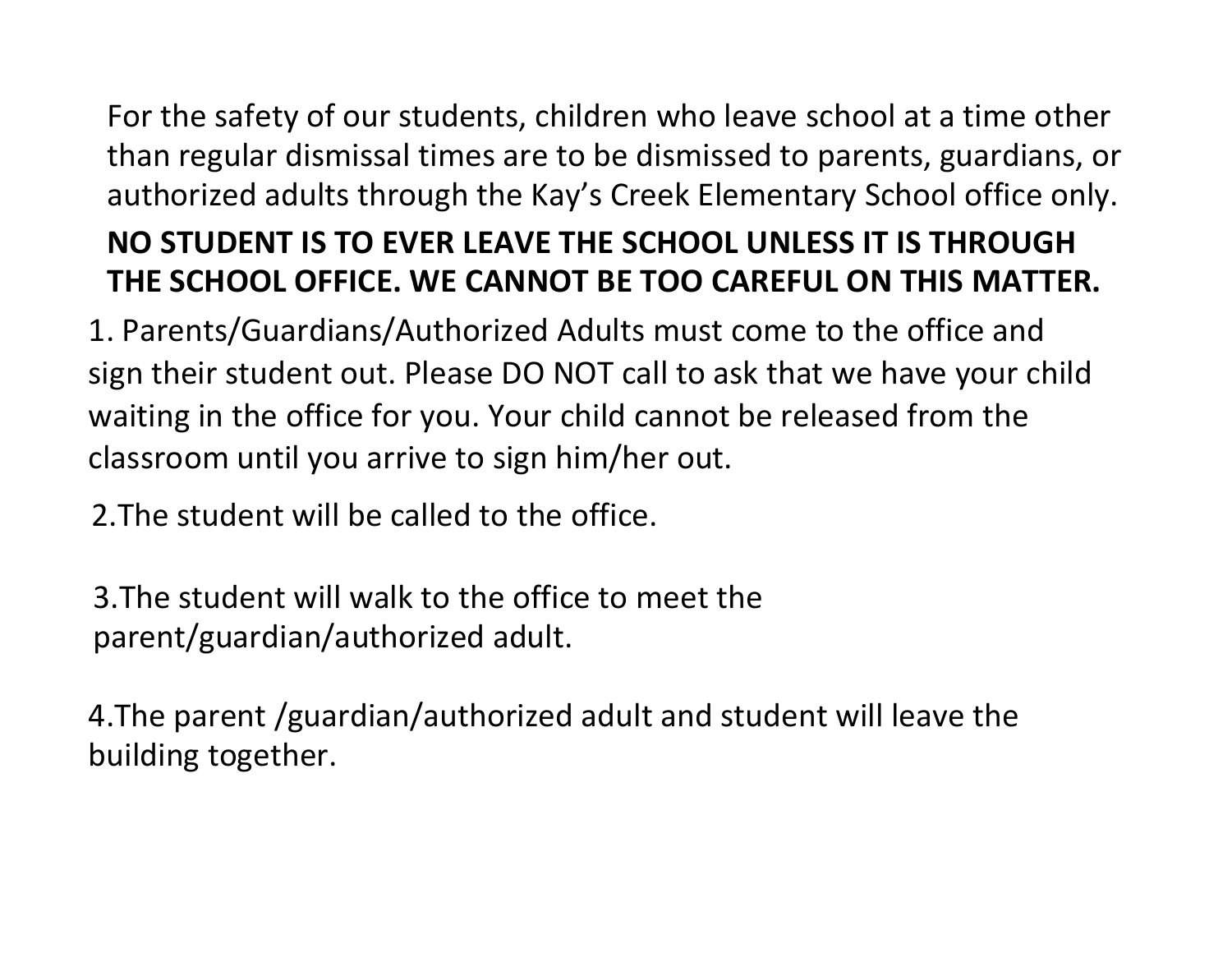# For the safety of our students, children who leave school at a time other than regular dismissal times are to be dismissed to parents, guardians, or authorized adults through the Kay's Creek Elementary School office only. **NO STUDENT IS TO EVER LEAVE THE SCHOOL UNLESS IT IS THROUGH**

# **THE SCHOOL OFFICE. WE CANNOT BE TOO CAREFUL ON THIS MATTER.**

1. Parents/Guardians/Authorized Adults must come to the office and sign their student out. Please DO NOT call to ask that we have your child waiting in the office for you. Your child cannot be released from the classroom until you arrive to sign him/her out.

2.The student will be called to the office.

3.The student will walk to the office to meet the parent/guardian/authorized adult.

4.The parent /guardian/authorized adult and student will leave the building together.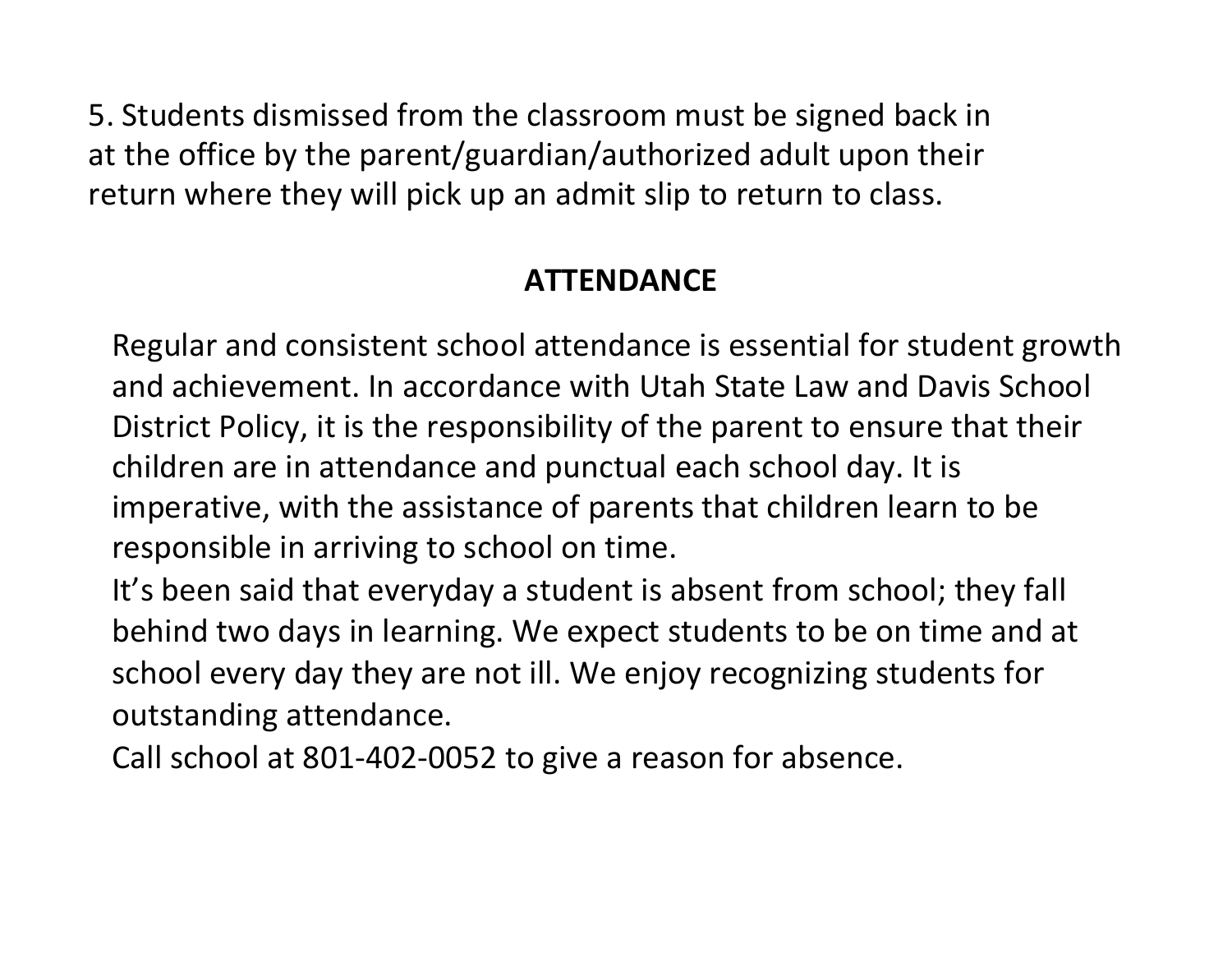5. Students dismissed from the classroom must be signed back in at the office by the parent/guardian/authorized adult upon their return where they will pick up an admit slip to return to class.

# **ATTENDANCE**

Regular and consistent school attendance is essential for student growth and achievement. In accordance with Utah State Law and Davis School District Policy, it is the responsibility of the parent to ensure that their children are in attendance and punctual each school day. It is imperative, with the assistance of parents that children learn to be responsible in arriving to school on time.

It's been said that everyday a student is absent from school; they fall behind two days in learning. We expect students to be on time and at school every day they are not ill. We enjoy recognizing students for outstanding attendance.

Call school at 801-402-0052 to give a reason for absence.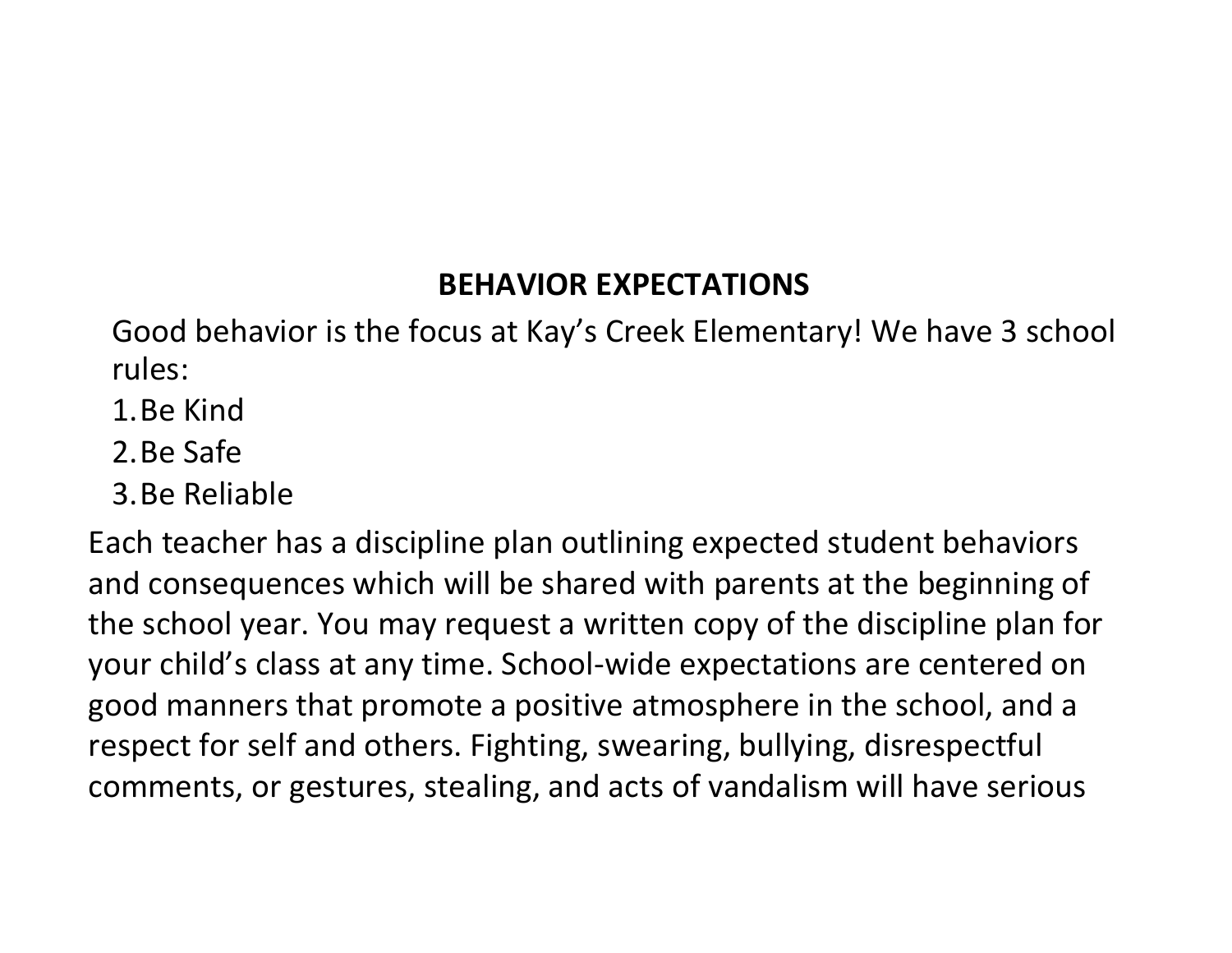#### **BEHAVIOR EXPECTATIONS**

Good behavior is the focus at Kay's Creek Elementary! We have 3 school rules:

- 1.Be Kind
- 2.Be Safe
- 3.Be Reliable

Each teacher has a discipline plan outlining expected student behaviors and consequences which will be shared with parents at the beginning of the school year. You may request a written copy of the discipline plan for your child's class at any time. School-wide expectations are centered on good manners that promote a positive atmosphere in the school, and a respect for self and others. Fighting, swearing, bullying, disrespectful comments, or gestures, stealing, and acts of vandalism will have serious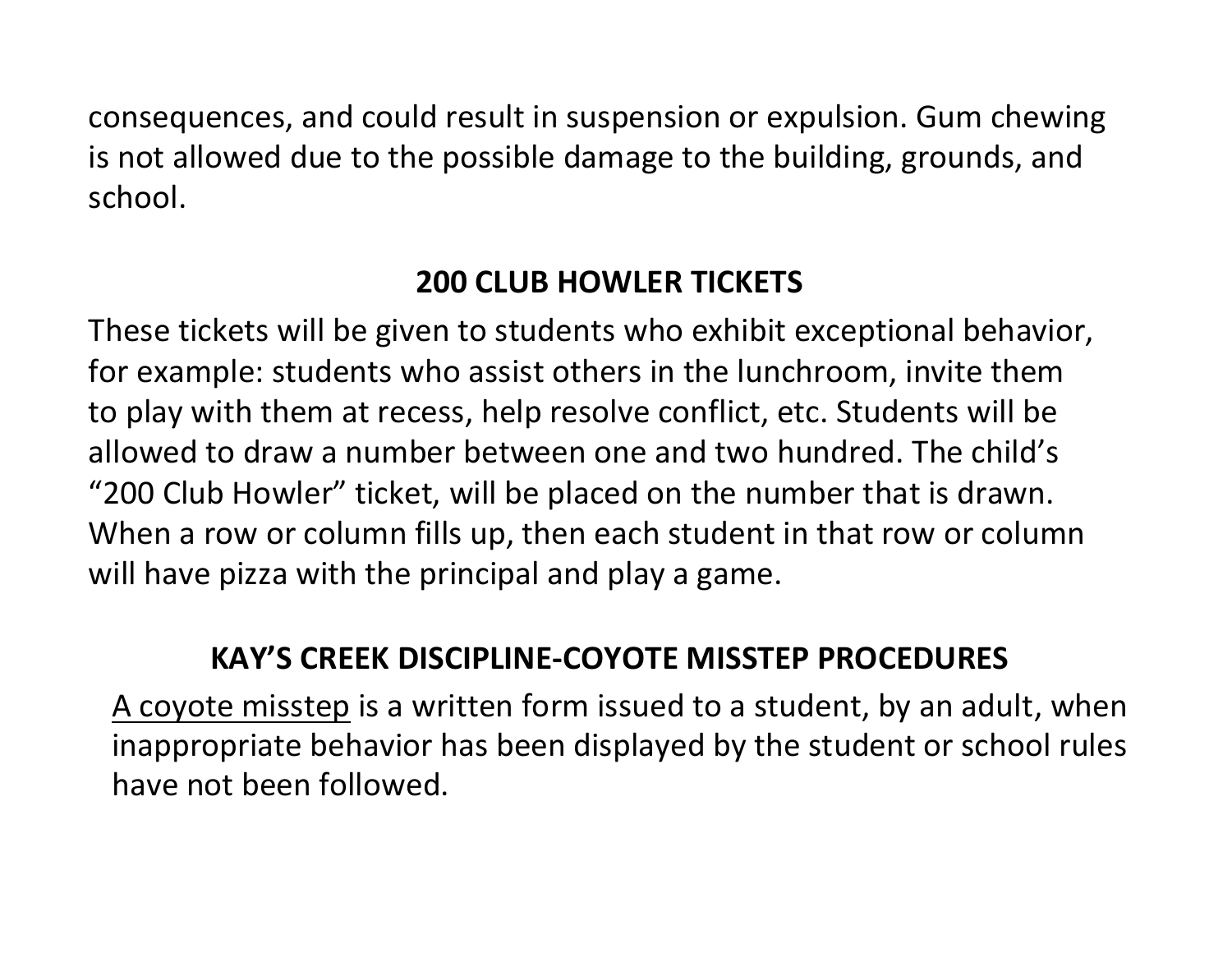consequences, and could result in suspension or expulsion. Gum chewing is not allowed due to the possible damage to the building, grounds, and school.

#### **200 CLUB HOWLER TICKETS**

These tickets will be given to students who exhibit exceptional behavior, for example: students who assist others in the lunchroom, invite them to play with them at recess, help resolve conflict, etc. Students will be allowed to draw a number between one and two hundred. The child's "200 Club Howler" ticket, will be placed on the number that is drawn. When a row or column fills up, then each student in that row or column will have pizza with the principal and play a game.

#### **KAY'S CREEK DISCIPLINE-COYOTE MISSTEP PROCEDURES**

A coyote misstep is a written form issued to a student, by an adult, when inappropriate behavior has been displayed by the student or school rules have not been followed.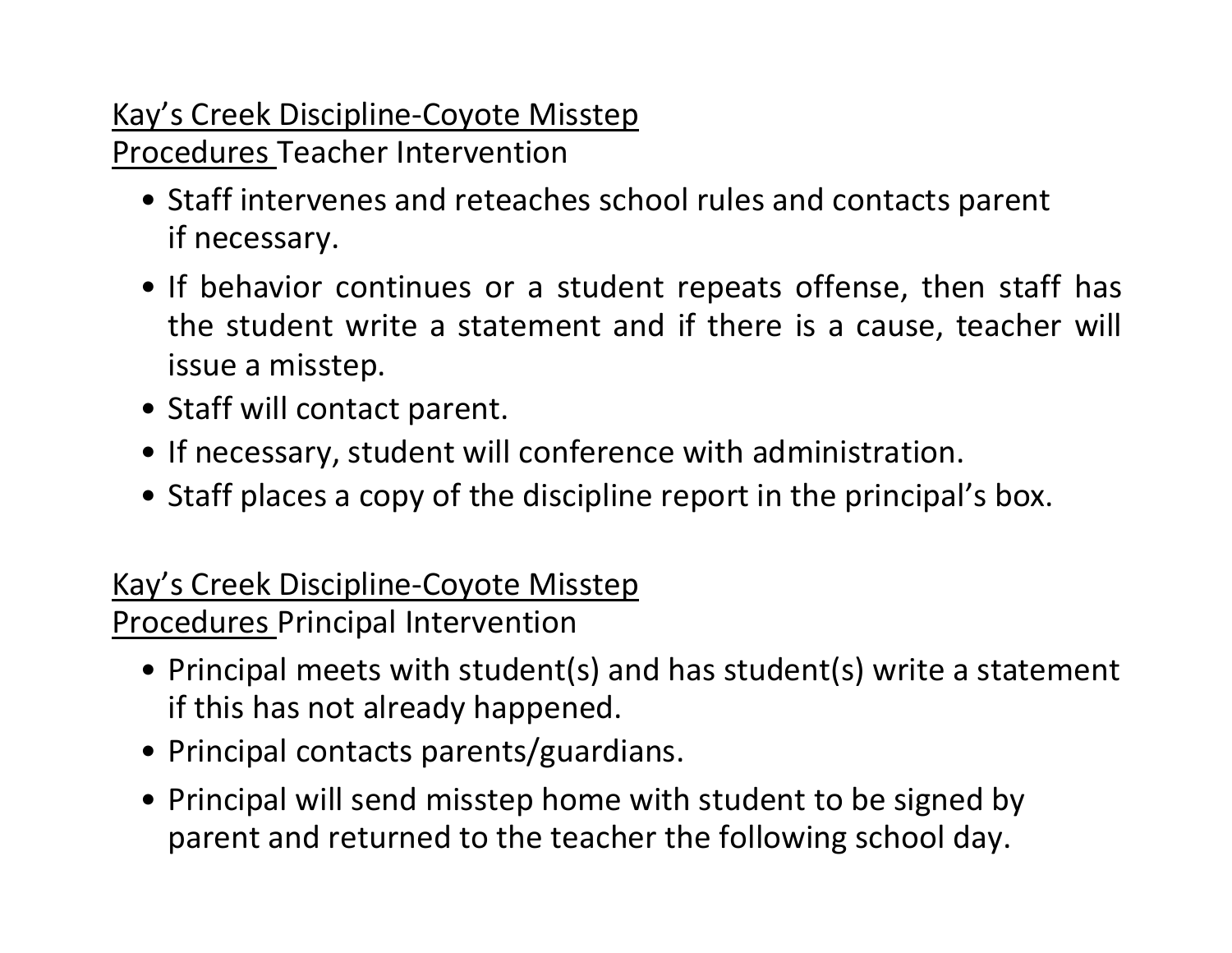# Kay's Creek Discipline-Coyote Misstep

Procedures Teacher Intervention

- Staff intervenes and reteaches school rules and contacts parent if necessary.
- If behavior continues or a student repeats offense, then staff has the student write a statement and if there is a cause, teacher will issue a misstep.
- Staff will contact parent.
- If necessary, student will conference with administration.
- Staff places a copy of the discipline report in the principal's box.

# Kay's Creek Discipline-Coyote Misstep

Procedures Principal Intervention

- Principal meets with student(s) and has student(s) write a statement if this has not already happened.
- Principal contacts parents/guardians.
- Principal will send misstep home with student to be signed by parent and returned to the teacher the following school day.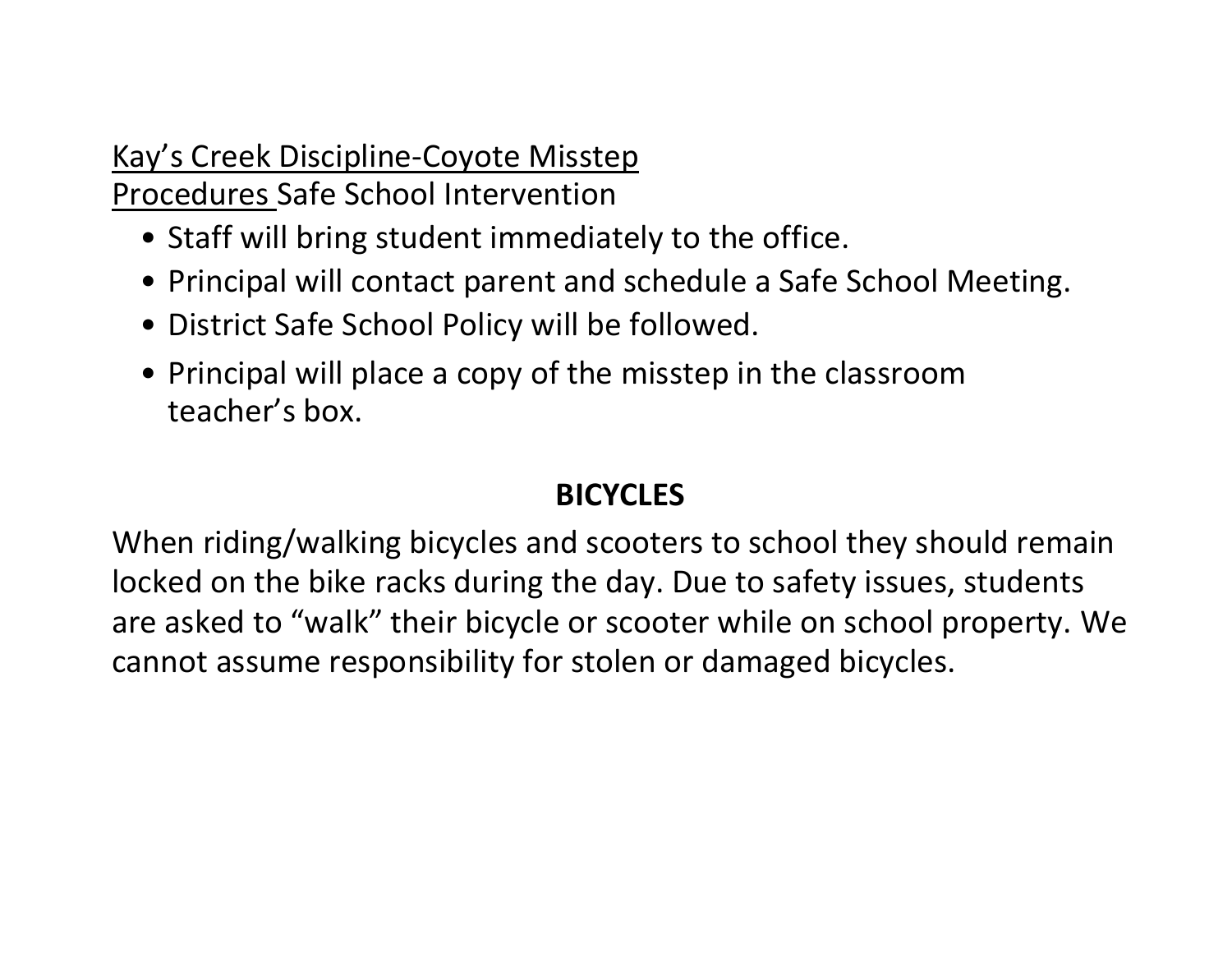### Kay's Creek Discipline-Coyote Misstep Procedures Safe School Intervention

- Staff will bring student immediately to the office.
- Principal will contact parent and schedule a Safe School Meeting.
- District Safe School Policy will be followed.
- Principal will place a copy of the misstep in the classroom teacher's box.

### **BICYCLES**

When riding/walking bicycles and scooters to school they should remain locked on the bike racks during the day. Due to safety issues, students are asked to "walk" their bicycle or scooter while on school property. We cannot assume responsibility for stolen or damaged bicycles.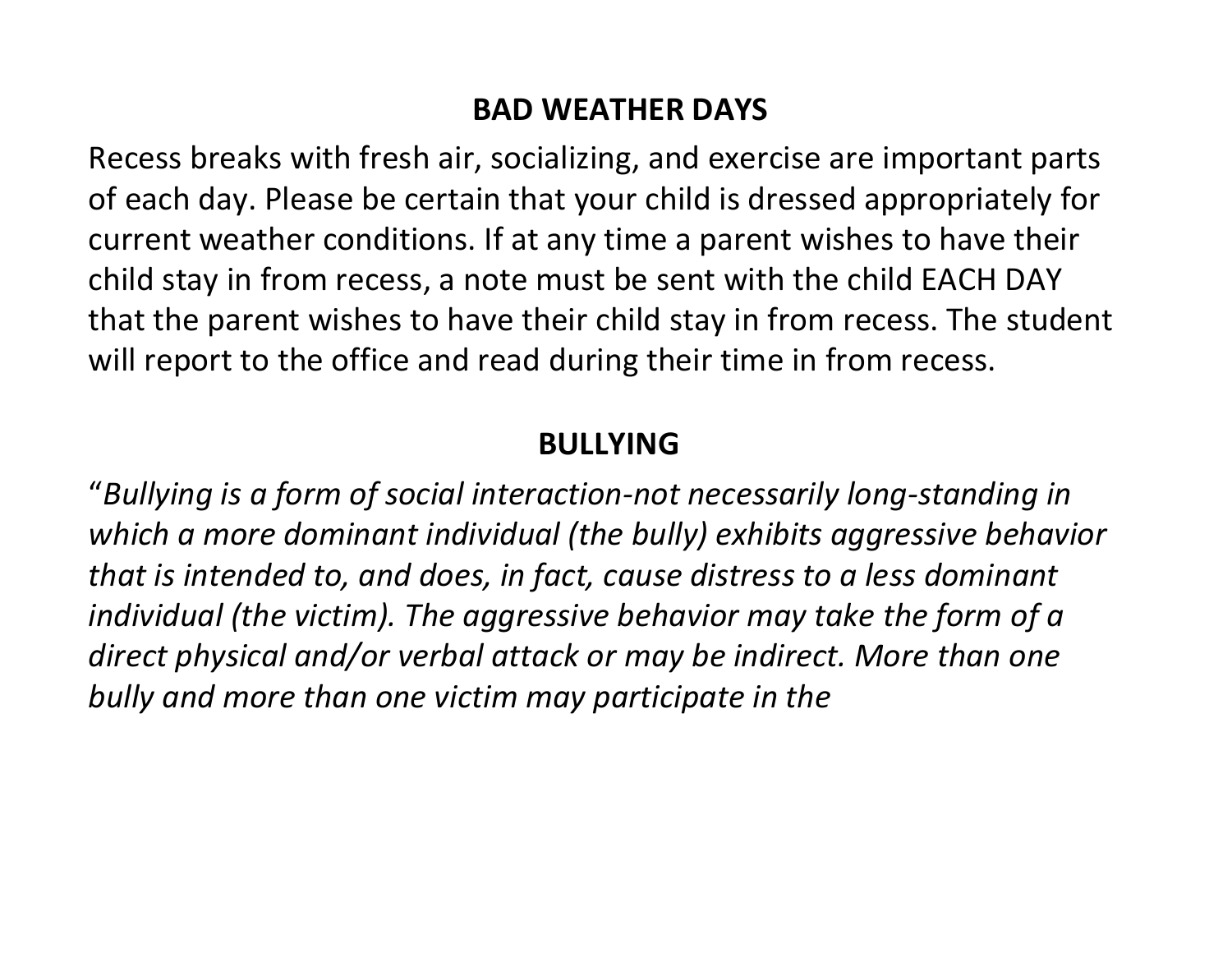#### **BAD WEATHER DAYS**

Recess breaks with fresh air, socializing, and exercise are important parts of each day. Please be certain that your child is dressed appropriately for current weather conditions. If at any time a parent wishes to have their child stay in from recess, a note must be sent with the child EACH DAY that the parent wishes to have their child stay in from recess. The student will report to the office and read during their time in from recess.

#### **BULLYING**

"*Bullying is a form of social interaction-not necessarily long-standing in which a more dominant individual (the bully) exhibits aggressive behavior that is intended to, and does, in fact, cause distress to a less dominant individual (the victim). The aggressive behavior may take the form of a direct physical and/or verbal attack or may be indirect. More than one bully and more than one victim may participate in the*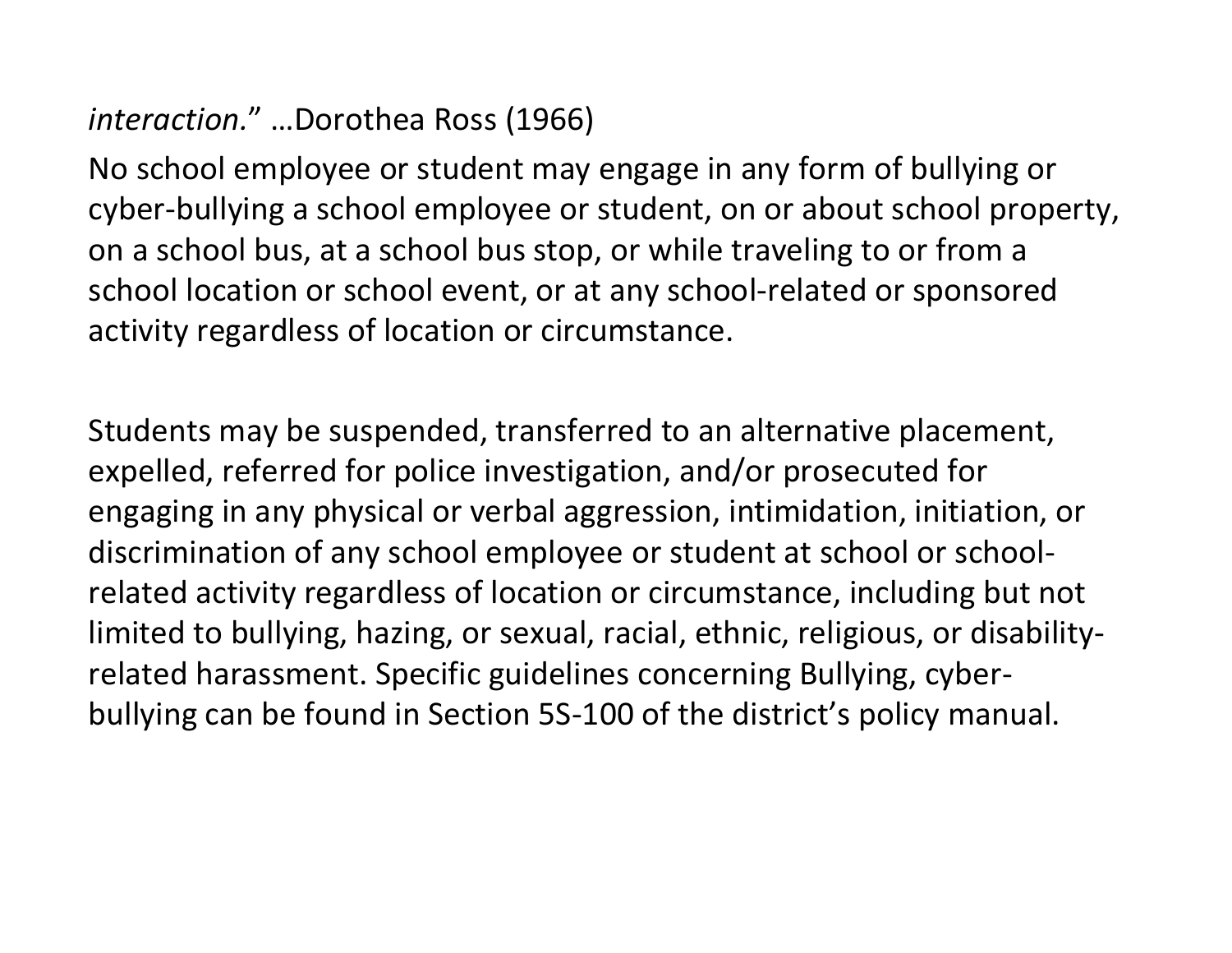# *interaction.*" …Dorothea Ross (1966)

No school employee or student may engage in any form of bullying or cyber-bullying a school employee or student, on or about school property, on a school bus, at a school bus stop, or while traveling to or from a school location or school event, or at any school-related or sponsored activity regardless of location or circumstance.

Students may be suspended, transferred to an alternative placement, expelled, referred for police investigation, and/or prosecuted for engaging in any physical or verbal aggression, intimidation, initiation, or discrimination of any school employee or student at school or schoolrelated activity regardless of location or circumstance, including but not limited to bullying, hazing, or sexual, racial, ethnic, religious, or disabilityrelated harassment. Specific guidelines concerning Bullying, cyberbullying can be found in Section 5S-100 of the district's policy manual.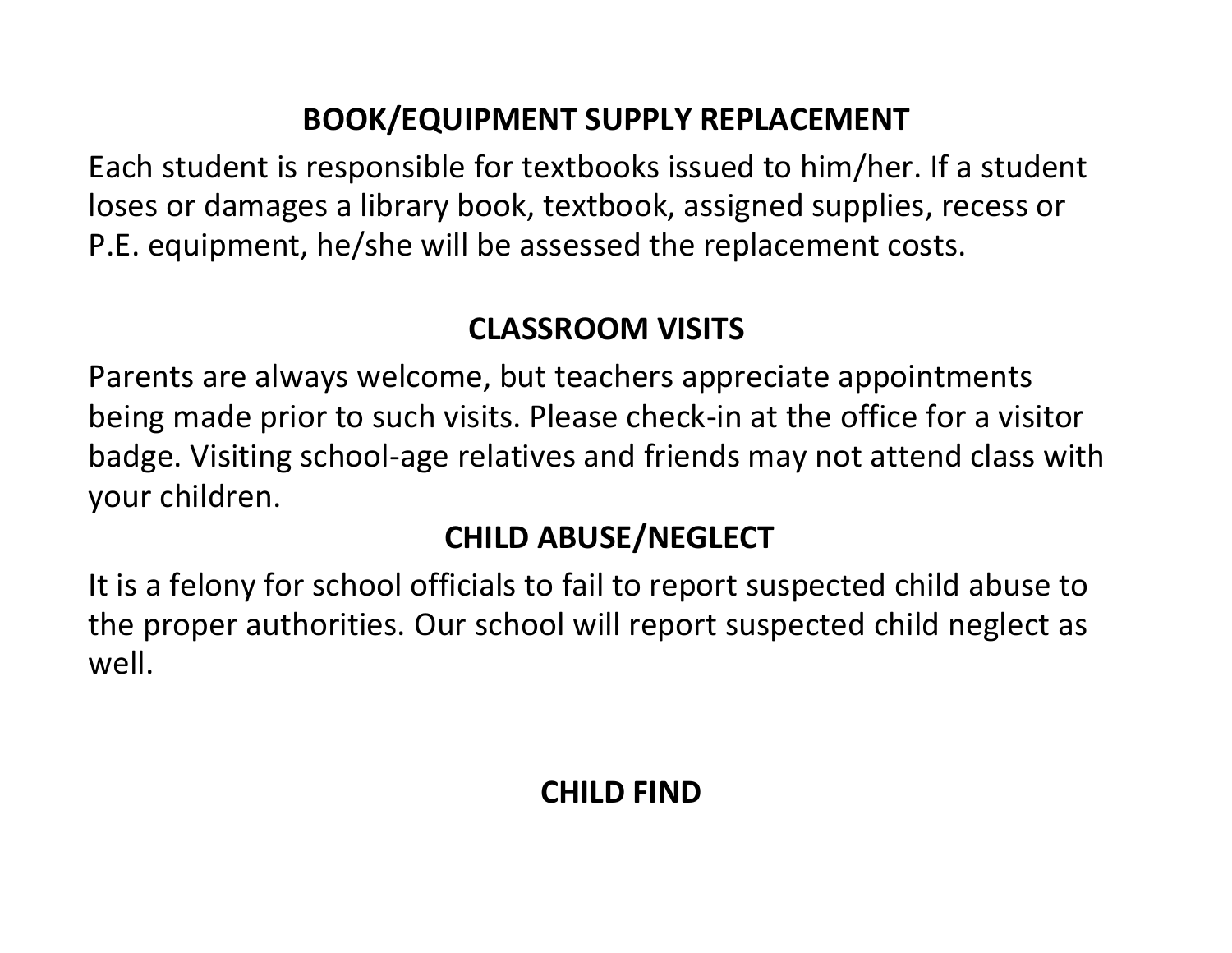### **BOOK/EQUIPMENT SUPPLY REPLACEMENT**

Each student is responsible for textbooks issued to him/her. If a student loses or damages a library book, textbook, assigned supplies, recess or P.E. equipment, he/she will be assessed the replacement costs.

#### **CLASSROOM VISITS**

Parents are always welcome, but teachers appreciate appointments being made prior to such visits. Please check-in at the office for a visitor badge. Visiting school-age relatives and friends may not attend class with your children.

### **CHILD ABUSE/NEGLECT**

It is a felony for school officials to fail to report suspected child abuse to the proper authorities. Our school will report suspected child neglect as well.

# **CHILD FIND**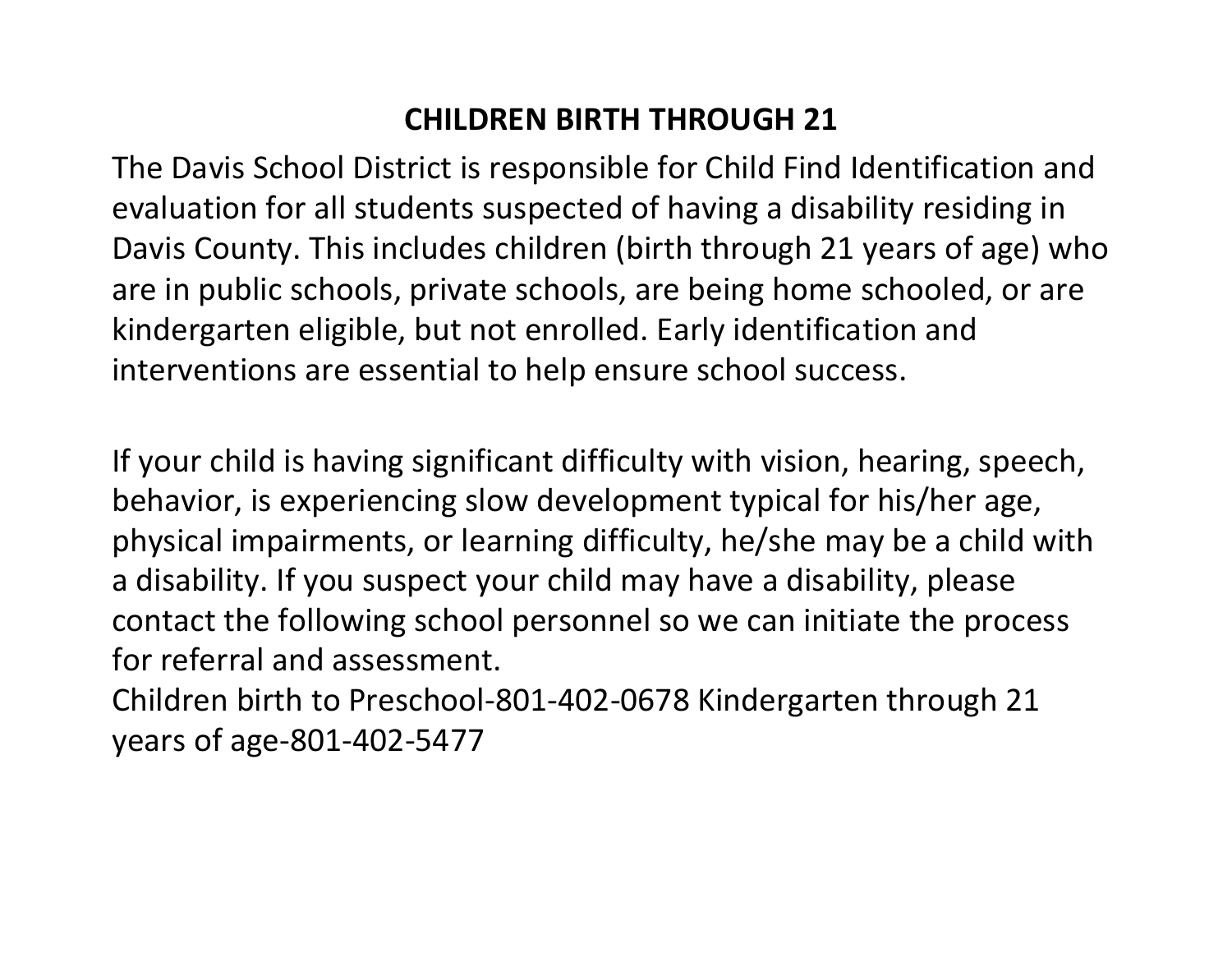### **CHILDREN BIRTH THROUGH 21**

The Davis School District is responsible for Child Find Identification and evaluation for all students suspected of having a disability residing in Davis County. This includes children (birth through 21 years of age) who are in public schools, private schools, are being home schooled, or are kindergarten eligible, but not enrolled. Early identification and interventions are essential to help ensure school success.

If your child is having significant difficulty with vision, hearing, speech, behavior, is experiencing slow development typical for his/her age, physical impairments, or learning difficulty, he/she may be a child with a disability. If you suspect your child may have a disability, please contact the following school personnel so we can initiate the process for referral and assessment.

Children birth to Preschool-801-402-0678 Kindergarten through 21 years of age-801-402-5477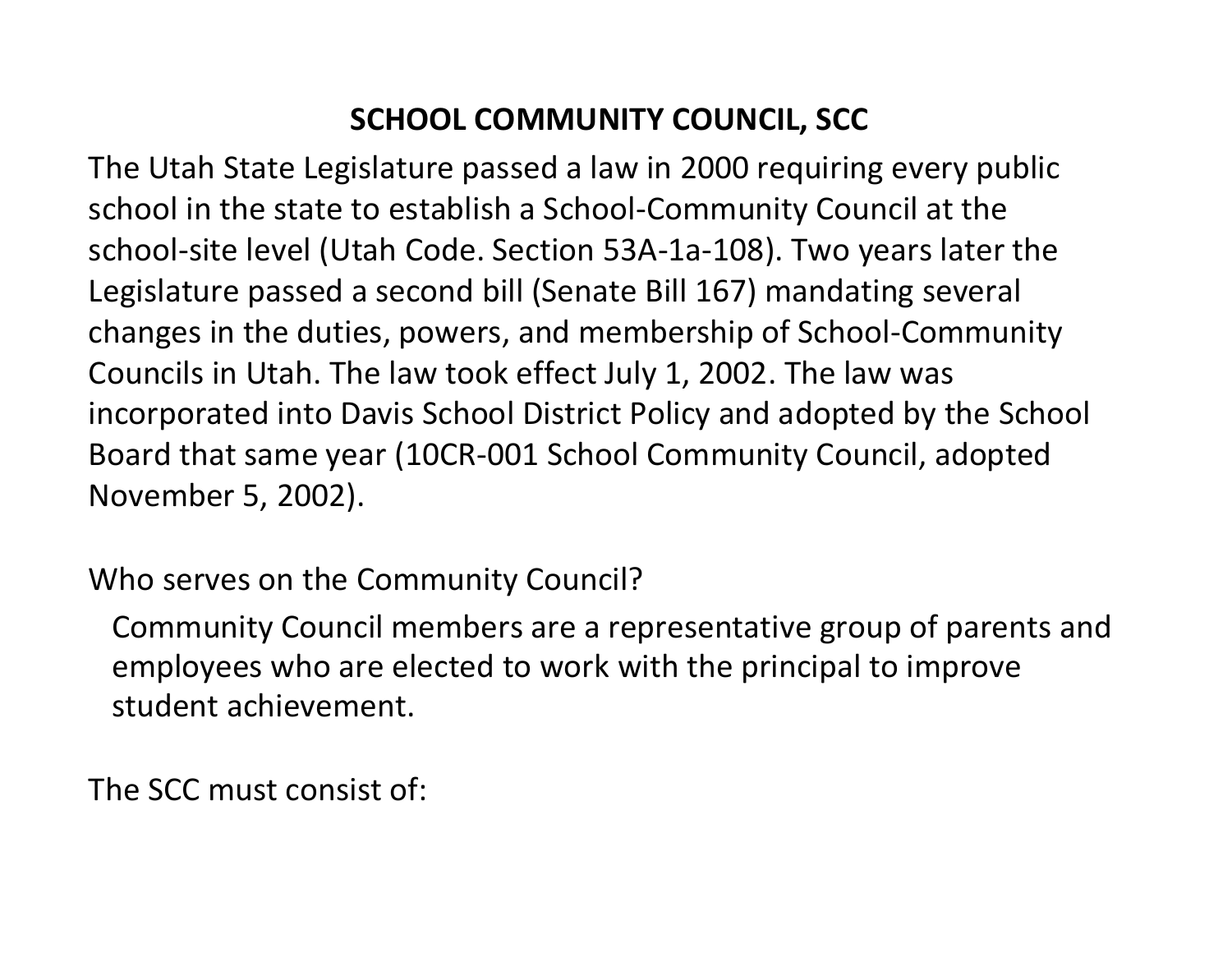### **SCHOOL COMMUNITY COUNCIL, SCC**

The Utah State Legislature passed a law in 2000 requiring every public school in the state to establish a School-Community Council at the school-site level (Utah Code. Section 53A-1a-108). Two years later the Legislature passed a second bill (Senate Bill 167) mandating several changes in the duties, powers, and membership of School-Community Councils in Utah. The law took effect July 1, 2002. The law was incorporated into Davis School District Policy and adopted by the School Board that same year (10CR-001 School Community Council, adopted November 5, 2002).

Who serves on the Community Council?

Community Council members are a representative group of parents and employees who are elected to work with the principal to improve student achievement.

The SCC must consist of: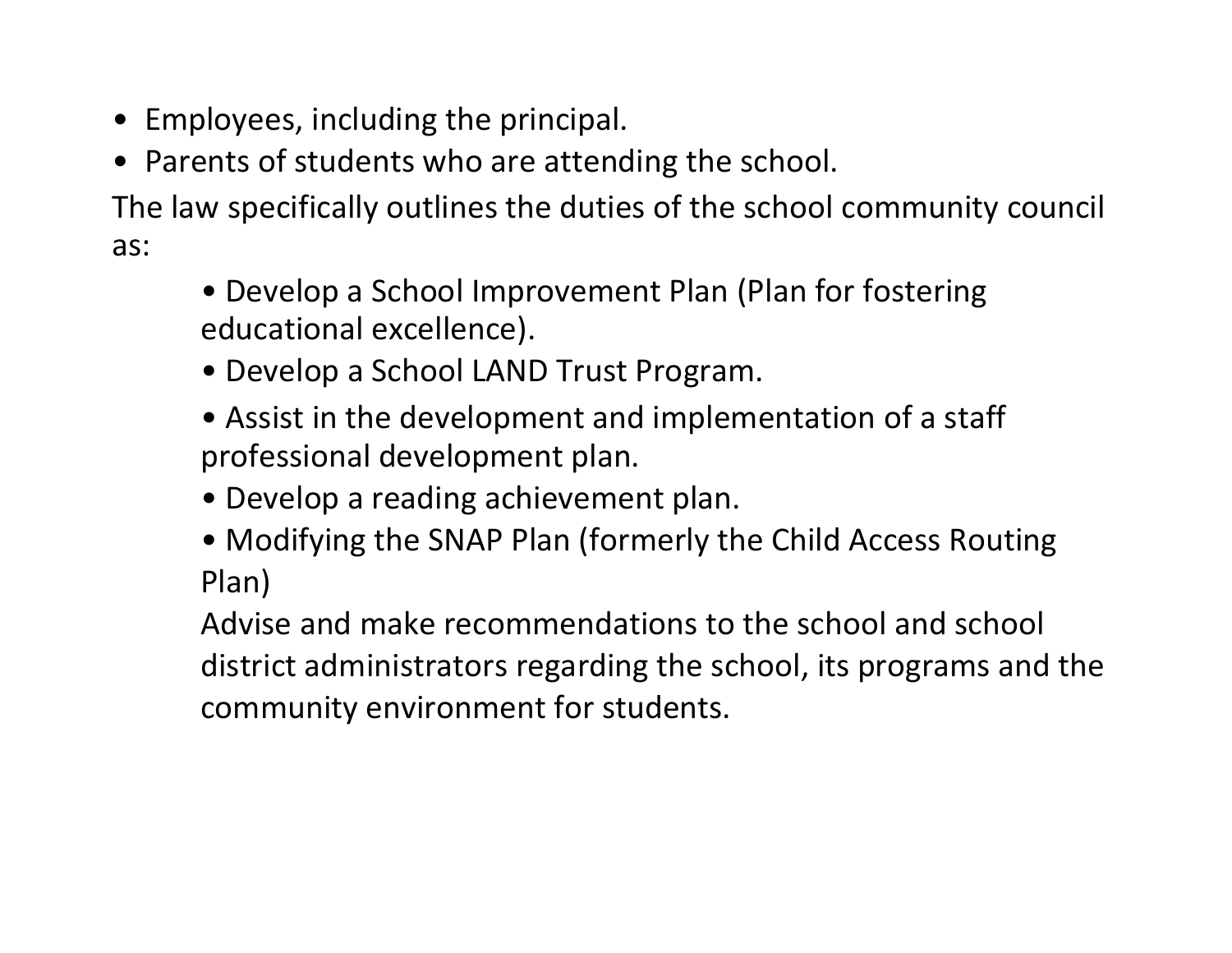- Employees, including the principal.
- Parents of students who are attending the school.

The law specifically outlines the duties of the school community council as:

- Develop a School Improvement Plan (Plan for fostering educational excellence).
- Develop a School LAND Trust Program.
- Assist in the development and implementation of a staff professional development plan.
- Develop a reading achievement plan.
- Modifying the SNAP Plan (formerly the Child Access Routing Plan)

Advise and make recommendations to the school and school district administrators regarding the school, its programs and the community environment for students.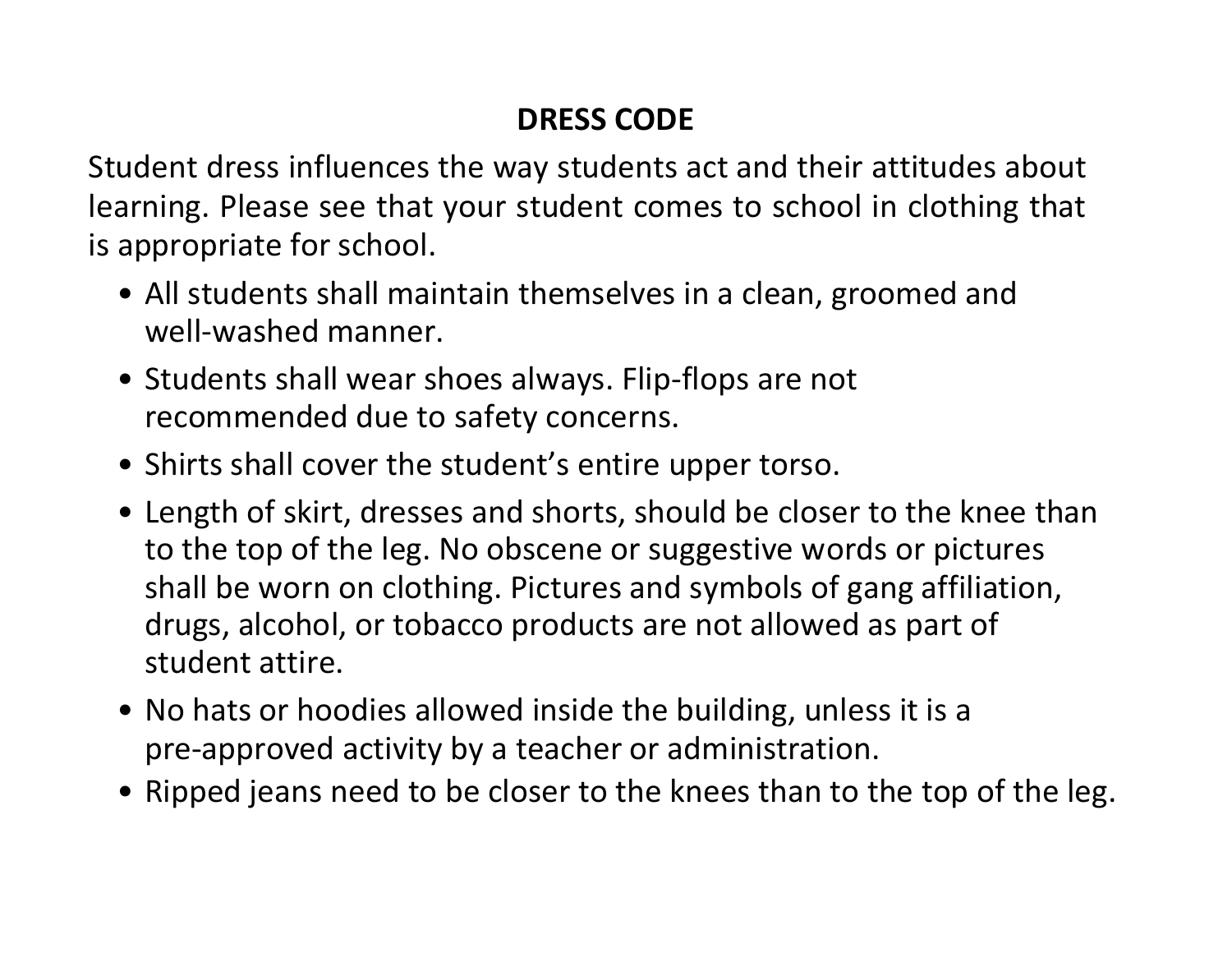# **DRESS CODE**

Student dress influences the way students act and their attitudes about learning. Please see that your student comes to school in clothing that is appropriate for school.

- All students shall maintain themselves in a clean, groomed and well-washed manner.
- Students shall wear shoes always. Flip-flops are not recommended due to safety concerns.
- Shirts shall cover the student's entire upper torso.
- Length of skirt, dresses and shorts, should be closer to the knee than to the top of the leg. No obscene or suggestive words or pictures shall be worn on clothing. Pictures and symbols of gang affiliation, drugs, alcohol, or tobacco products are not allowed as part of student attire.
- No hats or hoodies allowed inside the building, unless it is a pre-approved activity by a teacher or administration.
- Ripped jeans need to be closer to the knees than to the top of the leg.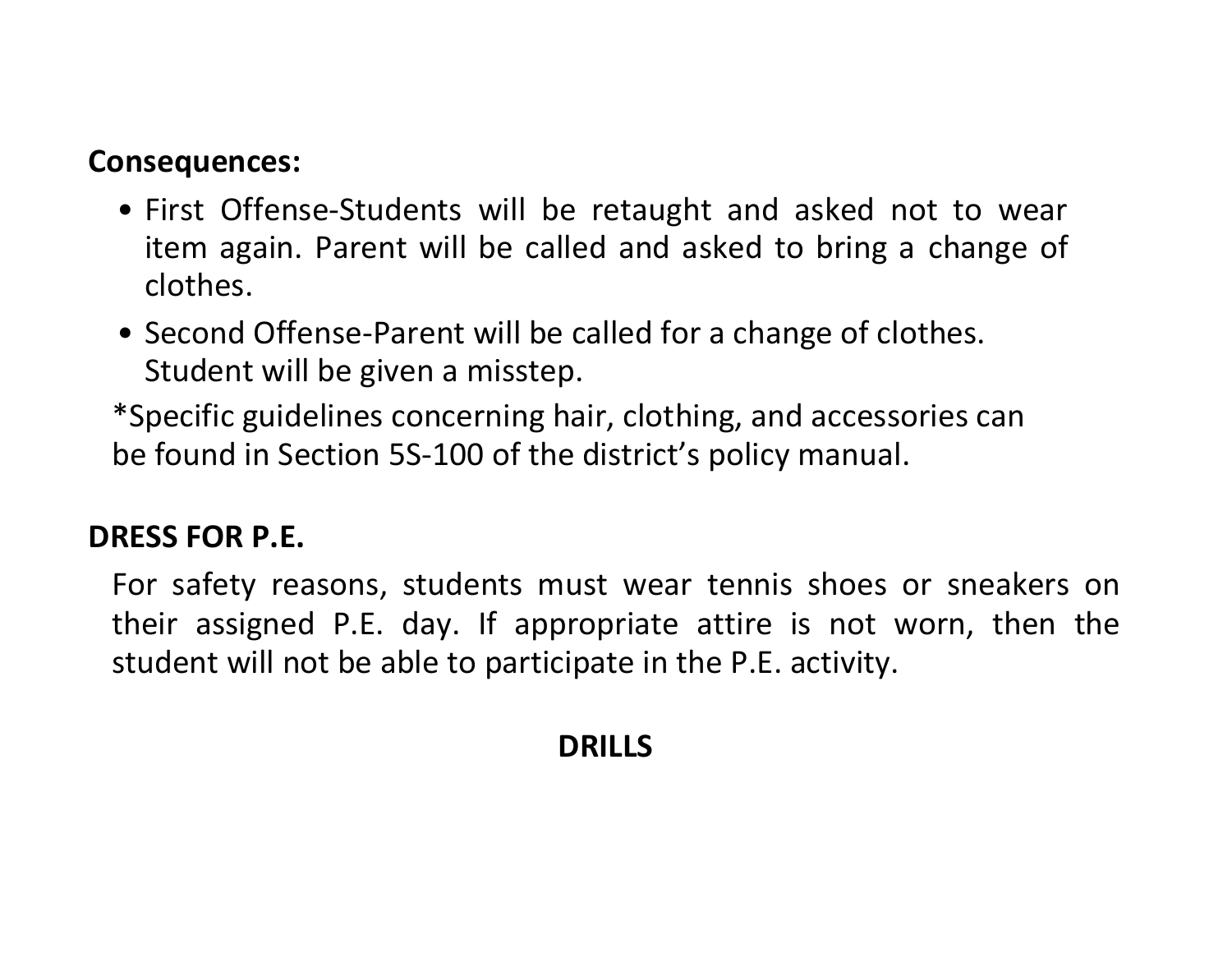#### **Consequences:**

- First Offense-Students will be retaught and asked not to wear item again. Parent will be called and asked to bring a change of clothes.
- Second Offense-Parent will be called for a change of clothes. Student will be given a misstep.

\*Specific guidelines concerning hair, clothing, and accessories can be found in Section 5S-100 of the district's policy manual.

#### **DRESS FOR P.E.**

For safety reasons, students must wear tennis shoes or sneakers on their assigned P.E. day. If appropriate attire is not worn, then the student will not be able to participate in the P.E. activity.

#### **DRILLS**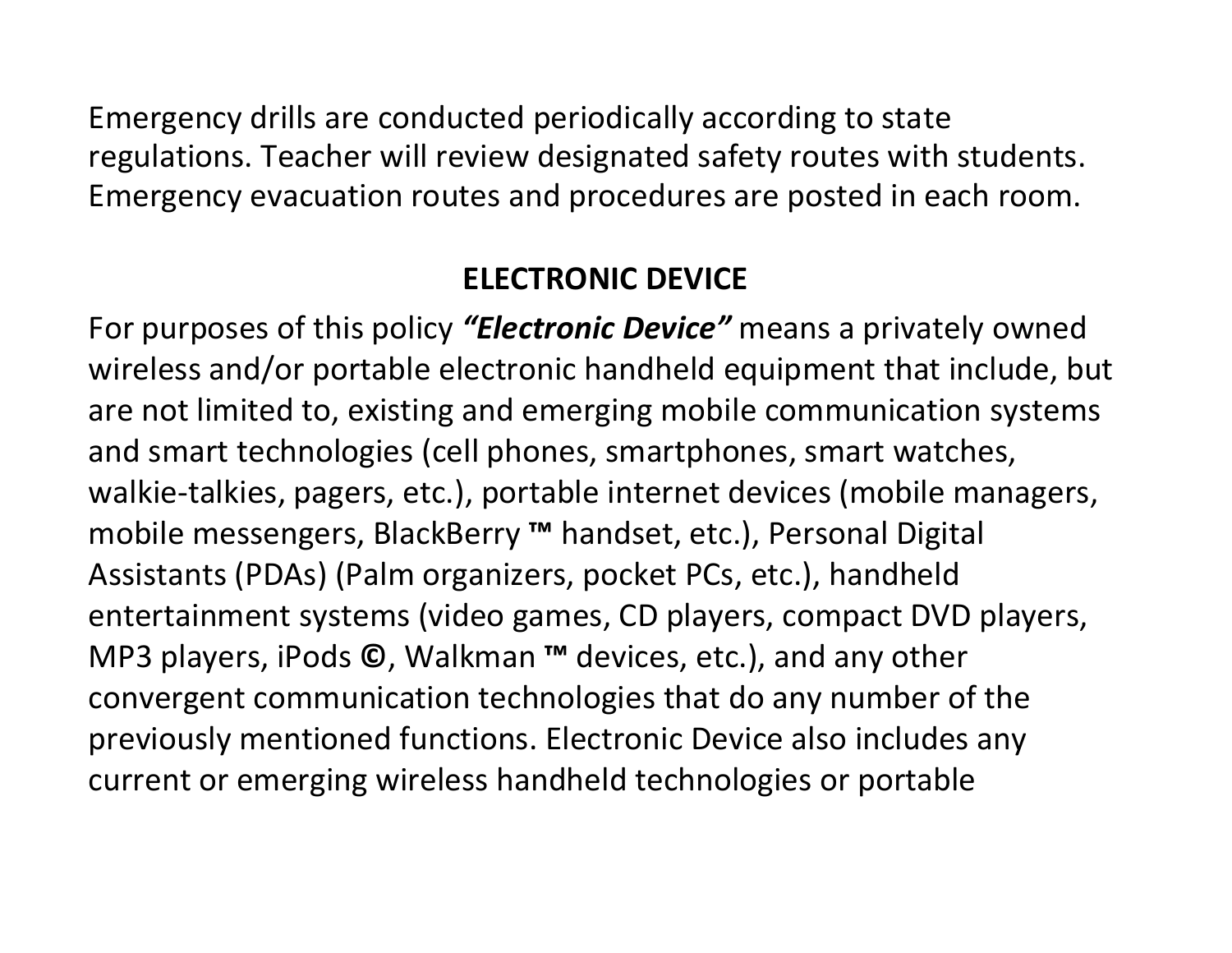Emergency drills are conducted periodically according to state regulations. Teacher will review designated safety routes with students. Emergency evacuation routes and procedures are posted in each room.

### **ELECTRONIC DEVICE**

For purposes of this policy *"Electronic Device"* means a privately owned wireless and/or portable electronic handheld equipment that include, but are not limited to, existing and emerging mobile communication systems and smart technologies (cell phones, smartphones, smart watches, walkie-talkies, pagers, etc.), portable internet devices (mobile managers, mobile messengers, BlackBerry **™** handset, etc.), Personal Digital Assistants (PDAs) (Palm organizers, pocket PCs, etc.), handheld entertainment systems (video games, CD players, compact DVD players, MP3 players, iPods **©**, Walkman **™** devices, etc.), and any other convergent communication technologies that do any number of the previously mentioned functions. Electronic Device also includes any current or emerging wireless handheld technologies or portable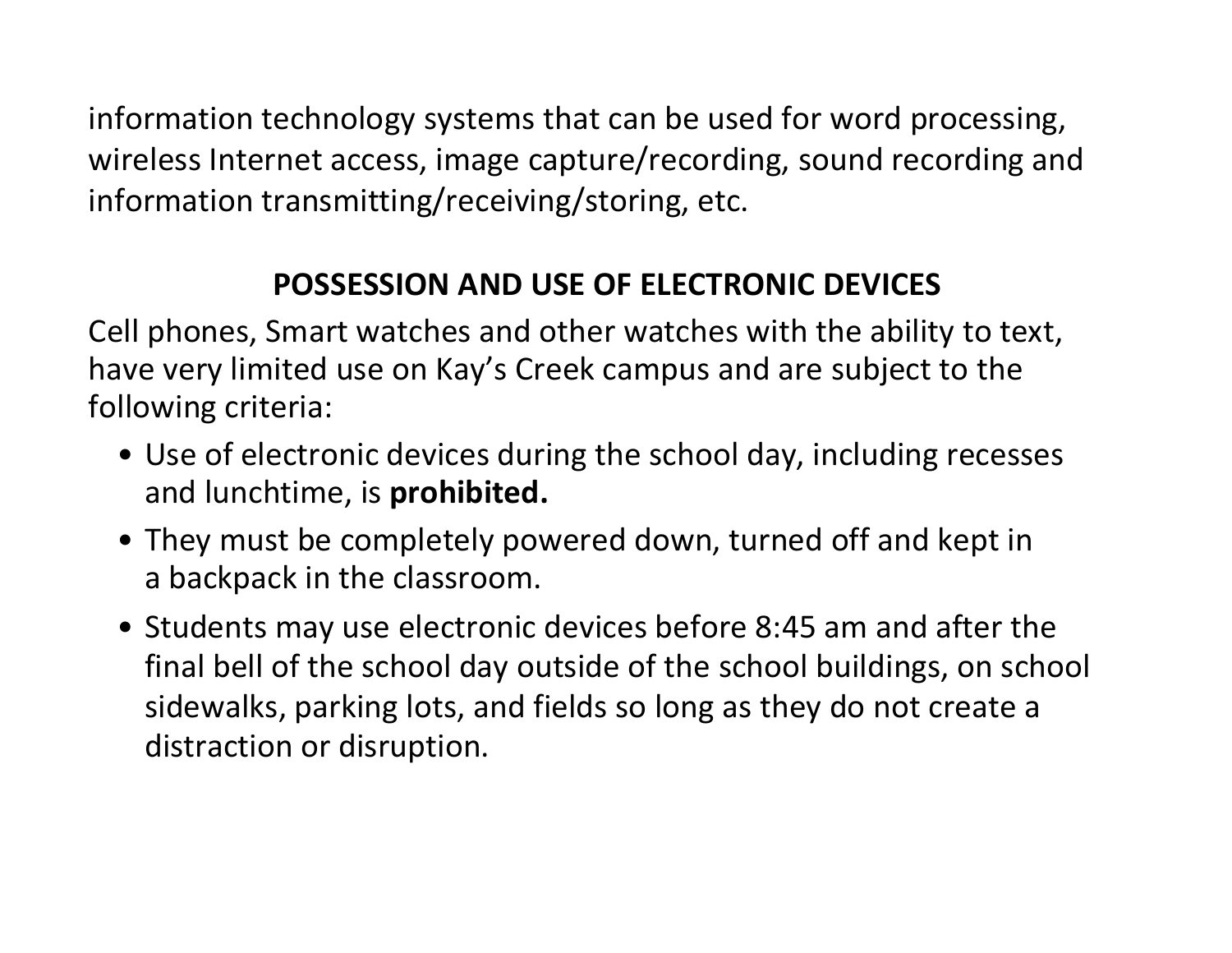information technology systems that can be used for word processing, wireless Internet access, image capture/recording, sound recording and information transmitting/receiving/storing, etc.

#### **POSSESSION AND USE OF ELECTRONIC DEVICES**

Cell phones, Smart watches and other watches with the ability to text, have very limited use on Kay's Creek campus and are subject to the following criteria:

- Use of electronic devices during the school day, including recesses and lunchtime, is **prohibited.**
- They must be completely powered down, turned off and kept in a backpack in the classroom.
- Students may use electronic devices before 8:45 am and after the final bell of the school day outside of the school buildings, on school sidewalks, parking lots, and fields so long as they do not create a distraction or disruption.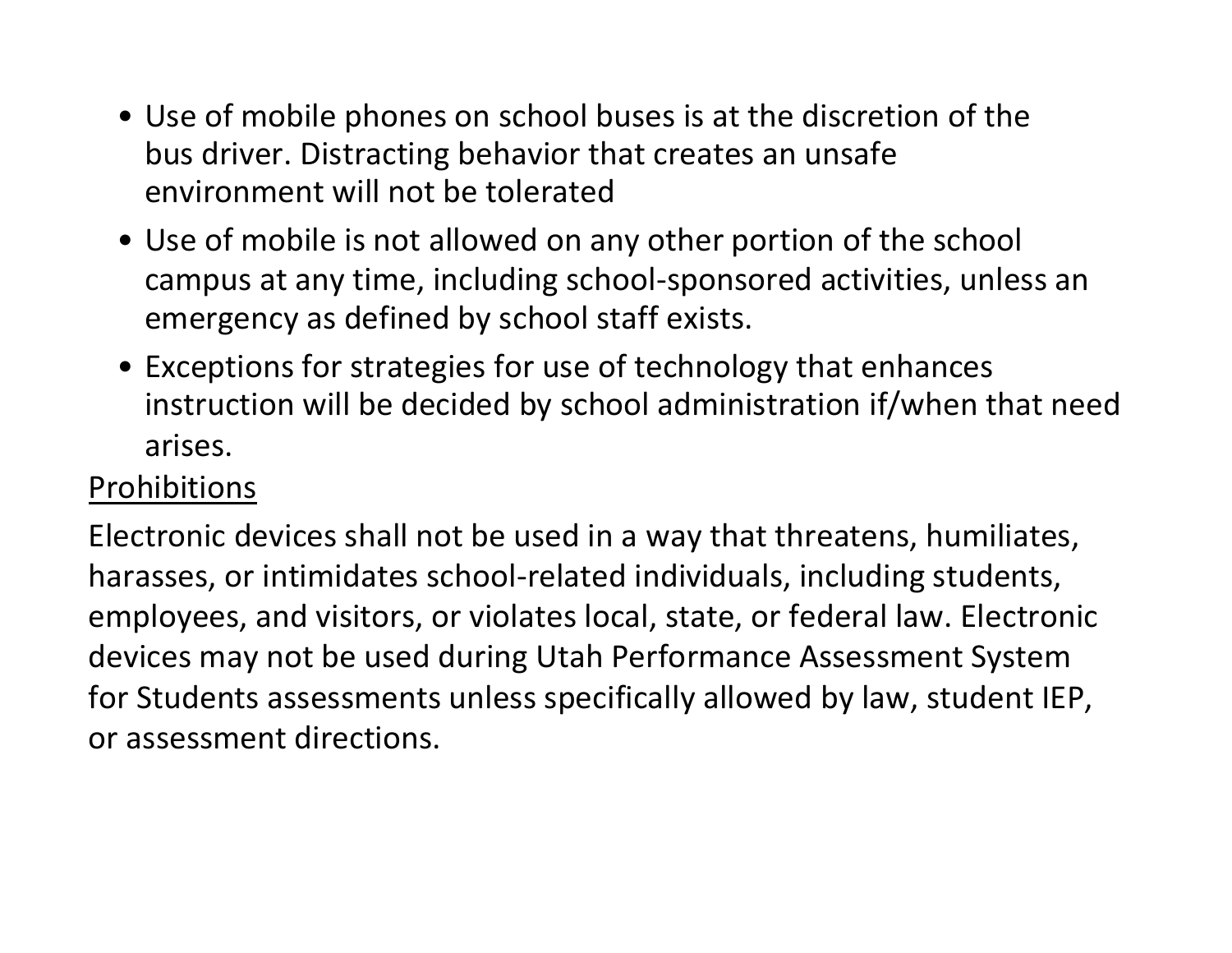- Use of mobile phones on school buses is at the discretion of the bus driver. Distracting behavior that creates an unsafe environment will not be tolerated
- Use of mobile is not allowed on any other portion of the school campus at any time, including school-sponsored activities, unless an emergency as defined by school staff exists.
- Exceptions for strategies for use of technology that enhances instruction will be decided by school administration if/when that need arises.

### Prohibitions

Electronic devices shall not be used in a way that threatens, humiliates, harasses, or intimidates school-related individuals, including students, employees, and visitors, or violates local, state, or federal law. Electronic devices may not be used during Utah Performance Assessment System for Students assessments unless specifically allowed by law, student IEP, or assessment directions.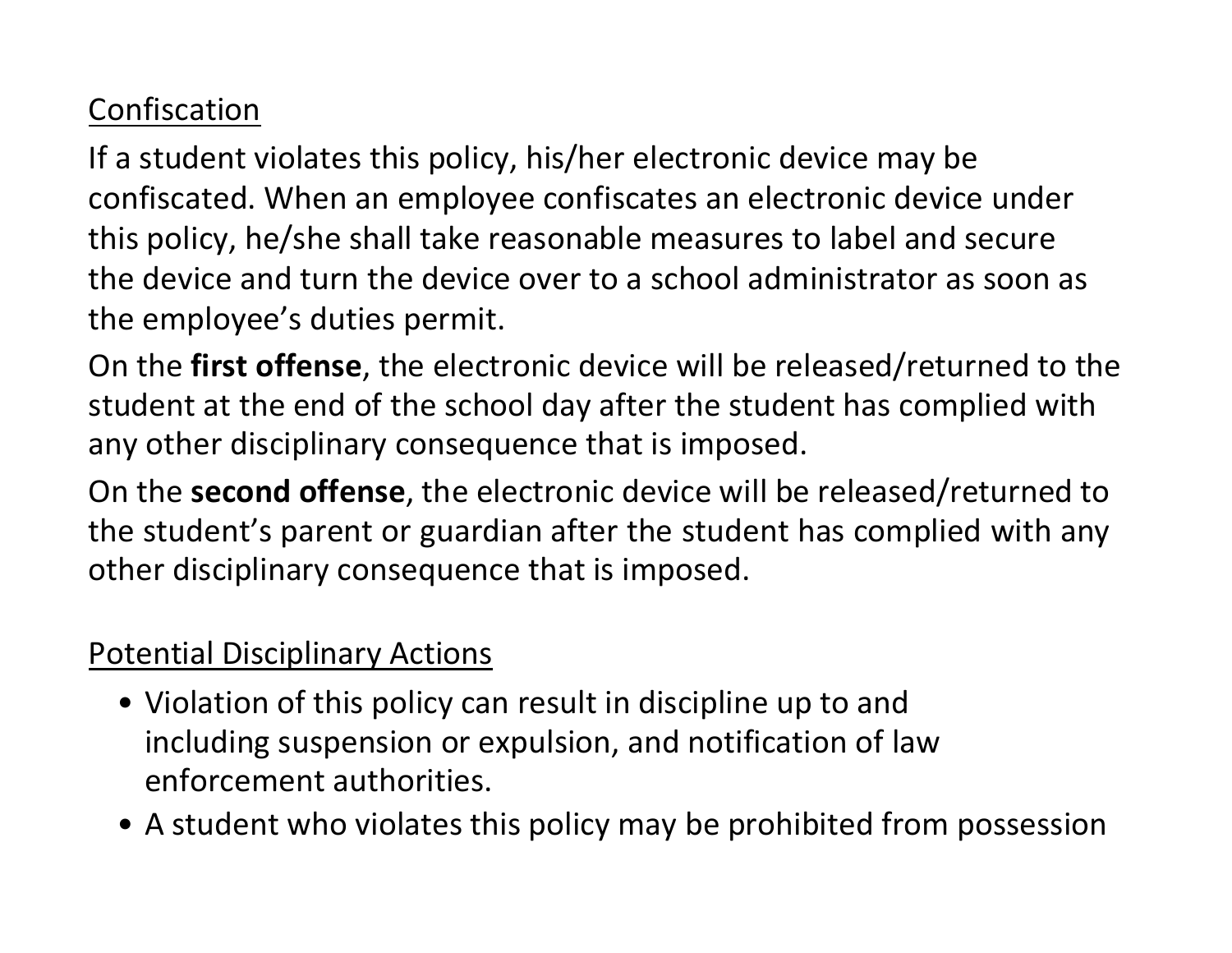# Confiscation

If a student violates this policy, his/her electronic device may be confiscated. When an employee confiscates an electronic device under this policy, he/she shall take reasonable measures to label and secure the device and turn the device over to a school administrator as soon as the employee's duties permit.

On the **first offense**, the electronic device will be released/returned to the student at the end of the school day after the student has complied with any other disciplinary consequence that is imposed.

On the **second offense**, the electronic device will be released/returned to the student's parent or guardian after the student has complied with any other disciplinary consequence that is imposed.

#### Potential Disciplinary Actions

- Violation of this policy can result in discipline up to and including suspension or expulsion, and notification of law enforcement authorities.
- A student who violates this policy may be prohibited from possession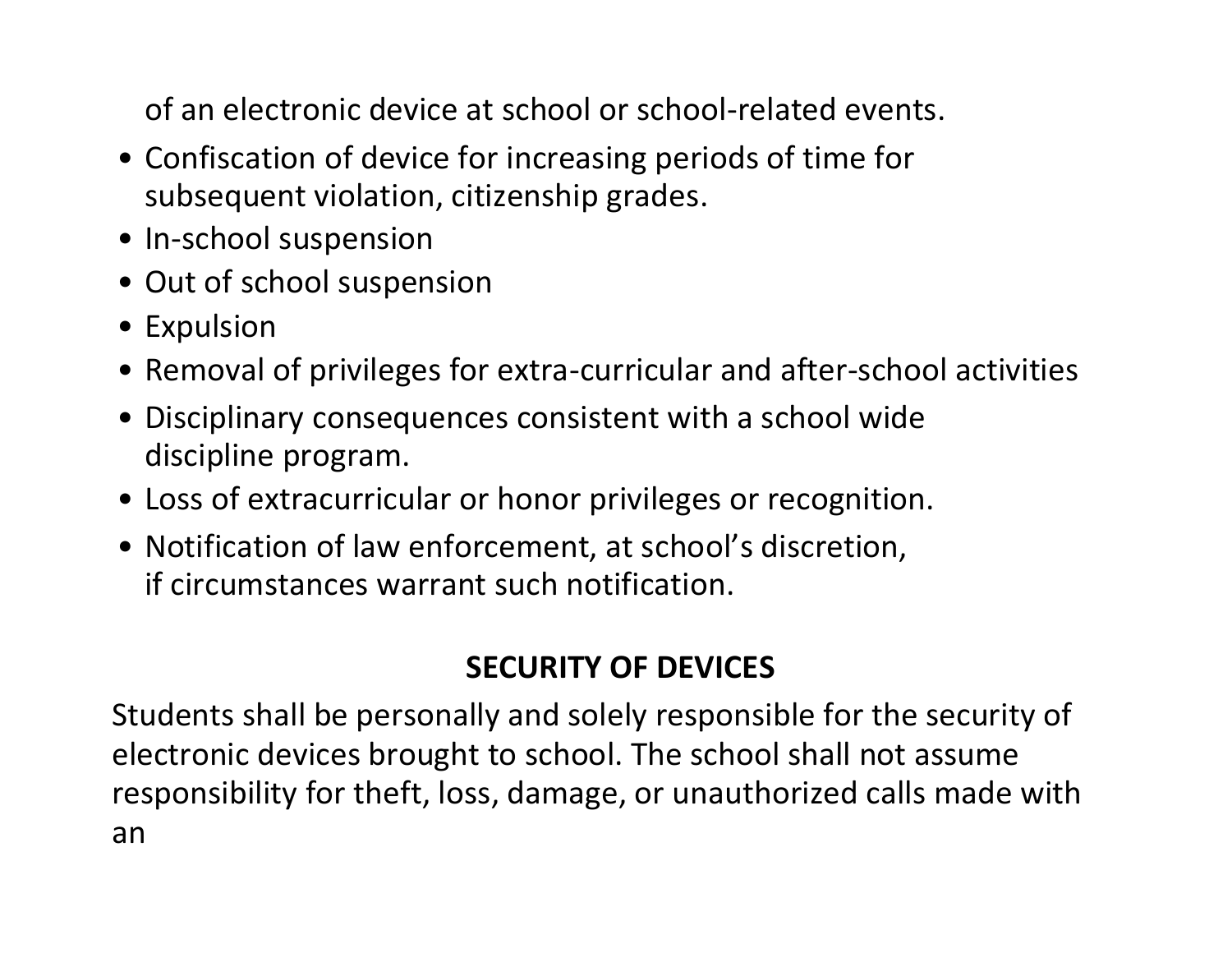of an electronic device at school or school-related events.

- Confiscation of device for increasing periods of time for subsequent violation, citizenship grades.
- In-school suspension
- Out of school suspension
- Expulsion
- Removal of privileges for extra-curricular and after-school activities
- Disciplinary consequences consistent with a school wide discipline program.
- Loss of extracurricular or honor privileges or recognition.
- Notification of law enforcement, at school's discretion, if circumstances warrant such notification.

# **SECURITY OF DEVICES**

Students shall be personally and solely responsible for the security of electronic devices brought to school. The school shall not assume responsibility for theft, loss, damage, or unauthorized calls made with an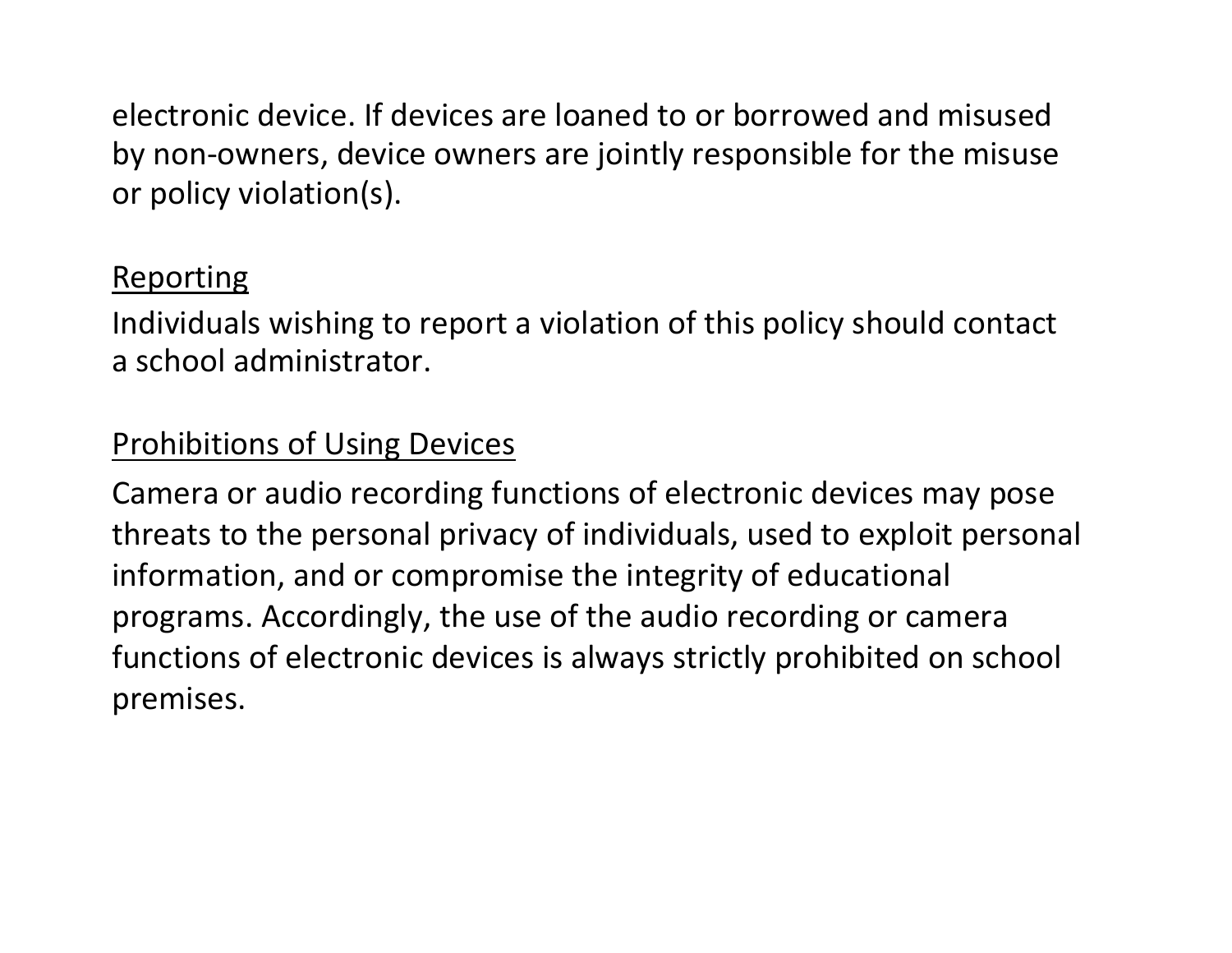electronic device. If devices are loaned to or borrowed and misused by non-owners, device owners are jointly responsible for the misuse or policy violation(s).

#### **Reporting**

Individuals wishing to report a violation of this policy should contact a school administrator.

#### Prohibitions of Using Devices

Camera or audio recording functions of electronic devices may pose threats to the personal privacy of individuals, used to exploit personal information, and or compromise the integrity of educational programs. Accordingly, the use of the audio recording or camera functions of electronic devices is always strictly prohibited on school premises.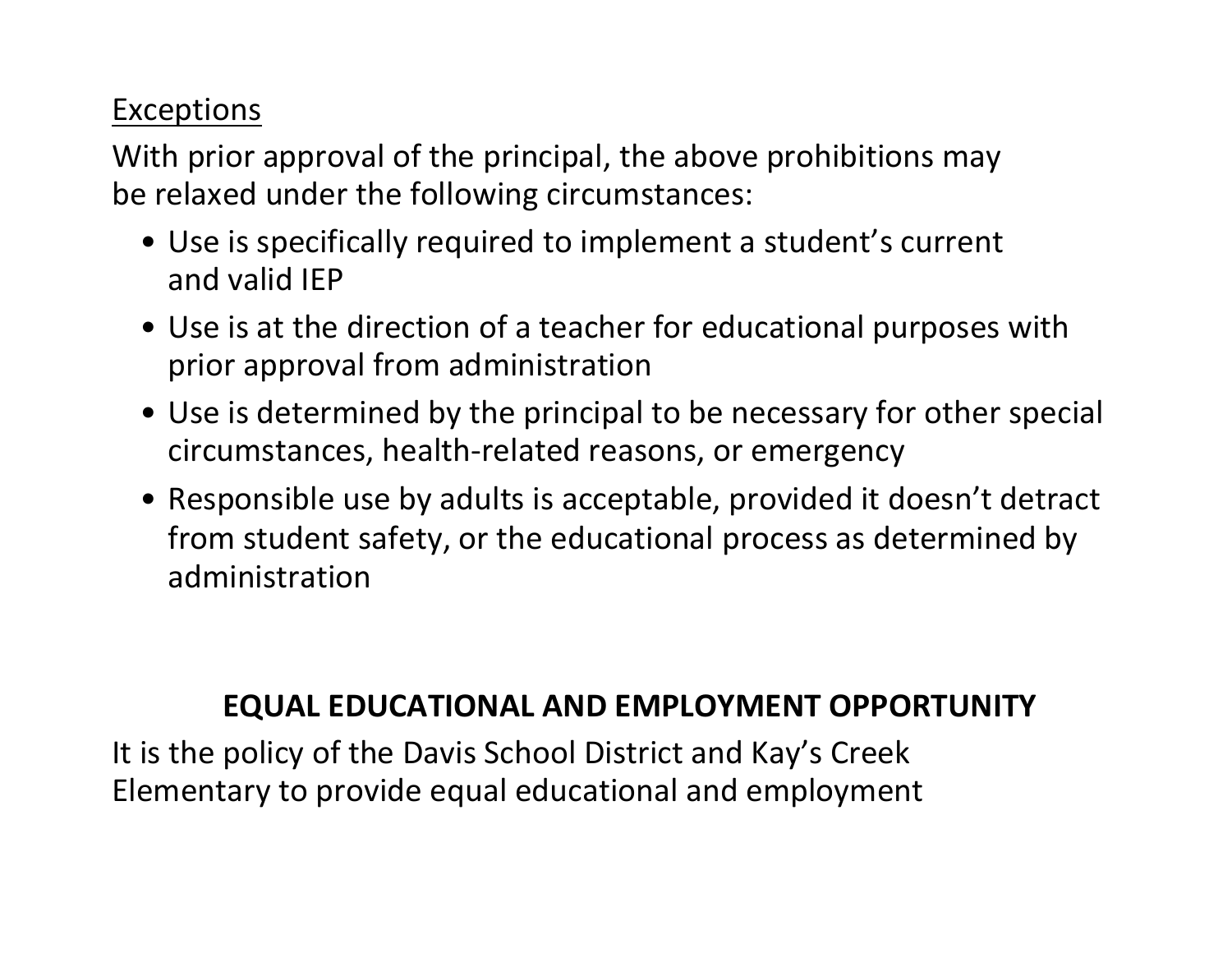### **Exceptions**

With prior approval of the principal, the above prohibitions may be relaxed under the following circumstances:

- Use is specifically required to implement a student's current and valid IEP
- Use is at the direction of a teacher for educational purposes with prior approval from administration
- Use is determined by the principal to be necessary for other special circumstances, health-related reasons, or emergency
- Responsible use by adults is acceptable, provided it doesn't detract from student safety, or the educational process as determined by administration

#### **EQUAL EDUCATIONAL AND EMPLOYMENT OPPORTUNITY**

It is the policy of the Davis School District and Kay's Creek Elementary to provide equal educational and employment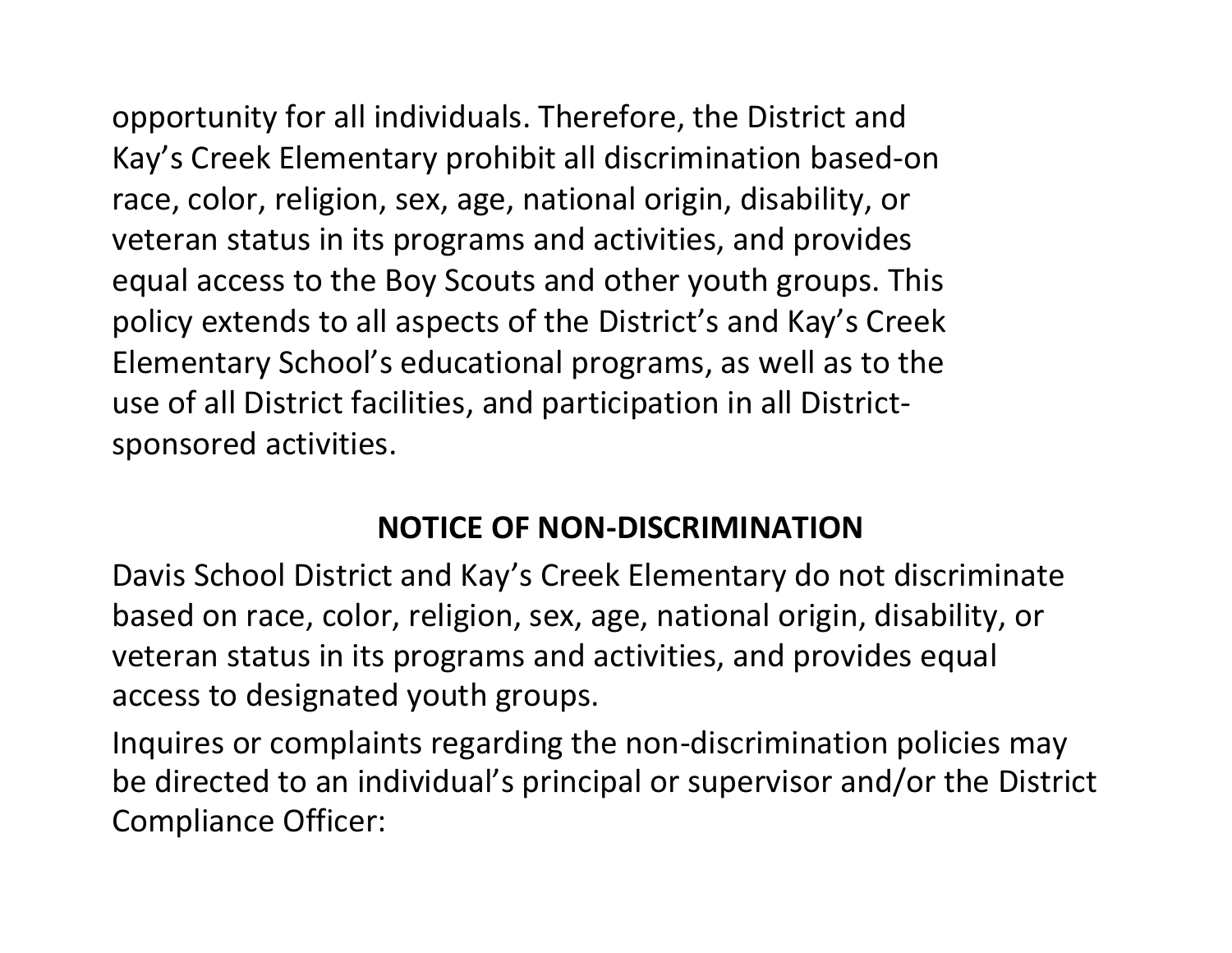opportunity for all individuals. Therefore, the District and Kay's Creek Elementary prohibit all discrimination based-on race, color, religion, sex, age, national origin, disability, or veteran status in its programs and activities, and provides equal access to the Boy Scouts and other youth groups. This policy extends to all aspects of the District's and Kay's Creek Elementary School's educational programs, as well as to the use of all District facilities, and participation in all Districtsponsored activities.

#### **NOTICE OF NON-DISCRIMINATION**

Davis School District and Kay's Creek Elementary do not discriminate based on race, color, religion, sex, age, national origin, disability, or veteran status in its programs and activities, and provides equal access to designated youth groups.

Inquires or complaints regarding the non-discrimination policies may be directed to an individual's principal or supervisor and/or the District Compliance Officer: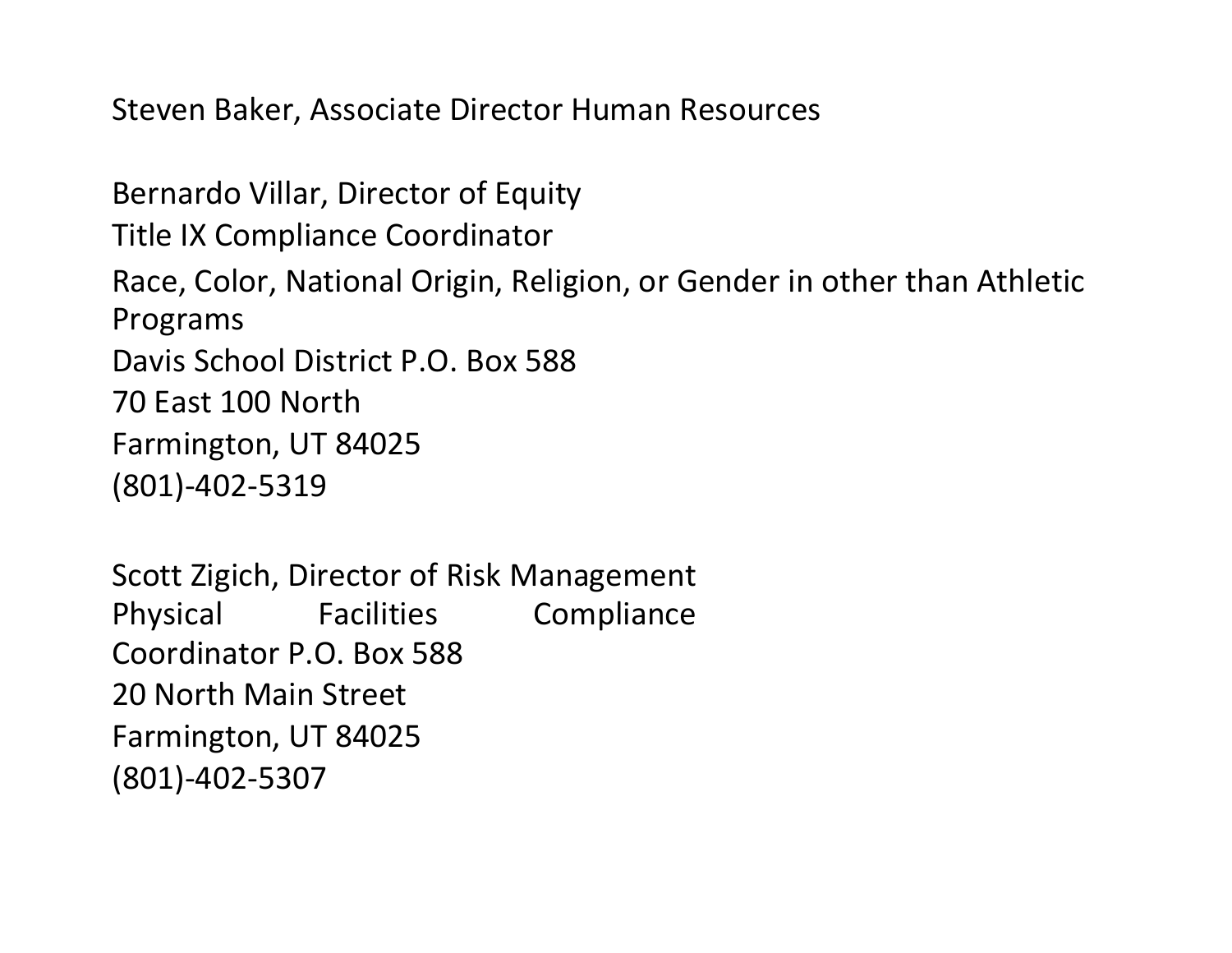Steven Baker, Associate Director Human Resources

Bernardo Villar, Director of Equity Title IX Compliance Coordinator Race, Color, National Origin, Religion, or Gender in other than Athletic Programs Davis School District P.O. Box 588 70 East 100 North Farmington, UT 84025 (801)-402-5319

Scott Zigich, Director of Risk Management Physical Facilities Compliance Coordinator P.O. Box 588 20 North Main Street Farmington, UT 84025 (801)-402-5307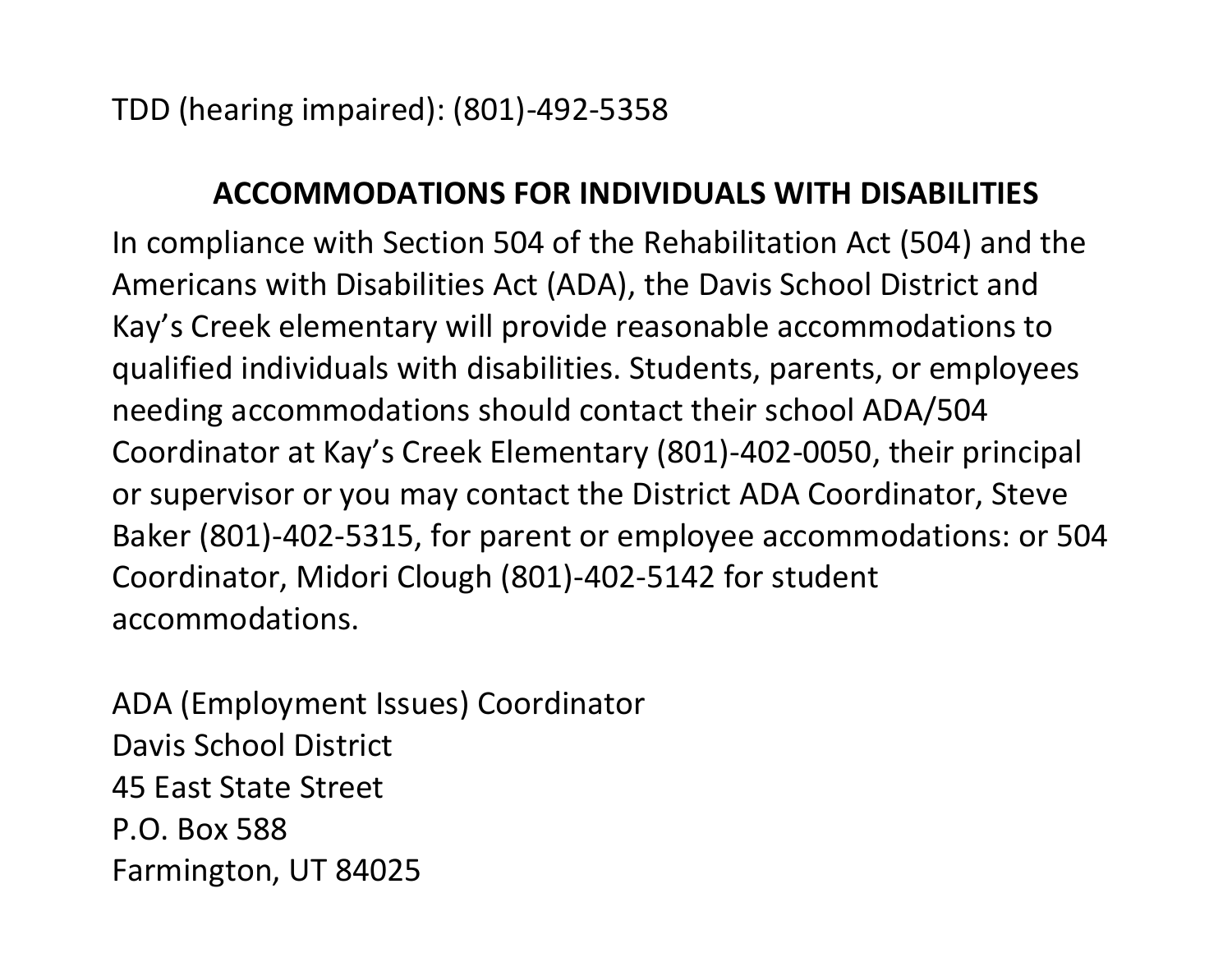TDD (hearing impaired): (801)-492-5358

#### **ACCOMMODATIONS FOR INDIVIDUALS WITH DISABILITIES**

In compliance with Section 504 of the Rehabilitation Act (504) and the Americans with Disabilities Act (ADA), the Davis School District and Kay's Creek elementary will provide reasonable accommodations to qualified individuals with disabilities. Students, parents, or employees needing accommodations should contact their school ADA/504 Coordinator at Kay's Creek Elementary (801)-402-0050, their principal or supervisor or you may contact the District ADA Coordinator, Steve Baker (801)-402-5315, for parent or employee accommodations: or 504 Coordinator, Midori Clough (801)-402-5142 for student accommodations.

ADA (Employment Issues) Coordinator Davis School District 45 East State Street P.O. Box 588 Farmington, UT 84025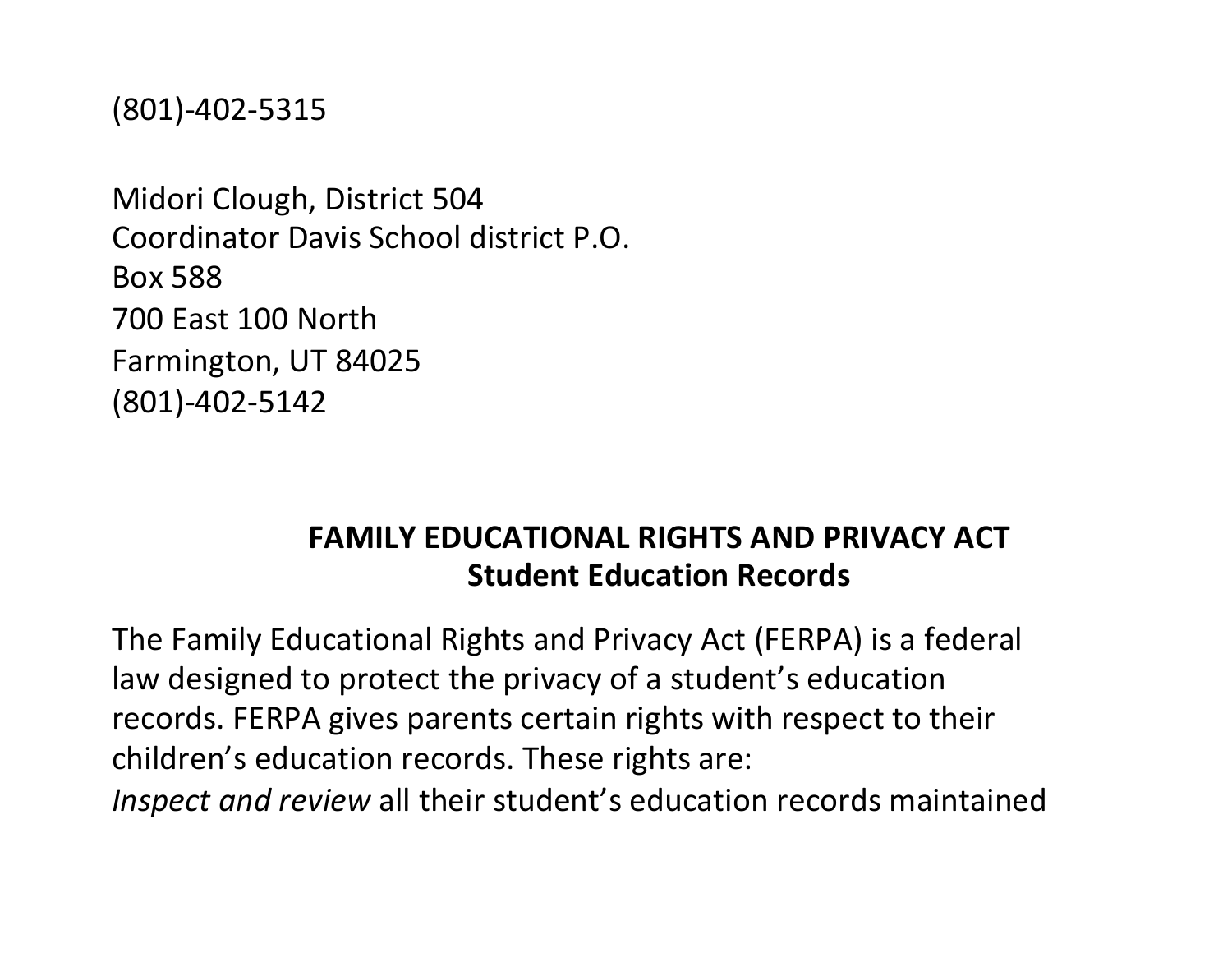(801)-402-5315

Midori Clough, District 504 Coordinator Davis School district P.O. Box 588 700 East 100 North Farmington, UT 84025 (801)-402-5142

#### **FAMILY EDUCATIONAL RIGHTS AND PRIVACY ACT Student Education Records**

The Family Educational Rights and Privacy Act (FERPA) is a federal law designed to protect the privacy of a student's education records. FERPA gives parents certain rights with respect to their children's education records. These rights are: *Inspect and review* all their student's education records maintained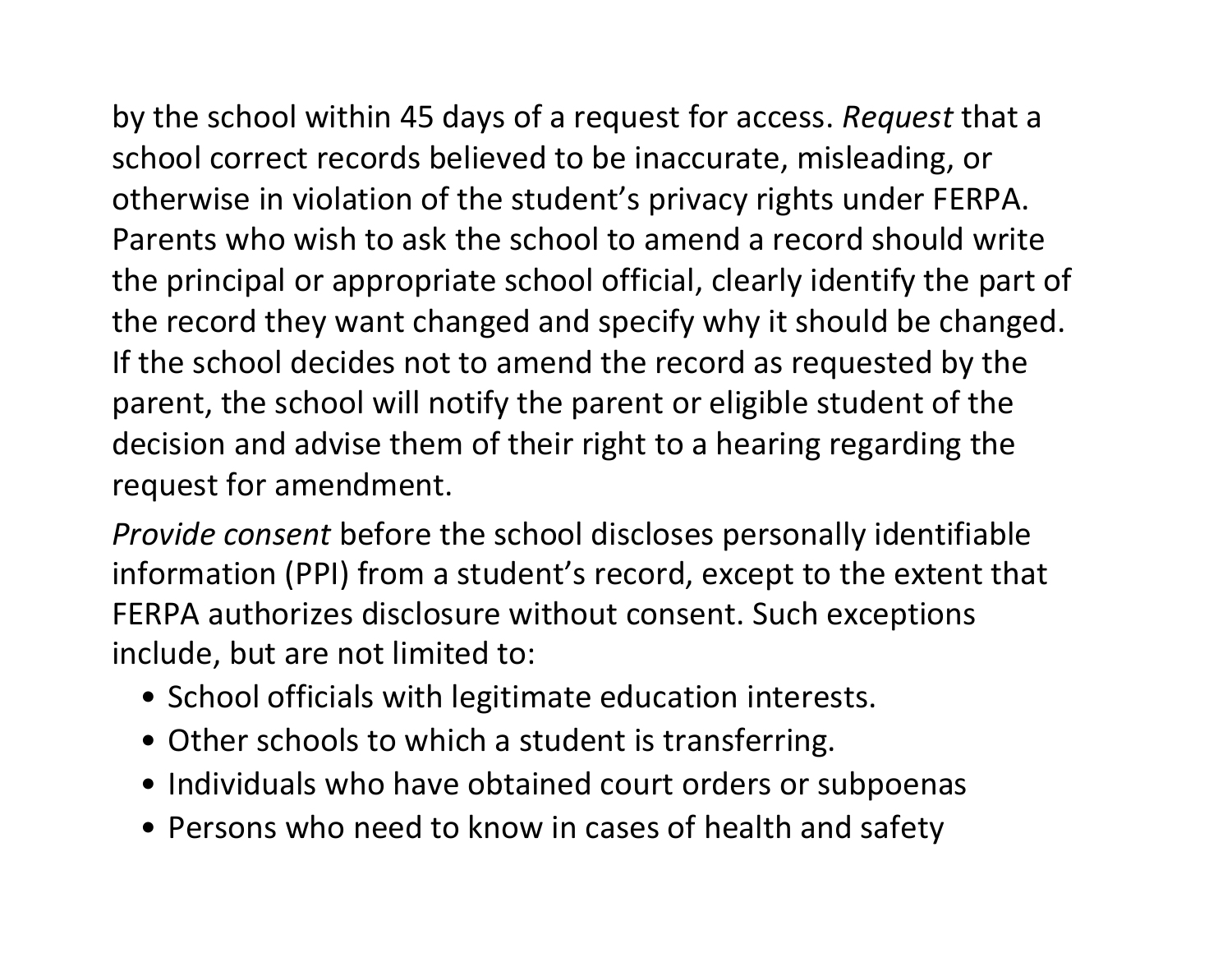by the school within 45 days of a request for access. *Request* that a school correct records believed to be inaccurate, misleading, or otherwise in violation of the student's privacy rights under FERPA. Parents who wish to ask the school to amend a record should write the principal or appropriate school official, clearly identify the part of the record they want changed and specify why it should be changed. If the school decides not to amend the record as requested by the parent, the school will notify the parent or eligible student of the decision and advise them of their right to a hearing regarding the request for amendment.

*Provide consent* before the school discloses personally identifiable information (PPI) from a student's record, except to the extent that FERPA authorizes disclosure without consent. Such exceptions include, but are not limited to:

- School officials with legitimate education interests.
- Other schools to which a student is transferring.
- Individuals who have obtained court orders or subpoenas
- Persons who need to know in cases of health and safety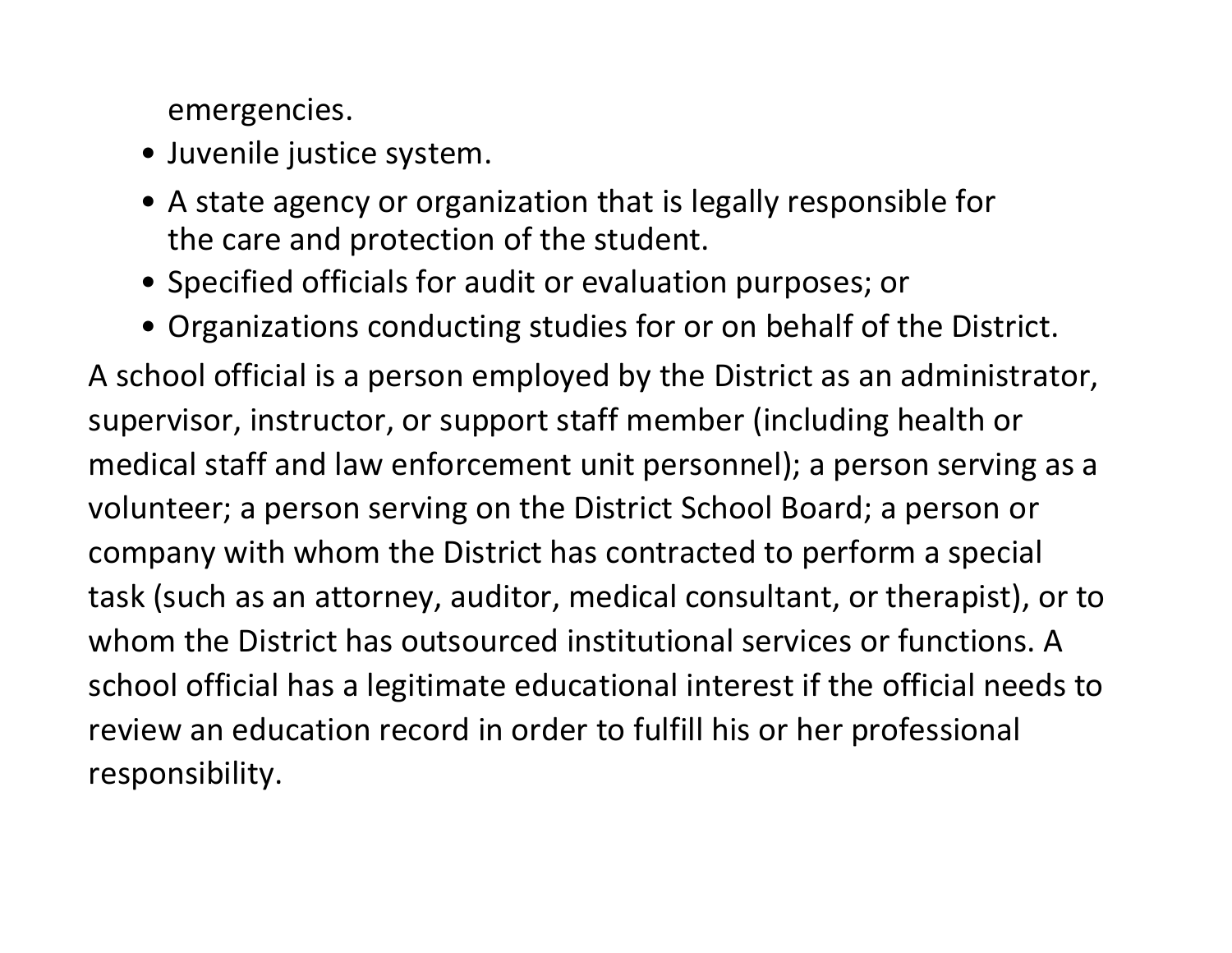emergencies.

- Juvenile justice system.
- A state agency or organization that is legally responsible for the care and protection of the student.
- Specified officials for audit or evaluation purposes; or
- Organizations conducting studies for or on behalf of the District.

A school official is a person employed by the District as an administrator, supervisor, instructor, or support staff member (including health or medical staff and law enforcement unit personnel); a person serving as a volunteer; a person serving on the District School Board; a person or company with whom the District has contracted to perform a special task (such as an attorney, auditor, medical consultant, or therapist), or to whom the District has outsourced institutional services or functions. A school official has a legitimate educational interest if the official needs to review an education record in order to fulfill his or her professional responsibility.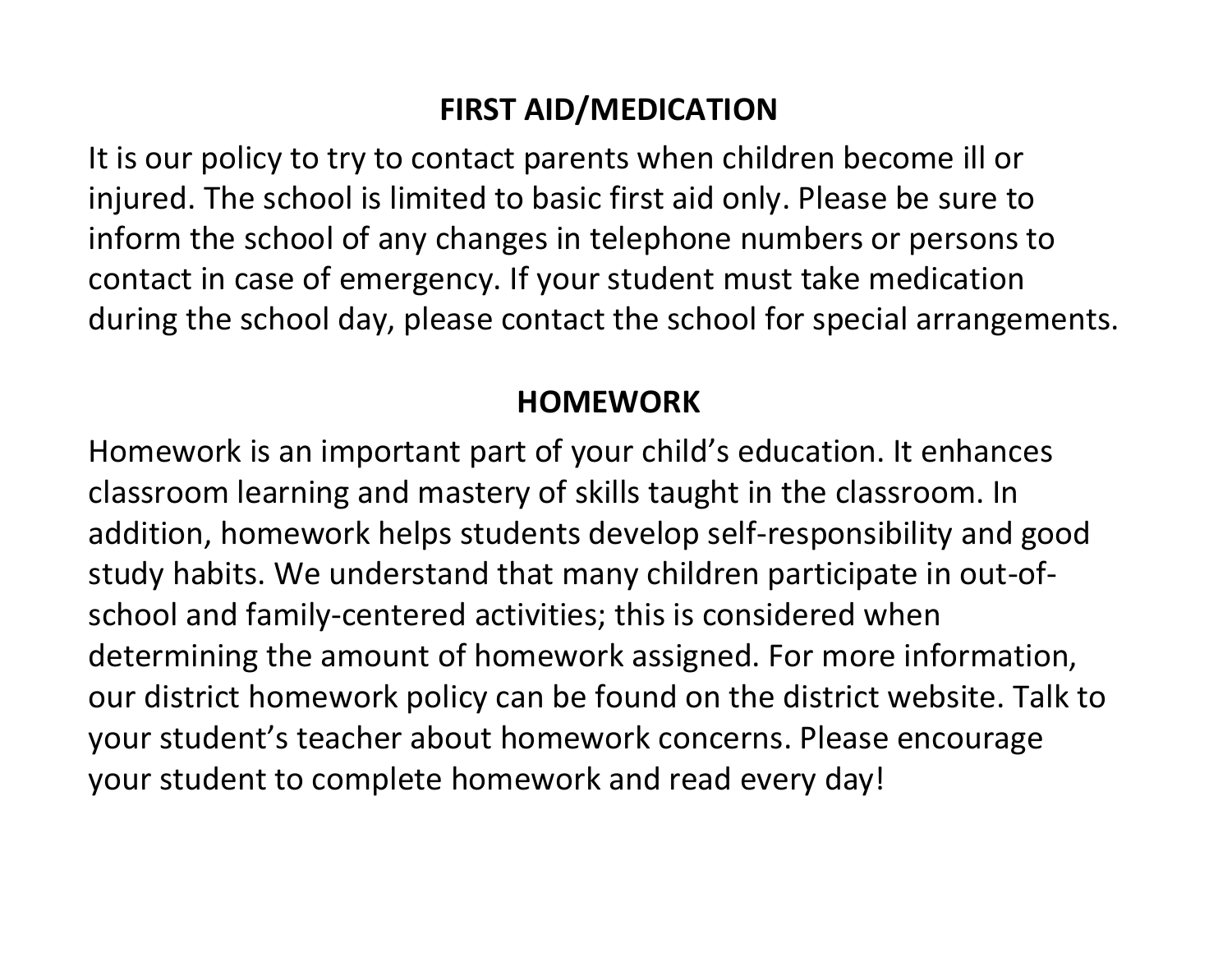### **FIRST AID/MEDICATION**

It is our policy to try to contact parents when children become ill or injured. The school is limited to basic first aid only. Please be sure to inform the school of any changes in telephone numbers or persons to contact in case of emergency. If your student must take medication during the school day, please contact the school for special arrangements.

#### **HOMEWORK**

Homework is an important part of your child's education. It enhances classroom learning and mastery of skills taught in the classroom. In addition, homework helps students develop self-responsibility and good study habits. We understand that many children participate in out-ofschool and family-centered activities; this is considered when determining the amount of homework assigned. For more information, our district homework policy can be found on the district website. Talk to your student's teacher about homework concerns. Please encourage your student to complete homework and read every day!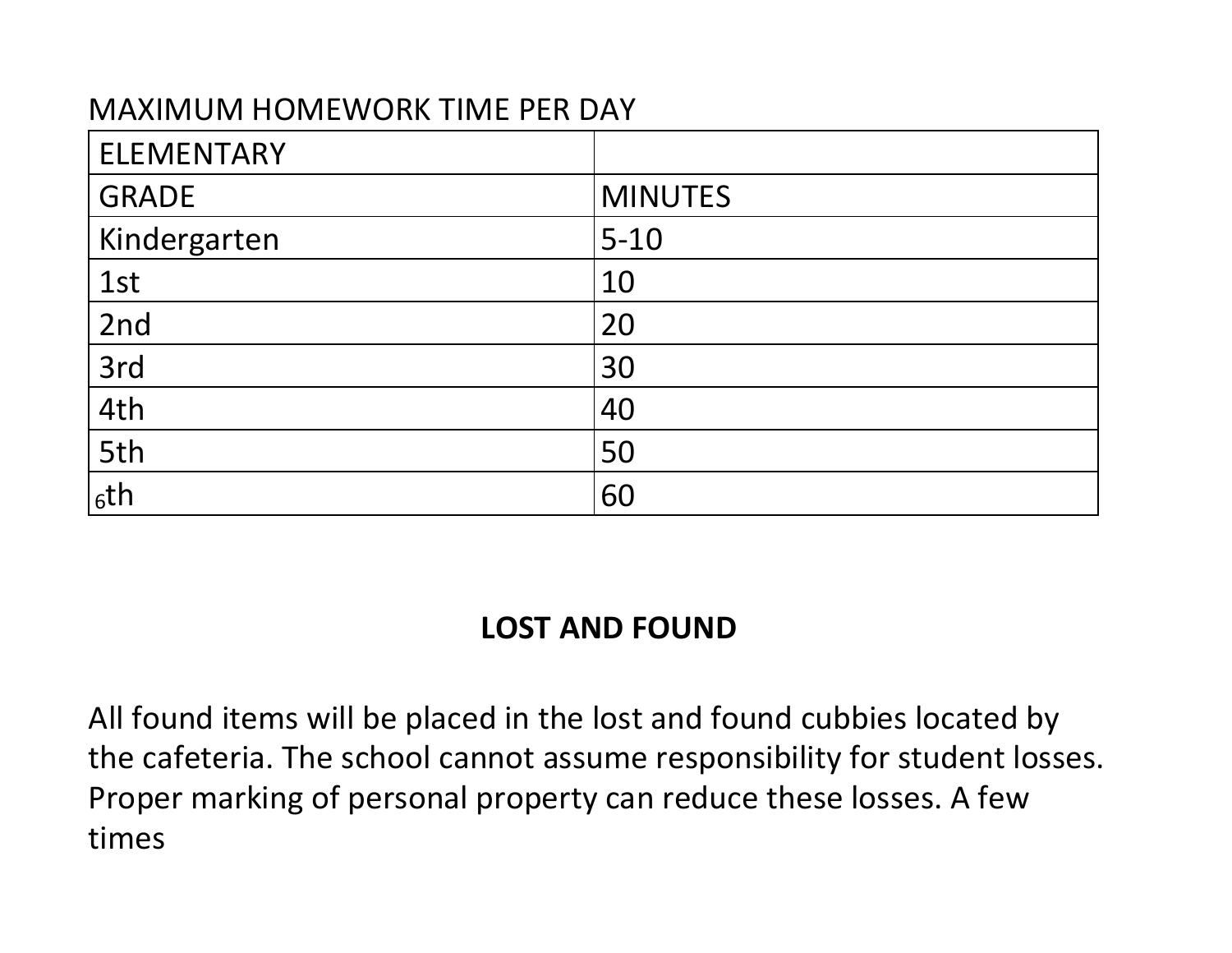#### MAXIMUM HOMEWORK TIME PER DAY

| <b>ELEMENTARY</b> |                |
|-------------------|----------------|
| <b>GRADE</b>      | <b>MINUTES</b> |
| Kindergarten      | $5 - 10$       |
| 1st               | 10             |
| 2nd               | 20             |
| 3rd               | 30             |
| 4th               | 40             |
| 5th               | 50             |
| 6th               | 60             |

#### **LOST AND FOUND**

All found items will be placed in the lost and found cubbies located by the cafeteria. The school cannot assume responsibility for student losses. Proper marking of personal property can reduce these losses. A few times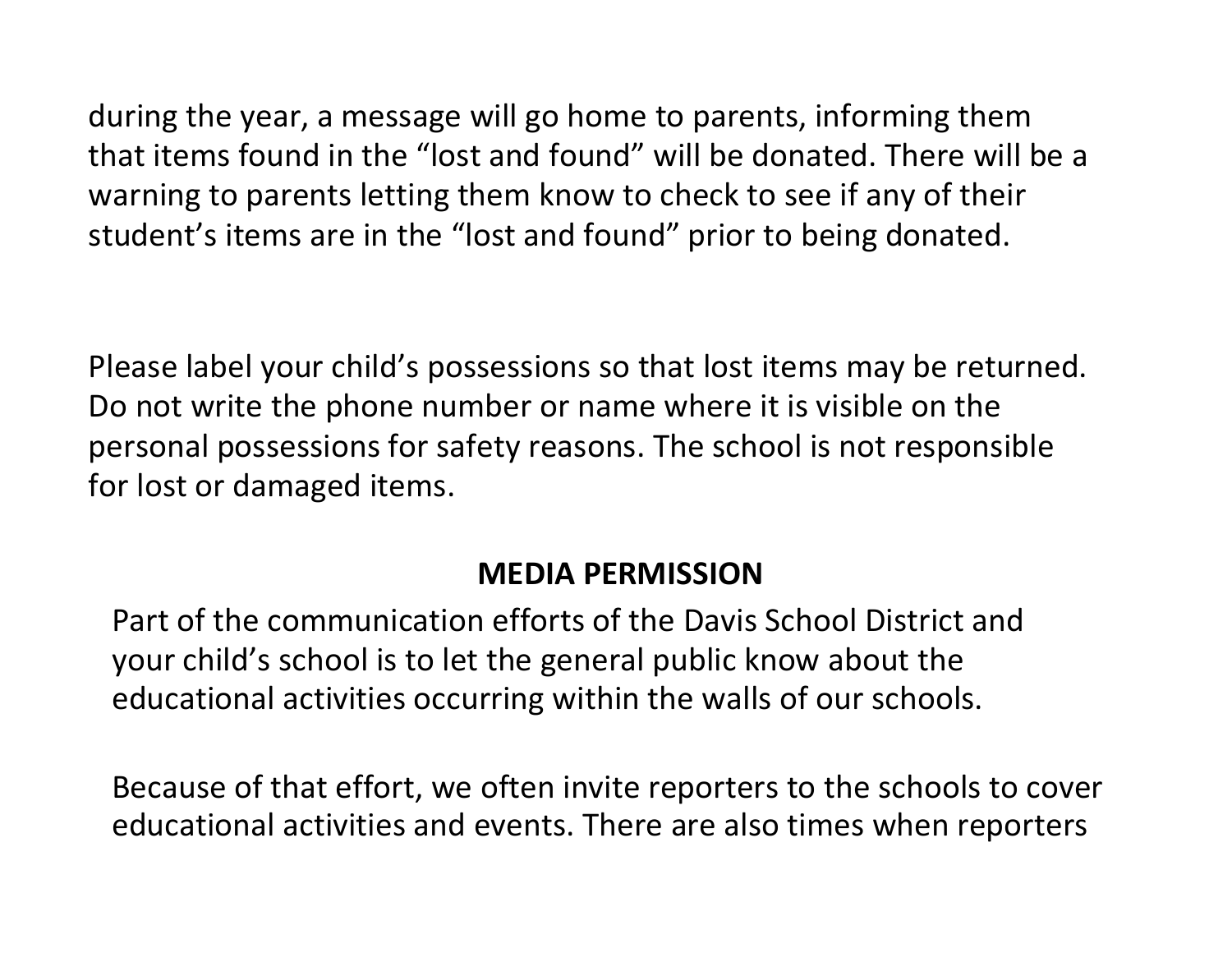during the year, a message will go home to parents, informing them that items found in the "lost and found" will be donated. There will be a warning to parents letting them know to check to see if any of their student's items are in the "lost and found" prior to being donated.

Please label your child's possessions so that lost items may be returned. Do not write the phone number or name where it is visible on the personal possessions for safety reasons. The school is not responsible for lost or damaged items.

#### **MEDIA PERMISSION**

Part of the communication efforts of the Davis School District and your child's school is to let the general public know about the educational activities occurring within the walls of our schools.

Because of that effort, we often invite reporters to the schools to cover educational activities and events. There are also times when reporters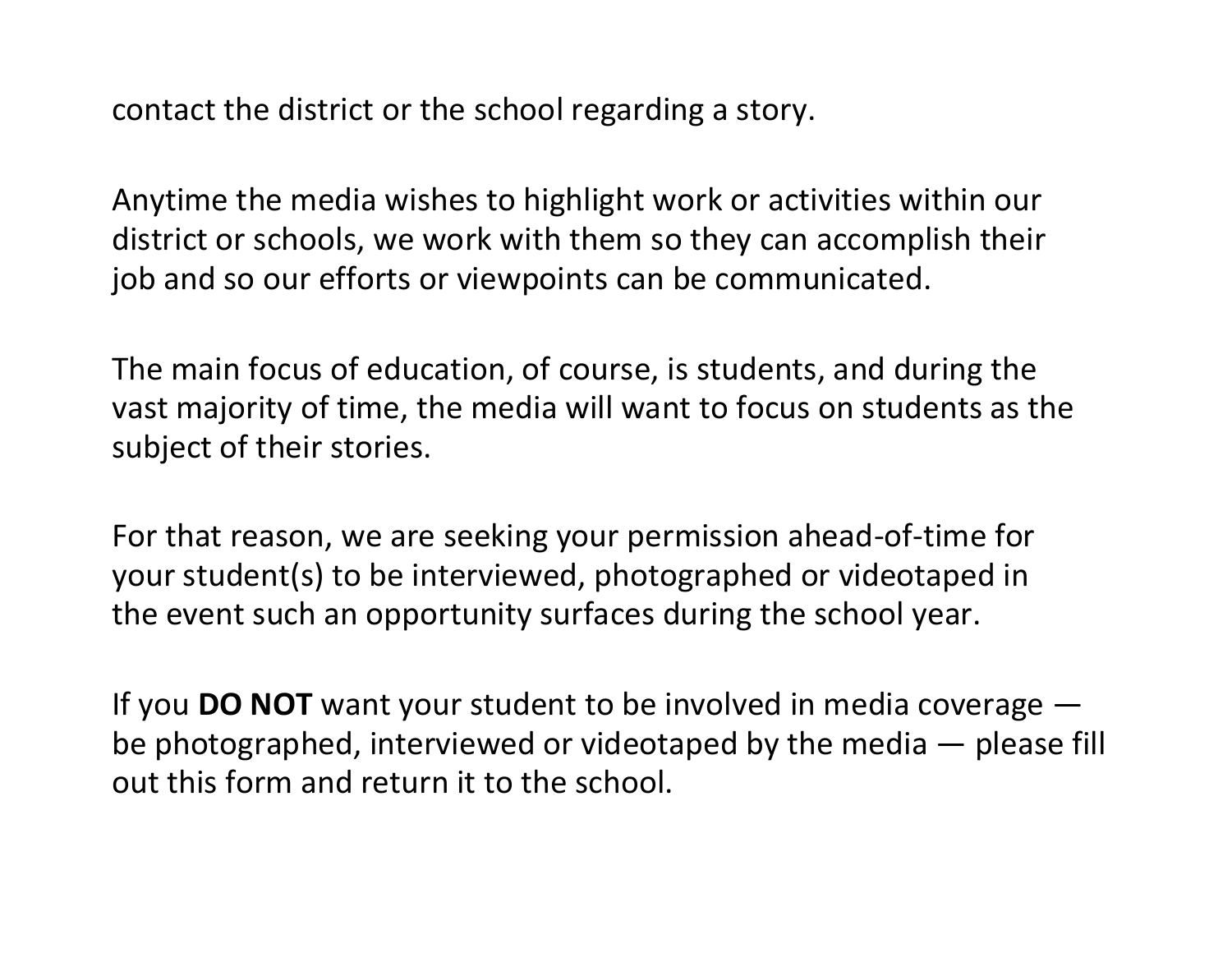contact the district or the school regarding a story.

Anytime the media wishes to highlight work or activities within our district or schools, we work with them so they can accomplish their job and so our efforts or viewpoints can be communicated.

The main focus of education, of course, is students, and during the vast majority of time, the media will want to focus on students as the subject of their stories.

For that reason, we are seeking your permission ahead-of-time for your student(s) to be interviewed, photographed or videotaped in the event such an opportunity surfaces during the school year.

If you **DO NOT** want your student to be involved in media coverage be photographed, interviewed or videotaped by the media — please fill out this form and return it to the school.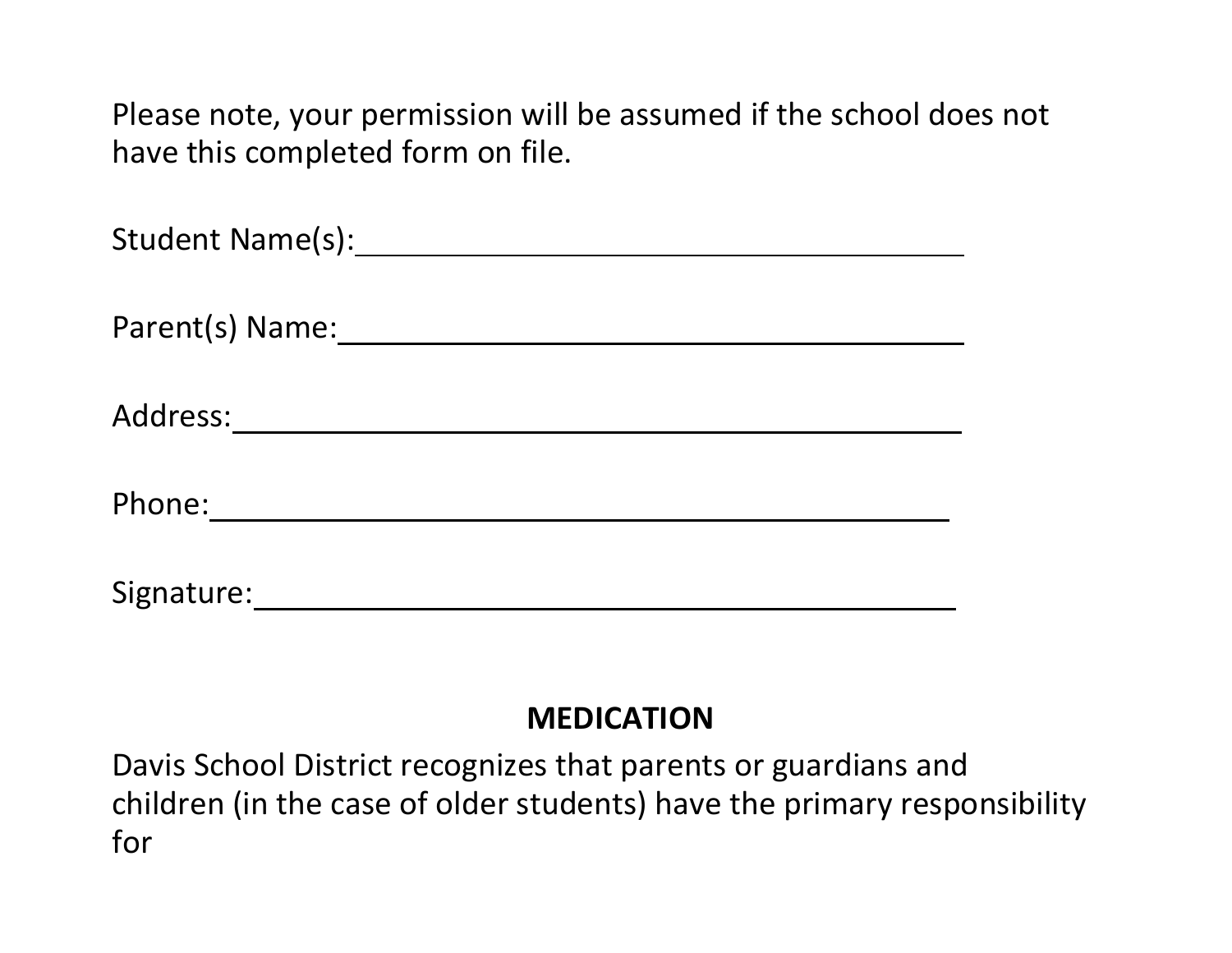Please note, your permission will be assumed if the school does not have this completed form on file.

| Student Name(s): Student Name(s): |
|-----------------------------------|
| Parent(s) Name:                   |
| Address: ________                 |
| Phone:                            |
| Signature:                        |

#### **MEDICATION**

Davis School District recognizes that parents or guardians and children (in the case of older students) have the primary responsibility for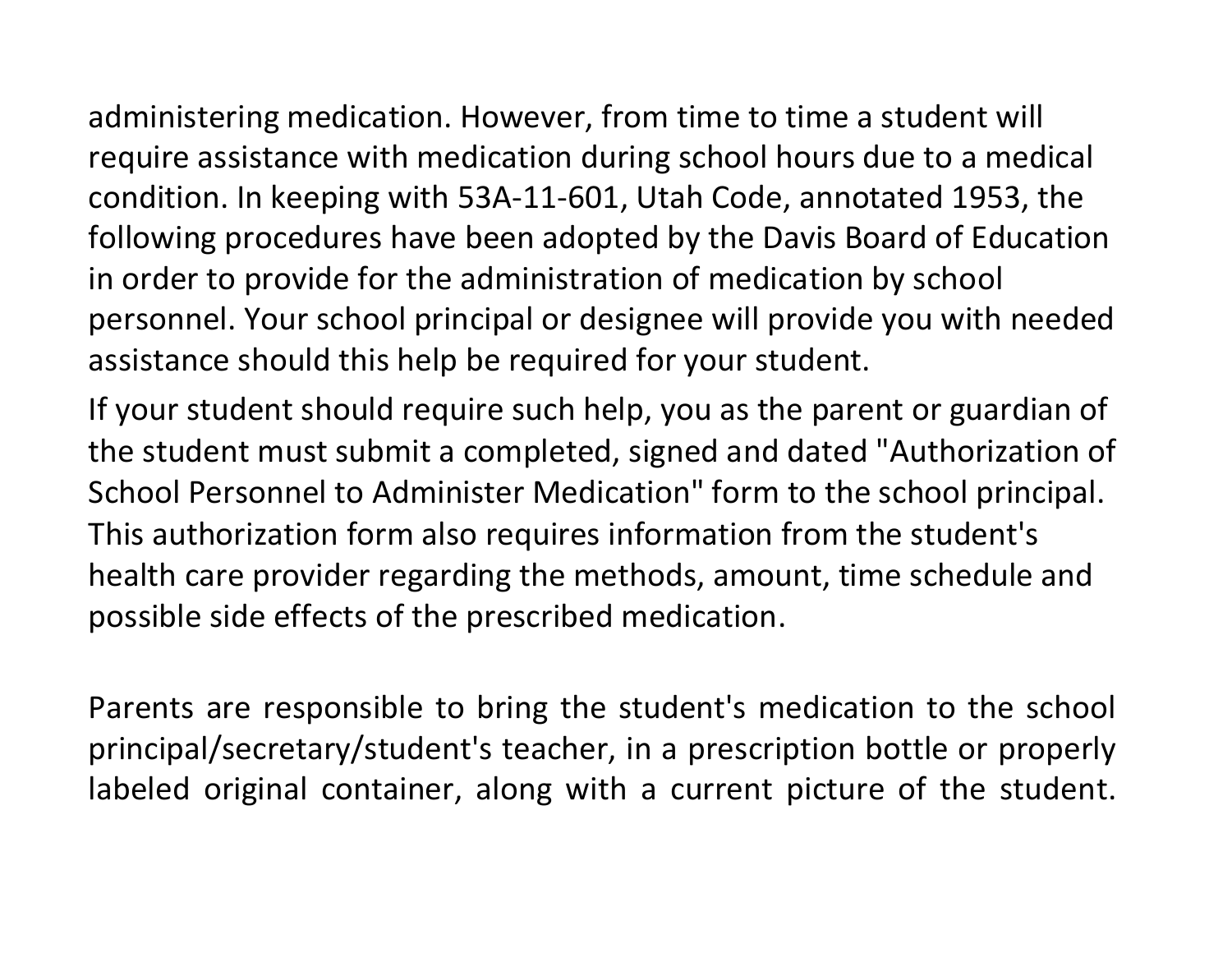administering medication. However, from time to time a student will require assistance with medication during school hours due to a medical condition. In keeping with 53A-11-601, Utah Code, annotated 1953, the following procedures have been adopted by the Davis Board of Education in order to provide for the administration of medication by school personnel. Your school principal or designee will provide you with needed assistance should this help be required for your student.

If your student should require such help, you as the parent or guardian of the student must submit a completed, signed and dated "Authorization of School Personnel to Administer Medication" form to the school principal. This authorization form also requires information from the student's health care provider regarding the methods, amount, time schedule and possible side effects of the prescribed medication.

Parents are responsible to bring the student's medication to the school principal/secretary/student's teacher, in a prescription bottle or properly labeled original container, along with a current picture of the student.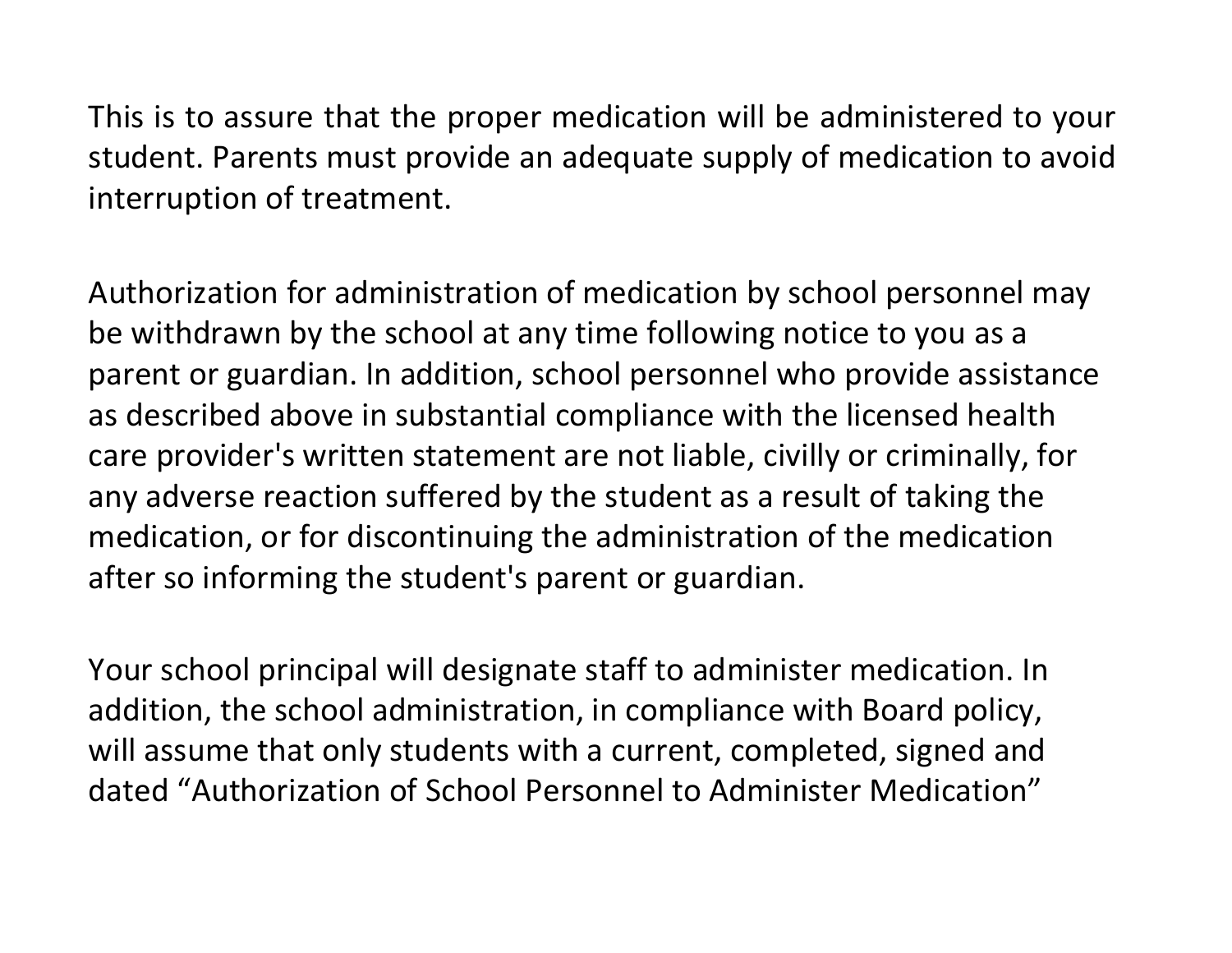This is to assure that the proper medication will be administered to your student. Parents must provide an adequate supply of medication to avoid interruption of treatment.

Authorization for administration of medication by school personnel may be withdrawn by the school at any time following notice to you as a parent or guardian. In addition, school personnel who provide assistance as described above in substantial compliance with the licensed health care provider's written statement are not liable, civilly or criminally, for any adverse reaction suffered by the student as a result of taking the medication, or for discontinuing the administration of the medication after so informing the student's parent or guardian.

Your school principal will designate staff to administer medication. In addition, the school administration, in compliance with Board policy, will assume that only students with a current, completed, signed and dated "Authorization of School Personnel to Administer Medication"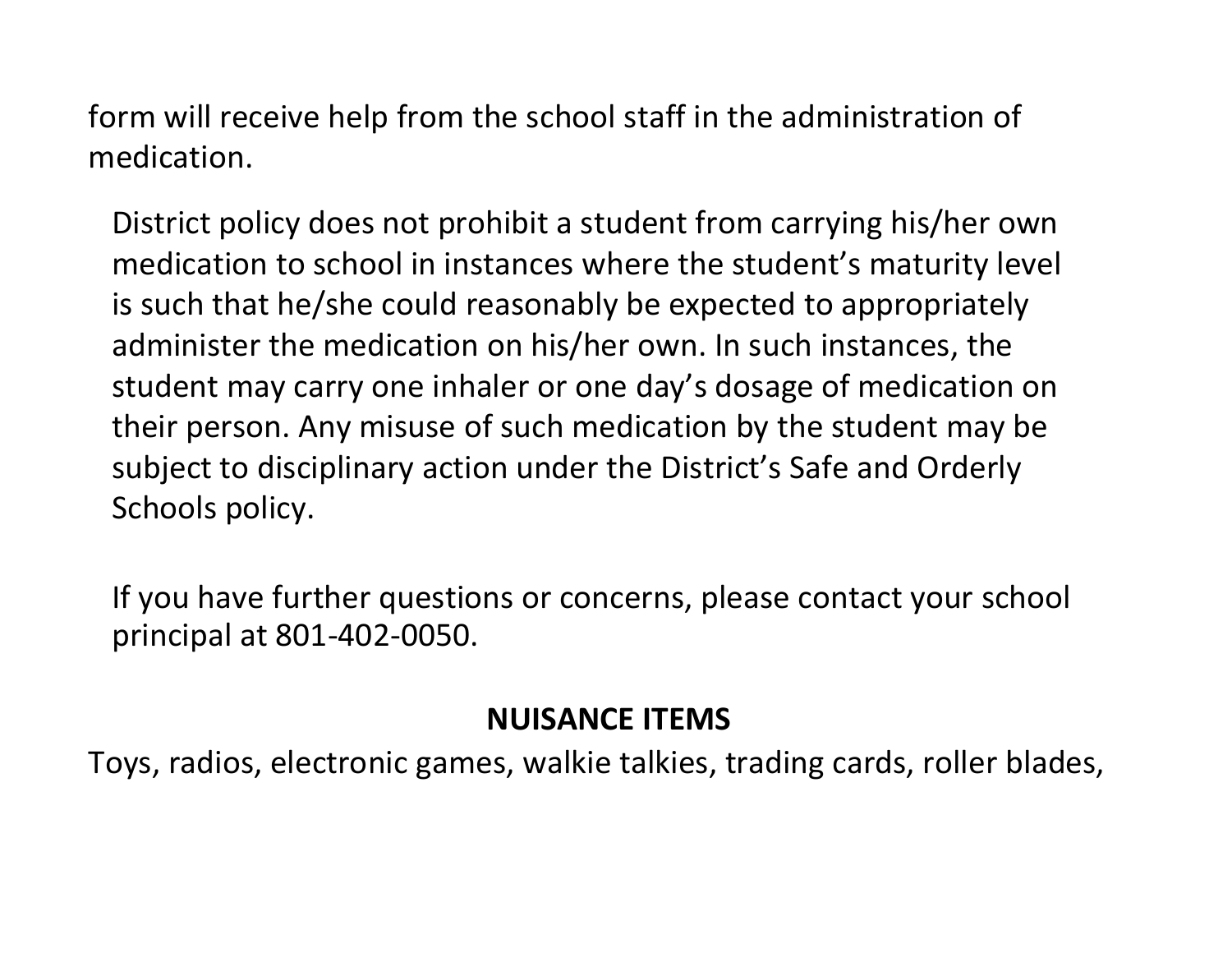form will receive help from the school staff in the administration of medication.

District policy does not prohibit a student from carrying his/her own medication to school in instances where the student's maturity level is such that he/she could reasonably be expected to appropriately administer the medication on his/her own. In such instances, the student may carry one inhaler or one day's dosage of medication on their person. Any misuse of such medication by the student may be subject to disciplinary action under the District's Safe and Orderly Schools policy.

If you have further questions or concerns, please contact your school principal at 801-402-0050.

#### **NUISANCE ITEMS**

Toys, radios, electronic games, walkie talkies, trading cards, roller blades,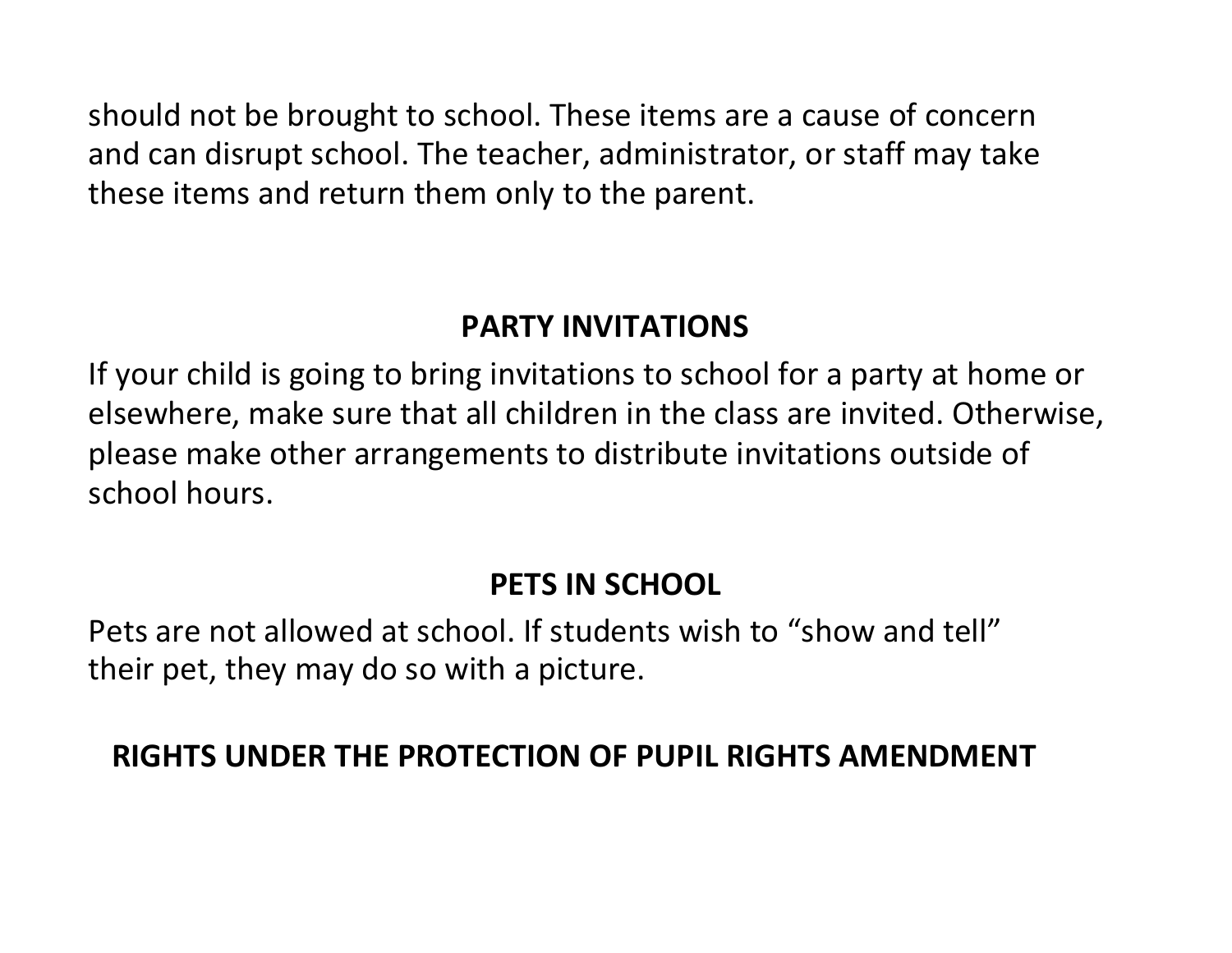should not be brought to school. These items are a cause of concern and can disrupt school. The teacher, administrator, or staff may take these items and return them only to the parent.

#### **PARTY INVITATIONS**

If your child is going to bring invitations to school for a party at home or elsewhere, make sure that all children in the class are invited. Otherwise, please make other arrangements to distribute invitations outside of school hours.

#### **PETS IN SCHOOL**

Pets are not allowed at school. If students wish to "show and tell" their pet, they may do so with a picture.

#### **RIGHTS UNDER THE PROTECTION OF PUPIL RIGHTS AMENDMENT**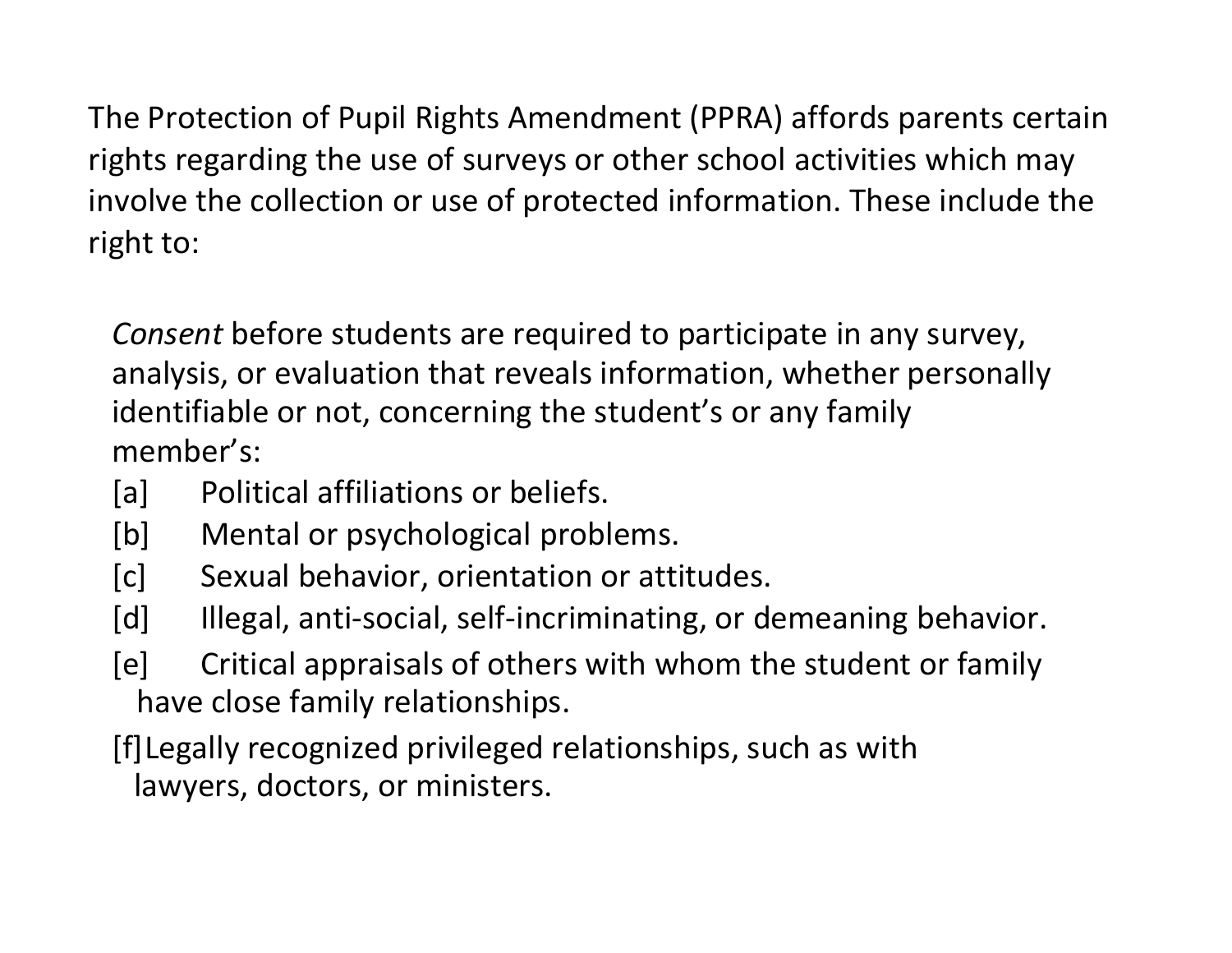The Protection of Pupil Rights Amendment (PPRA) affords parents certain rights regarding the use of surveys or other school activities which may involve the collection or use of protected information. These include the right to:

*Consent* before students are required to participate in any survey, analysis, or evaluation that reveals information, whether personally identifiable or not, concerning the student's or any family member's:

- [a] Political affiliations or beliefs.
- [b] Mental or psychological problems.
- [c] Sexual behavior, orientation or attitudes.
- [d] Illegal, anti-social, self-incriminating, or demeaning behavior.
- [e] Critical appraisals of others with whom the student or family have close family relationships.
- [f]Legally recognized privileged relationships, such as with lawyers, doctors, or ministers.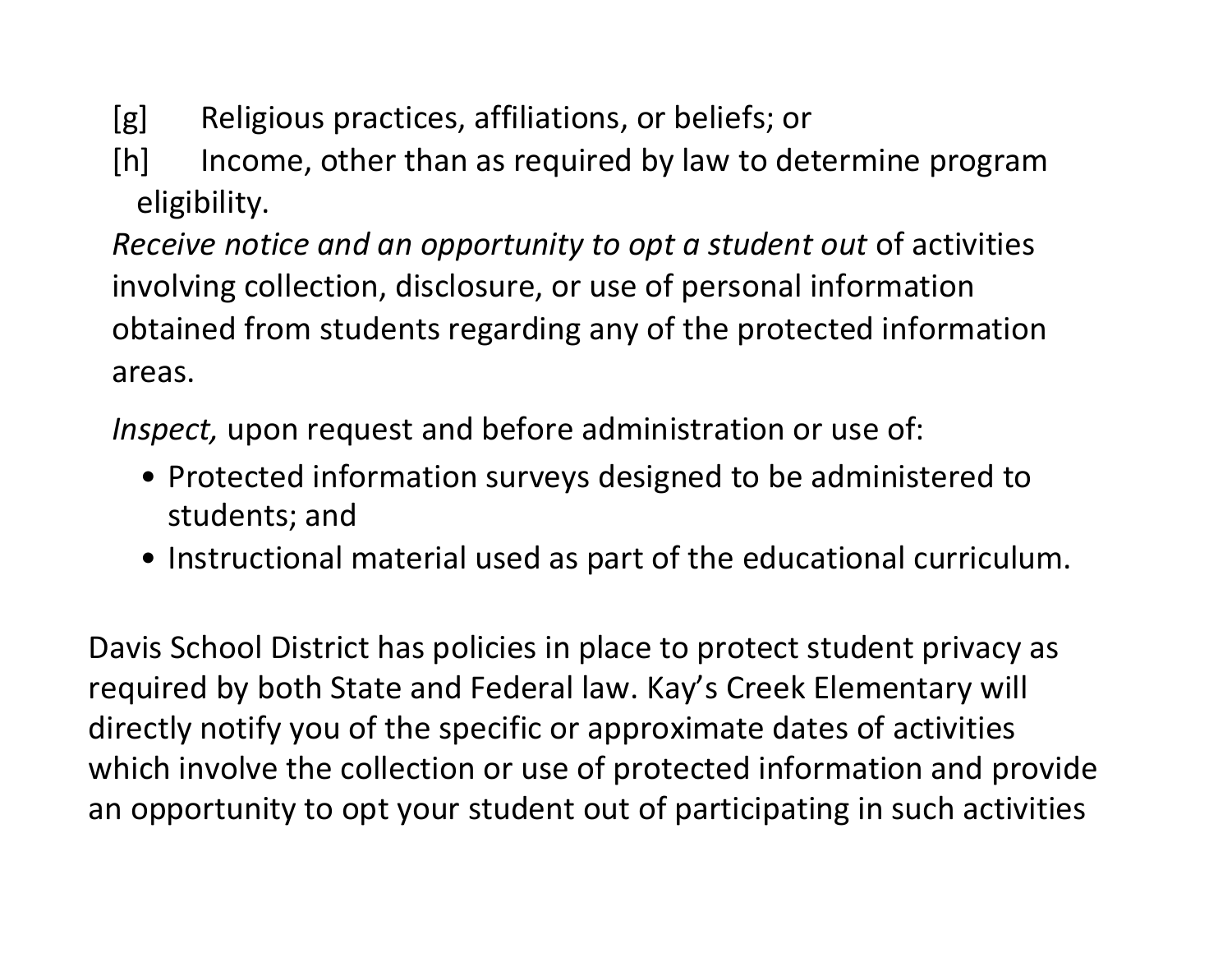- [g] Religious practices, affiliations, or beliefs; or
- [h] Income, other than as required by law to determine program eligibility.

*Receive notice and an opportunity to opt a student out* of activities involving collection, disclosure, or use of personal information obtained from students regarding any of the protected information areas.

*Inspect,* upon request and before administration or use of:

- Protected information surveys designed to be administered to students; and
- Instructional material used as part of the educational curriculum.

Davis School District has policies in place to protect student privacy as required by both State and Federal law. Kay's Creek Elementary will directly notify you of the specific or approximate dates of activities which involve the collection or use of protected information and provide an opportunity to opt your student out of participating in such activities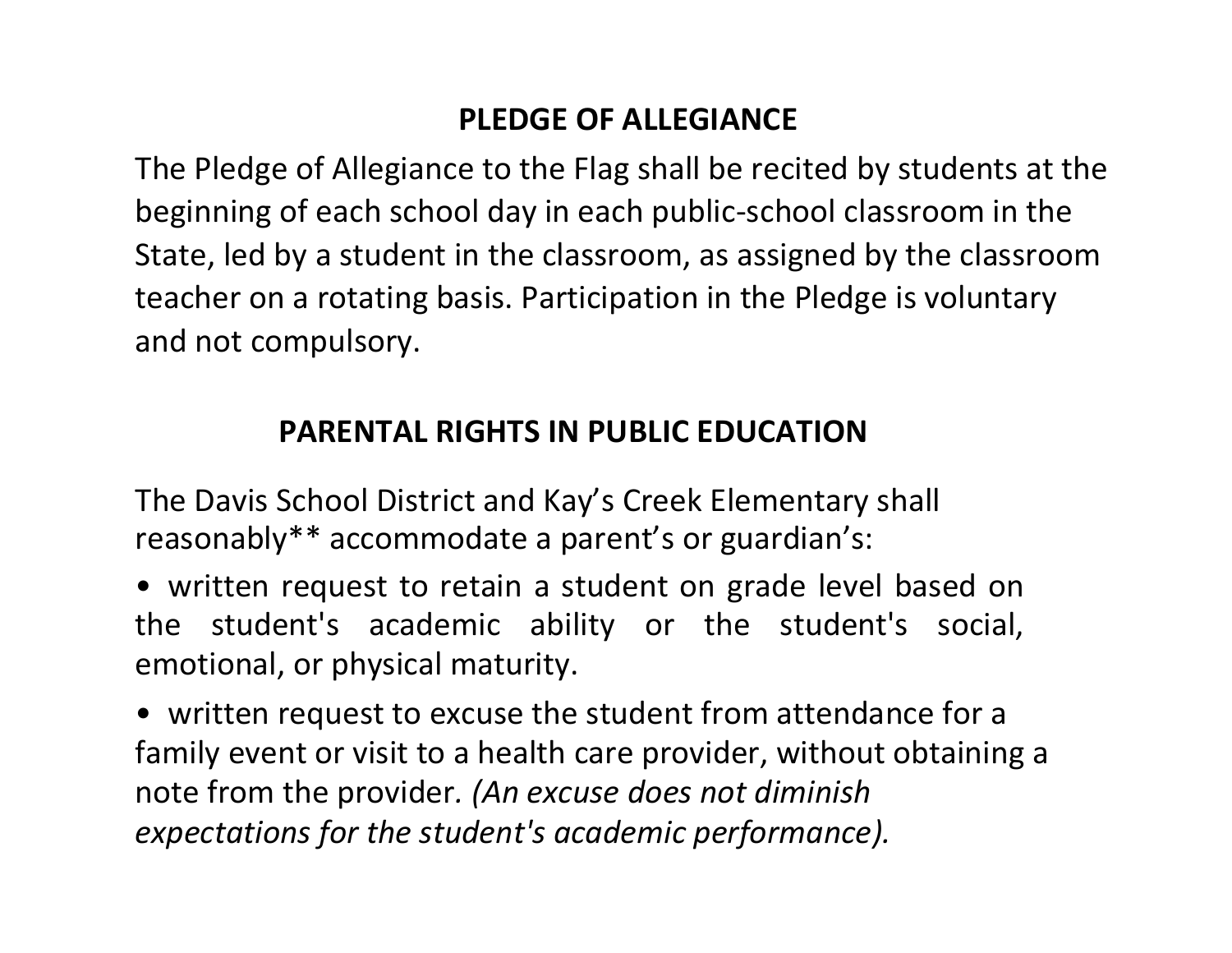### **PLEDGE OF ALLEGIANCE**

The Pledge of Allegiance to the Flag shall be recited by students at the beginning of each school day in each public-school classroom in the State, led by a student in the classroom, as assigned by the classroom teacher on a rotating basis. Participation in the Pledge is voluntary and not compulsory.

#### **PARENTAL RIGHTS IN PUBLIC EDUCATION**

The Davis School District and Kay's Creek Elementary shall reasonably\*\* accommodate a parent's or guardian's:

• written request to retain a student on grade level based on the student's academic ability or the student's social, emotional, or physical maturity.

• written request to excuse the student from attendance for a family event or visit to a health care provider, without obtaining a note from the provider*. (An excuse does not diminish expectations for the student's academic performance).*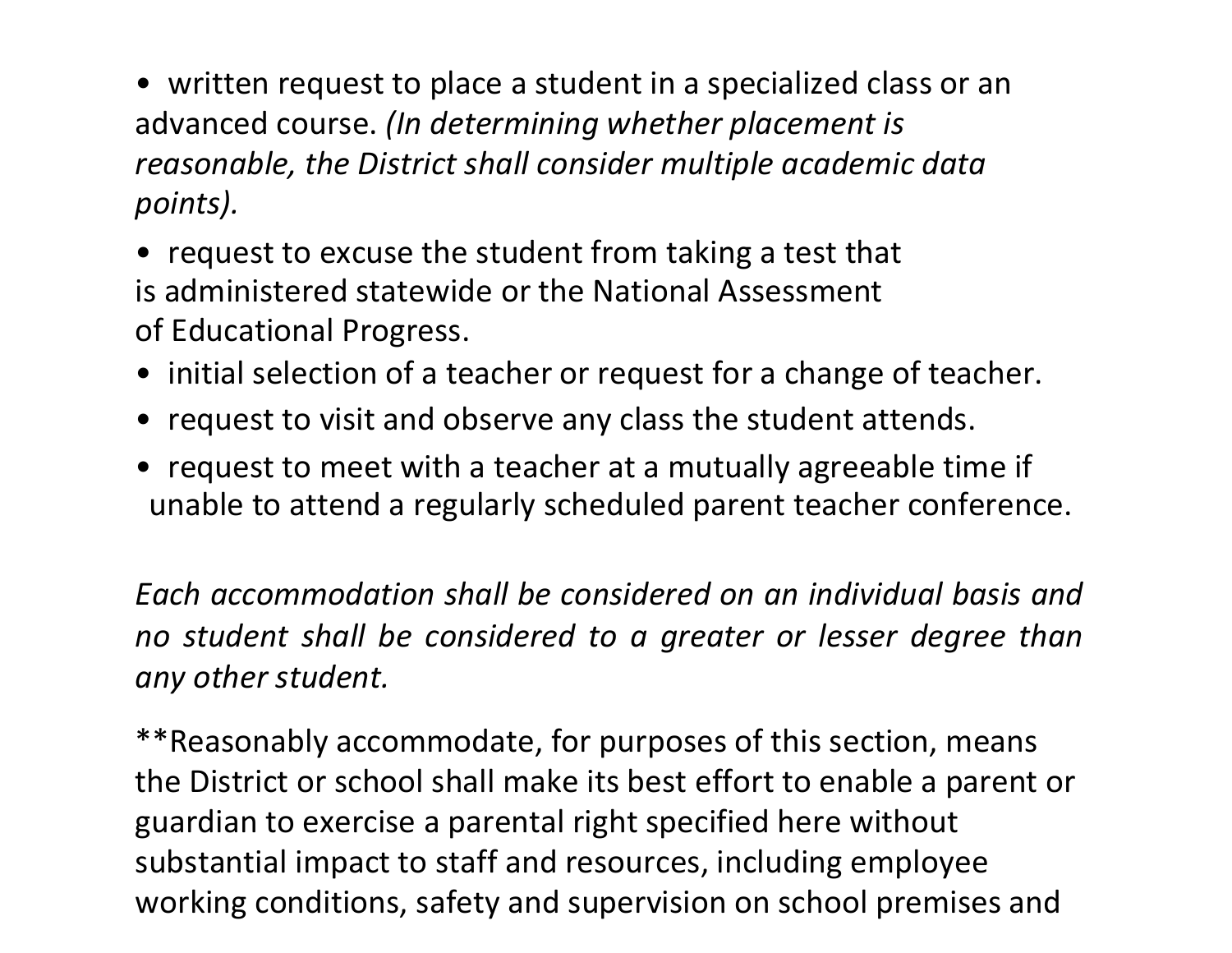• written request to place a student in a specialized class or an advanced course. *(In determining whether placement is reasonable, the District shall consider multiple academic data points).*

• request to excuse the student from taking a test that is administered statewide or the National Assessment of Educational Progress.

- initial selection of a teacher or request for a change of teacher.
- request to visit and observe any class the student attends.
- request to meet with a teacher at a mutually agreeable time if unable to attend a regularly scheduled parent teacher conference.

*Each accommodation shall be considered on an individual basis and no student shall be considered to a greater or lesser degree than any other student.*

\*\*Reasonably accommodate, for purposes of this section, means the District or school shall make its best effort to enable a parent or guardian to exercise a parental right specified here without substantial impact to staff and resources, including employee working conditions, safety and supervision on school premises and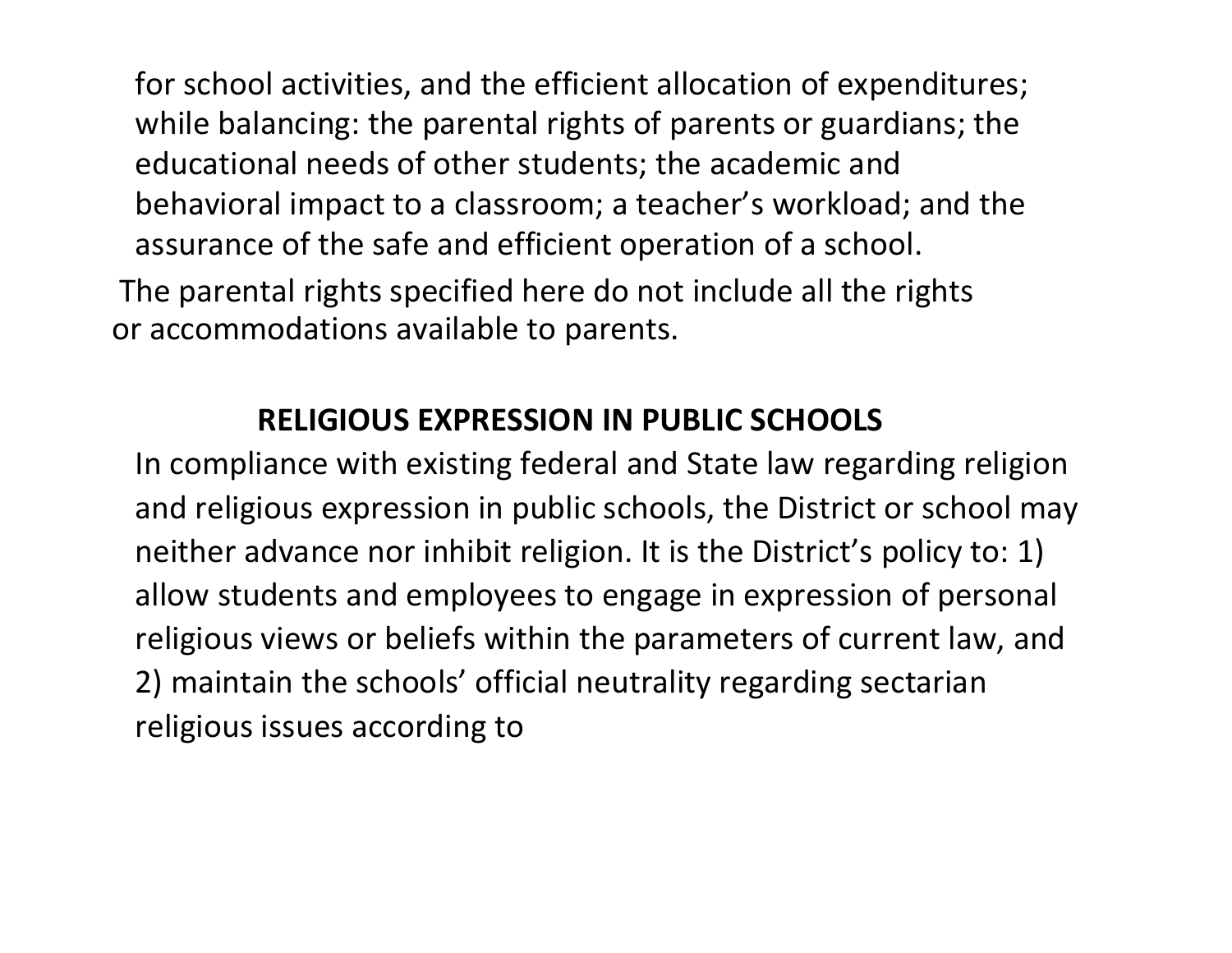for school activities, and the efficient allocation of expenditures; while balancing: the parental rights of parents or guardians; the educational needs of other students; the academic and behavioral impact to a classroom; a teacher's workload; and the assurance of the safe and efficient operation of a school.

The parental rights specified here do not include all the rights or accommodations available to parents.

#### **RELIGIOUS EXPRESSION IN PUBLIC SCHOOLS**

In compliance with existing federal and State law regarding religion and religious expression in public schools, the District or school may neither advance nor inhibit religion. It is the District's policy to: 1) allow students and employees to engage in expression of personal religious views or beliefs within the parameters of current law, and 2) maintain the schools' official neutrality regarding sectarian religious issues according to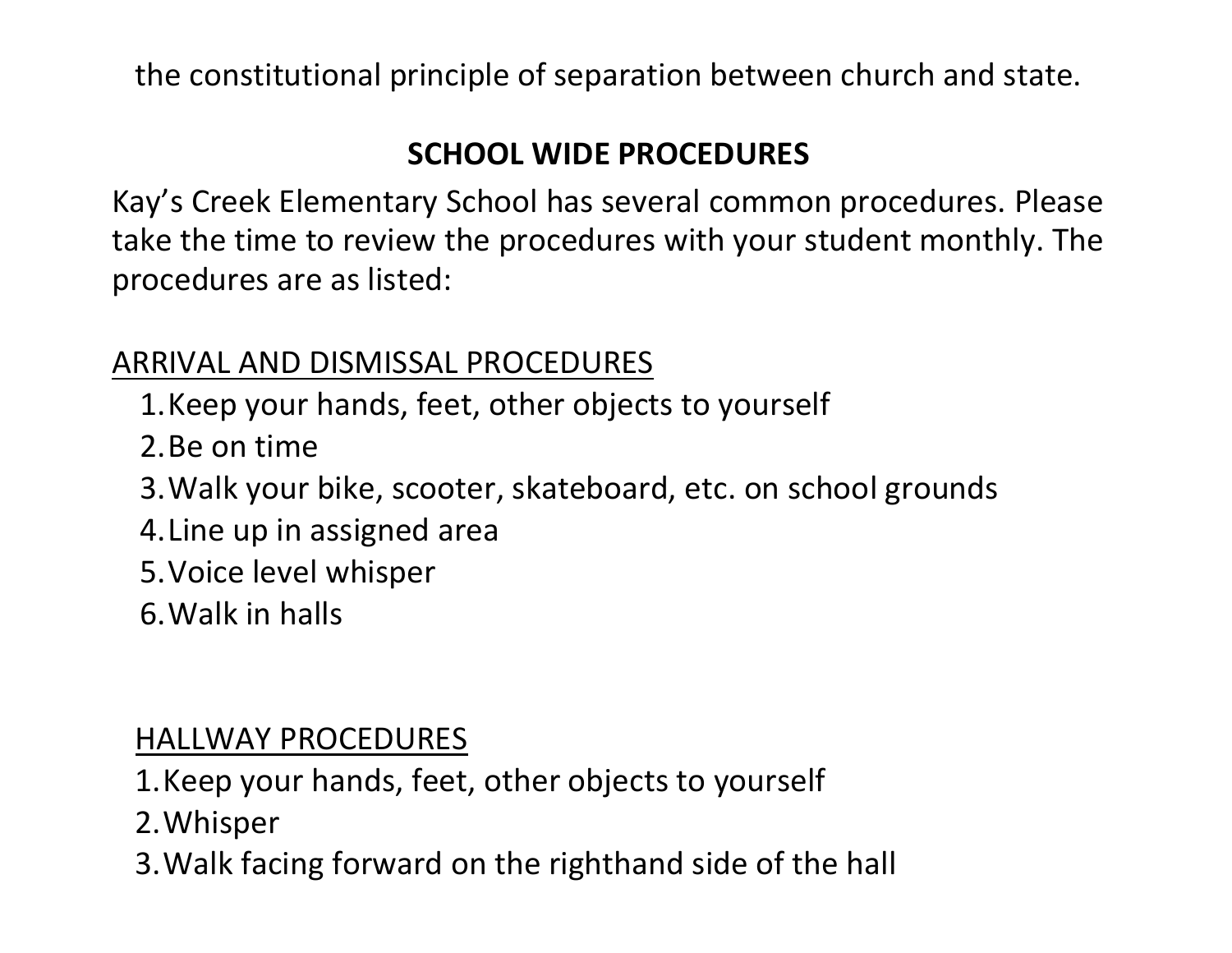the constitutional principle of separation between church and state.

# **SCHOOL WIDE PROCEDURES**

Kay's Creek Elementary School has several common procedures. Please take the time to review the procedures with your student monthly. The procedures are as listed:

#### ARRIVAL AND DISMISSAL PROCEDURES

- 1.Keep your hands, feet, other objects to yourself
- 2.Be on time
- 3.Walk your bike, scooter, skateboard, etc. on school grounds
- 4.Line up in assigned area
- 5.Voice level whisper
- 6.Walk in halls

#### HALLWAY PROCEDURES

- 1.Keep your hands, feet, other objects to yourself
- 2.Whisper
- 3.Walk facing forward on the righthand side of the hall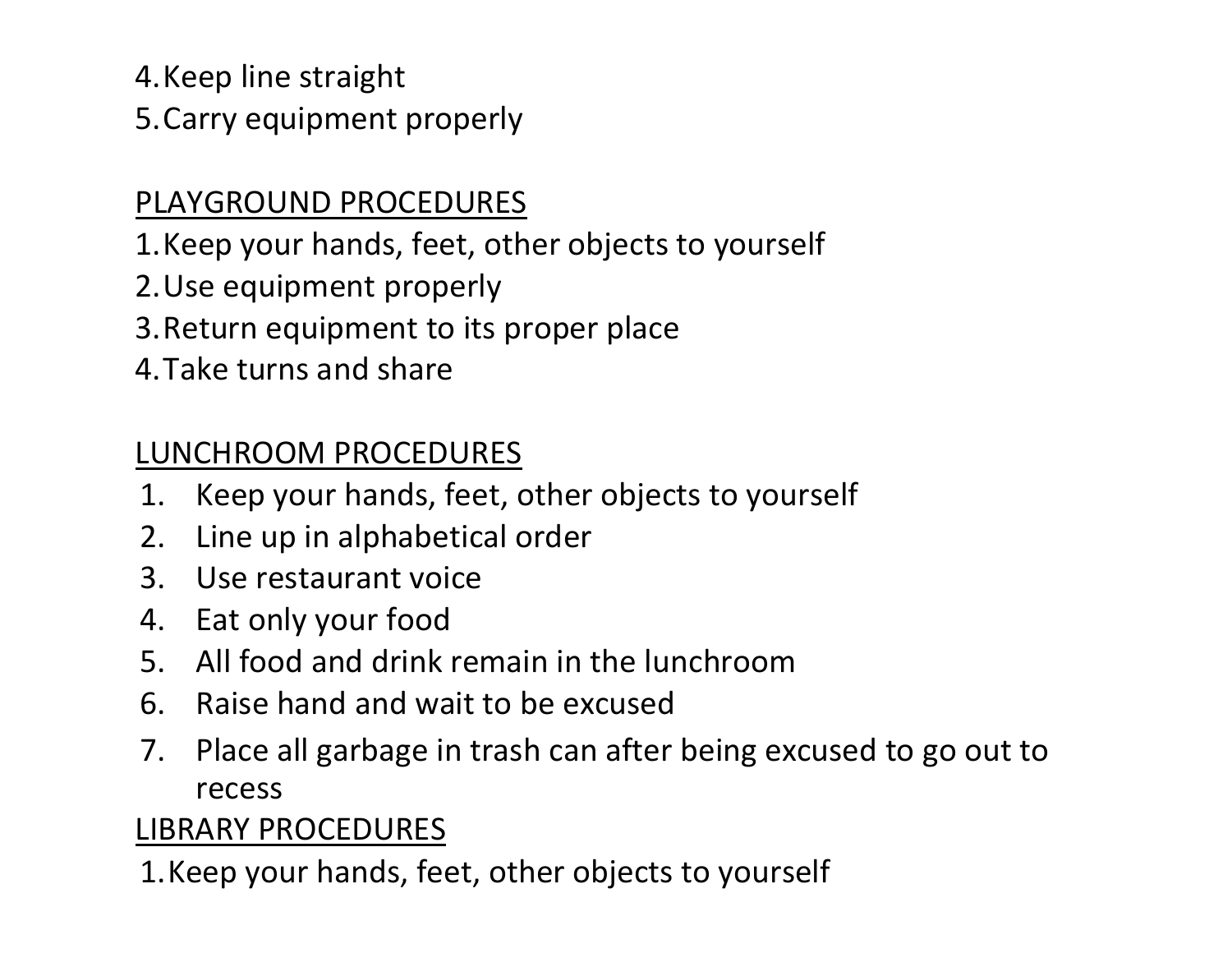4.Keep line straight

5.Carry equipment properly

### PLAYGROUND PROCEDURES

1.Keep your hands, feet, other objects to yourself

2.Use equipment properly

3.Return equipment to its proper place

4.Take turns and share

# LUNCHROOM PROCEDURES

- 1. Keep your hands, feet, other objects to yourself
- 2. Line up in alphabetical order
- 3. Use restaurant voice
- 4. Eat only your food
- 5. All food and drink remain in the lunchroom
- 6. Raise hand and wait to be excused
- 7. Place all garbage in trash can after being excused to go out to recess

# LIBRARY PROCEDURES

1.Keep your hands, feet, other objects to yourself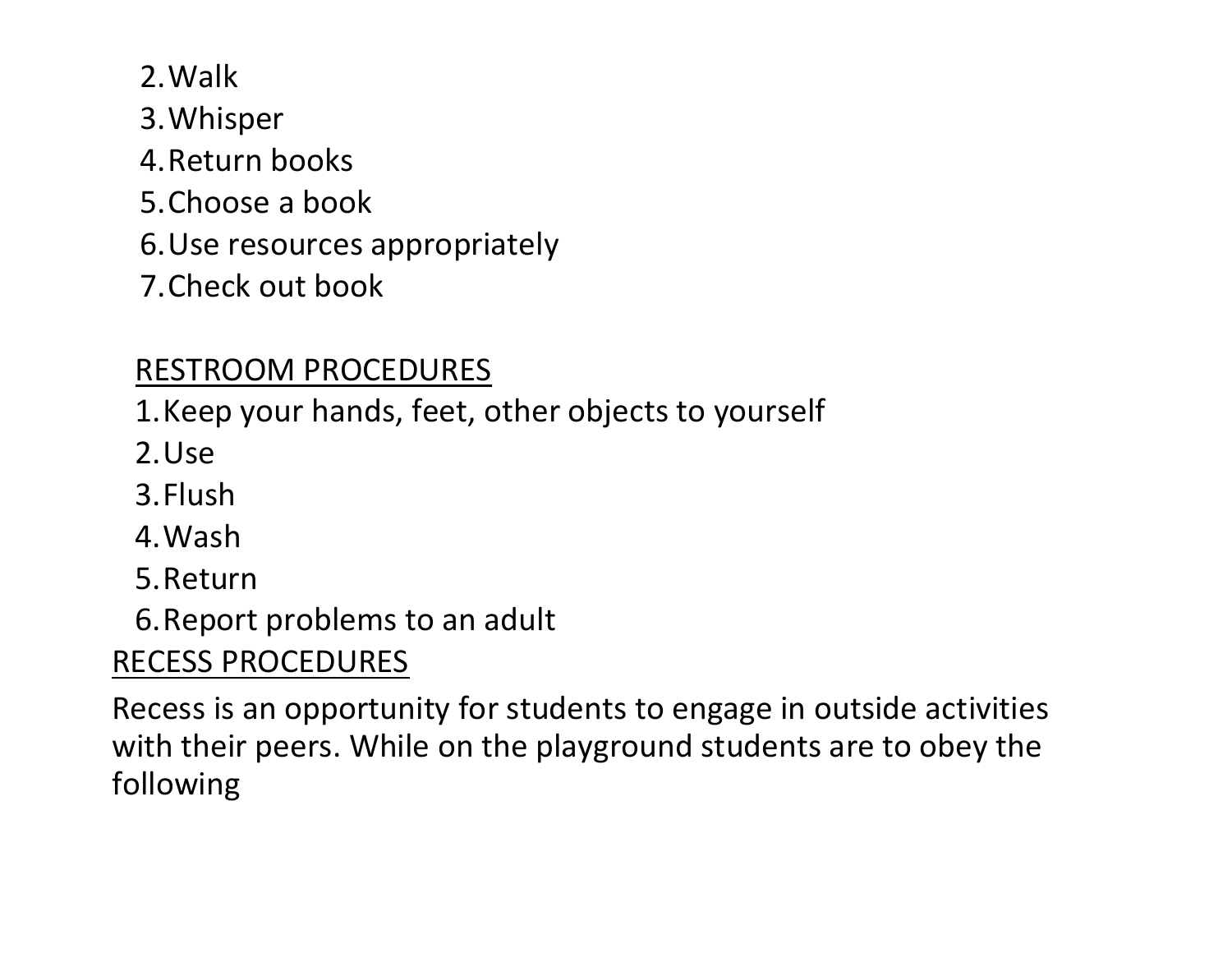2.Walk

- 3.Whisper
- 4.Return books
- 5.Choose a book
- 6.Use resources appropriately
- 7.Check out book

# RESTROOM PROCEDURES

1.Keep your hands, feet, other objects to yourself

- 2.Use
- 3.Flush
- 4.Wash
- 5.Return
- 6.Report problems to an adult

# RECESS PROCEDURES

Recess is an opportunity for students to engage in outside activities with their peers. While on the playground students are to obey the following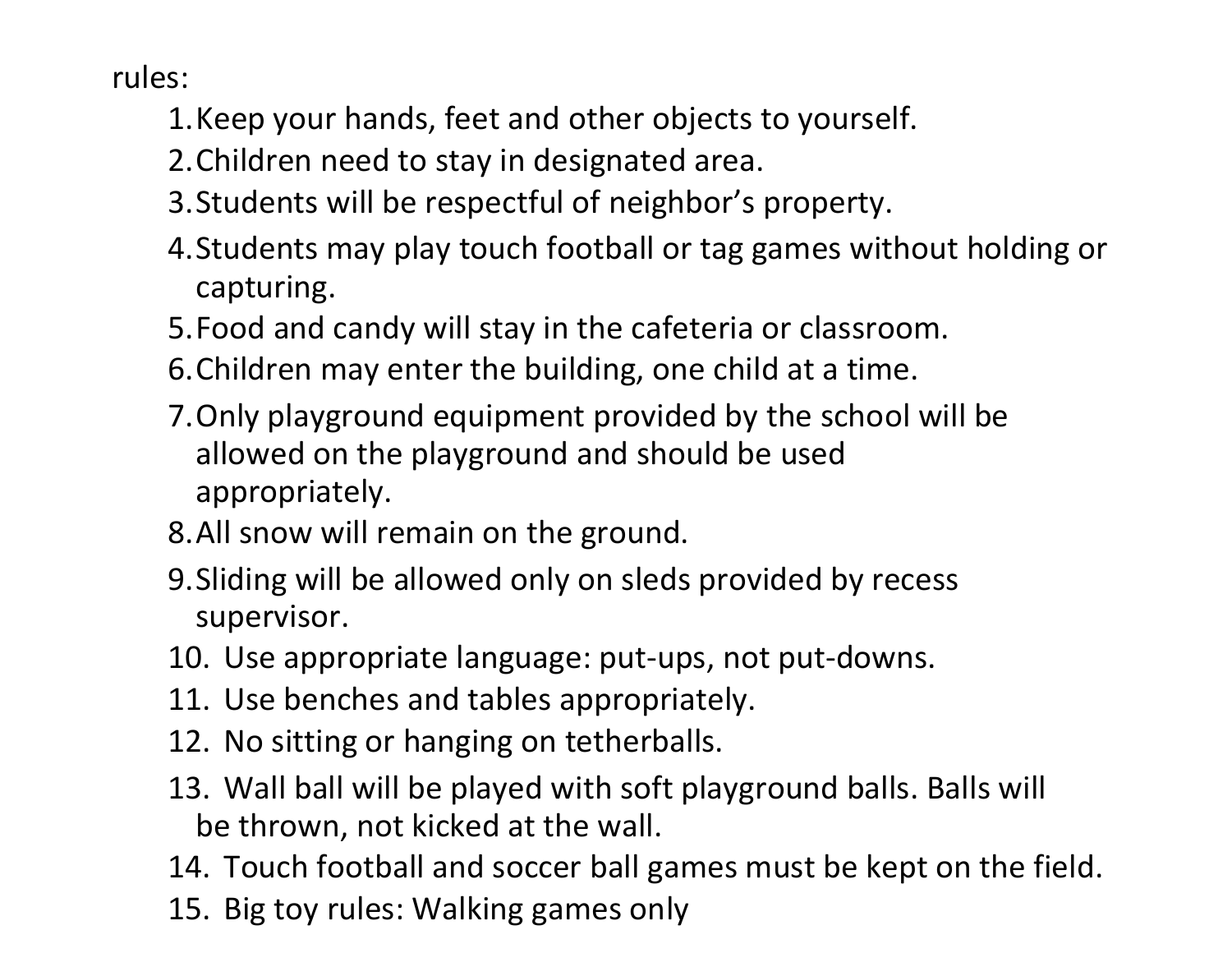rules:

- 1.Keep your hands, feet and other objects to yourself.
- 2.Children need to stay in designated area.
- 3.Students will be respectful of neighbor's property.
- 4.Students may play touch football or tag games without holding or capturing.
- 5.Food and candy will stay in the cafeteria or classroom.
- 6.Children may enter the building, one child at a time.
- 7.Only playground equipment provided by the school will be allowed on the playground and should be used appropriately.
- 8.All snow will remain on the ground.
- 9.Sliding will be allowed only on sleds provided by recess supervisor.
- 10. Use appropriate language: put-ups, not put-downs.
- 11. Use benches and tables appropriately.
- 12. No sitting or hanging on tetherballs.
- 13. Wall ball will be played with soft playground balls. Balls will be thrown, not kicked at the wall.
- 14. Touch football and soccer ball games must be kept on the field.
- 15. Big toy rules: Walking games only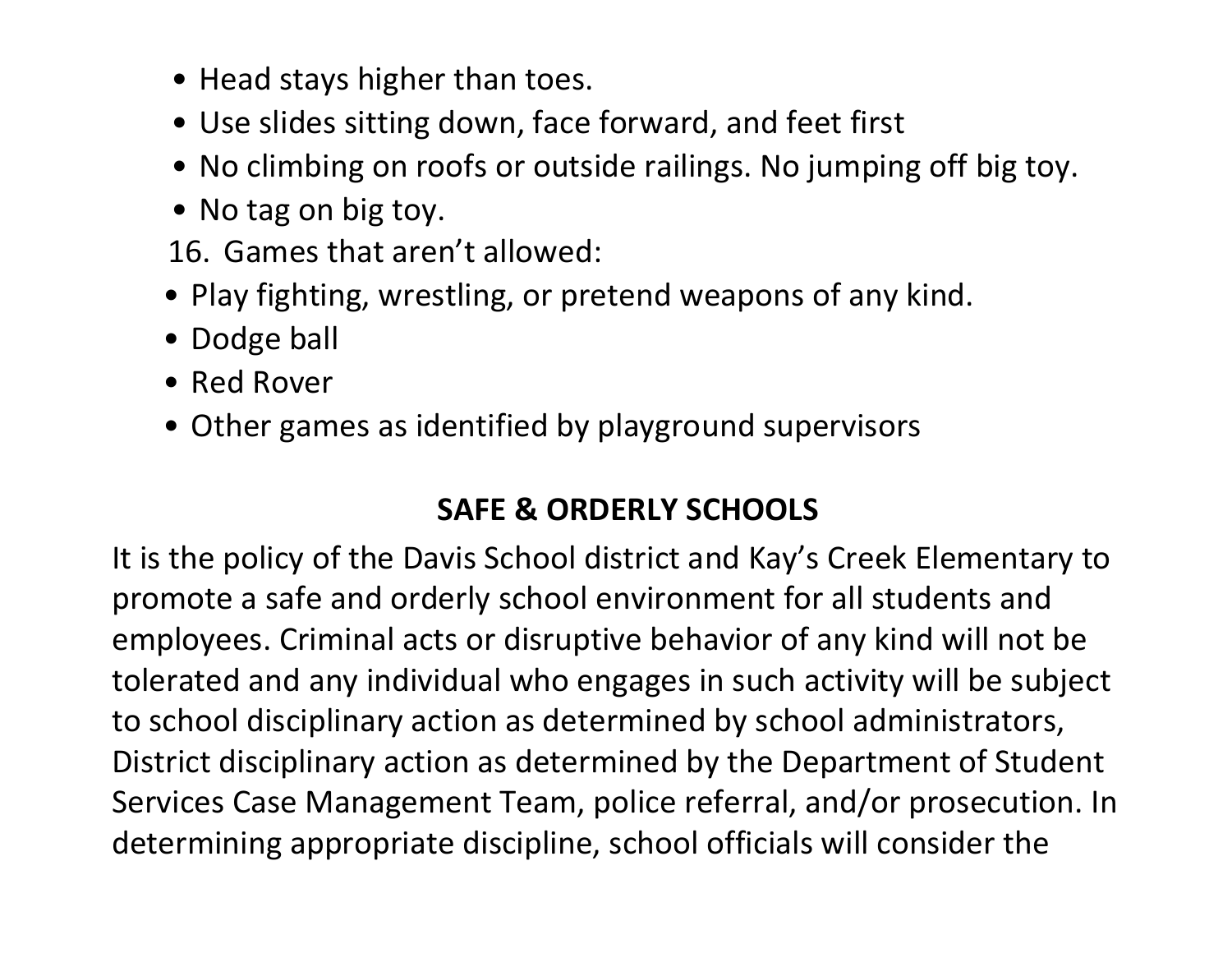- Head stays higher than toes.
- Use slides sitting down, face forward, and feet first
- No climbing on roofs or outside railings. No jumping off big toy.
- No tag on big toy.
- 16. Games that aren't allowed:
- Play fighting, wrestling, or pretend weapons of any kind.
- Dodge ball
- Red Rover
- Other games as identified by playground supervisors

#### **SAFE & ORDERLY SCHOOLS**

It is the policy of the Davis School district and Kay's Creek Elementary to promote a safe and orderly school environment for all students and employees. Criminal acts or disruptive behavior of any kind will not be tolerated and any individual who engages in such activity will be subject to school disciplinary action as determined by school administrators, District disciplinary action as determined by the Department of Student Services Case Management Team, police referral, and/or prosecution. In determining appropriate discipline, school officials will consider the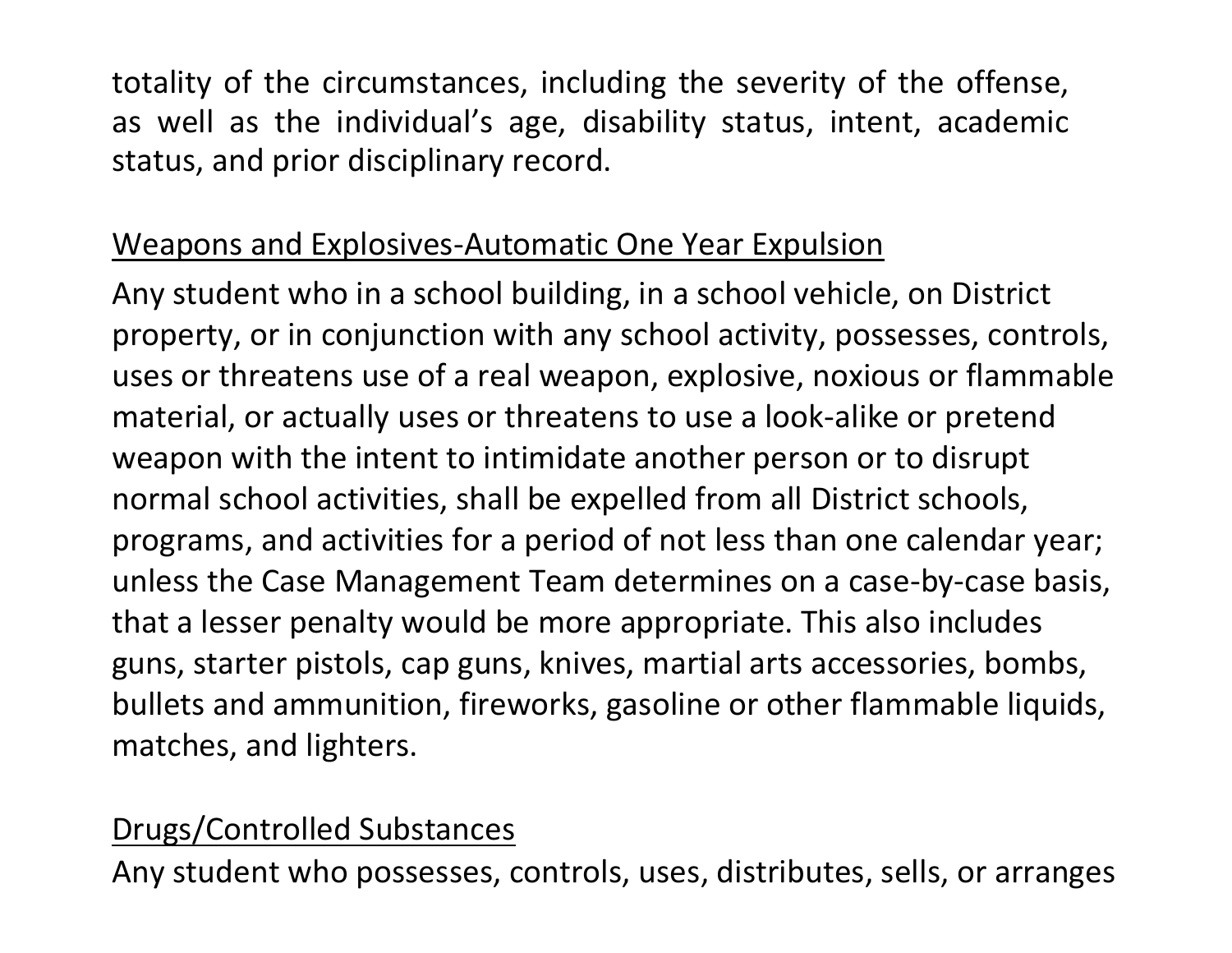totality of the circumstances, including the severity of the offense, as well as the individual's age, disability status, intent, academic status, and prior disciplinary record.

### Weapons and Explosives-Automatic One Year Expulsion

Any student who in a school building, in a school vehicle, on District property, or in conjunction with any school activity, possesses, controls, uses or threatens use of a real weapon, explosive, noxious or flammable material, or actually uses or threatens to use a look-alike or pretend weapon with the intent to intimidate another person or to disrupt normal school activities, shall be expelled from all District schools, programs, and activities for a period of not less than one calendar year; unless the Case Management Team determines on a case-by-case basis, that a lesser penalty would be more appropriate. This also includes guns, starter pistols, cap guns, knives, martial arts accessories, bombs, bullets and ammunition, fireworks, gasoline or other flammable liquids, matches, and lighters.

#### Drugs/Controlled Substances

Any student who possesses, controls, uses, distributes, sells, or arranges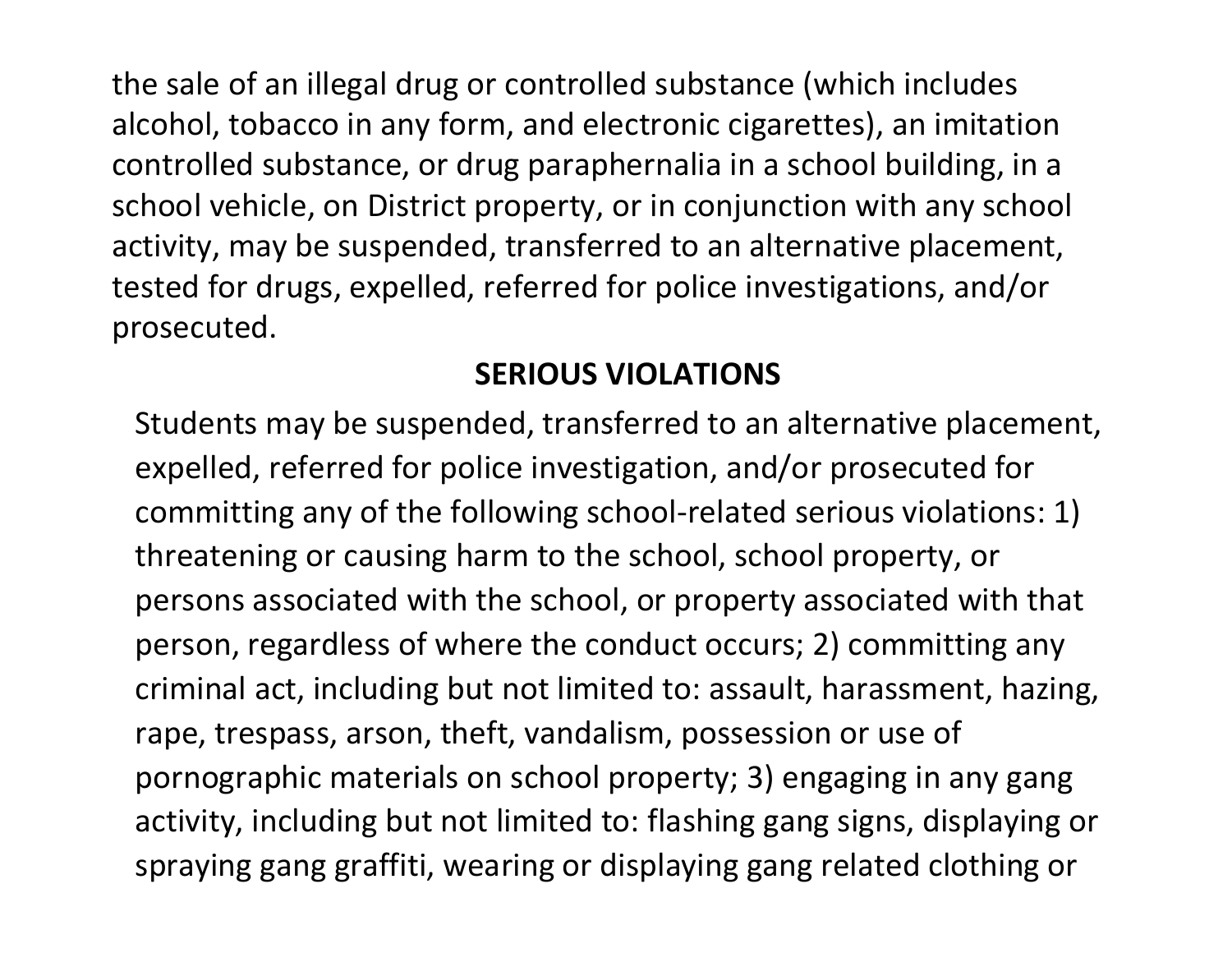the sale of an illegal drug or controlled substance (which includes alcohol, tobacco in any form, and electronic cigarettes), an imitation controlled substance, or drug paraphernalia in a school building, in a school vehicle, on District property, or in conjunction with any school activity, may be suspended, transferred to an alternative placement, tested for drugs, expelled, referred for police investigations, and/or prosecuted.

### **SERIOUS VIOLATIONS**

Students may be suspended, transferred to an alternative placement, expelled, referred for police investigation, and/or prosecuted for committing any of the following school-related serious violations: 1) threatening or causing harm to the school, school property, or persons associated with the school, or property associated with that person, regardless of where the conduct occurs; 2) committing any criminal act, including but not limited to: assault, harassment, hazing, rape, trespass, arson, theft, vandalism, possession or use of pornographic materials on school property; 3) engaging in any gang activity, including but not limited to: flashing gang signs, displaying or spraying gang graffiti, wearing or displaying gang related clothing or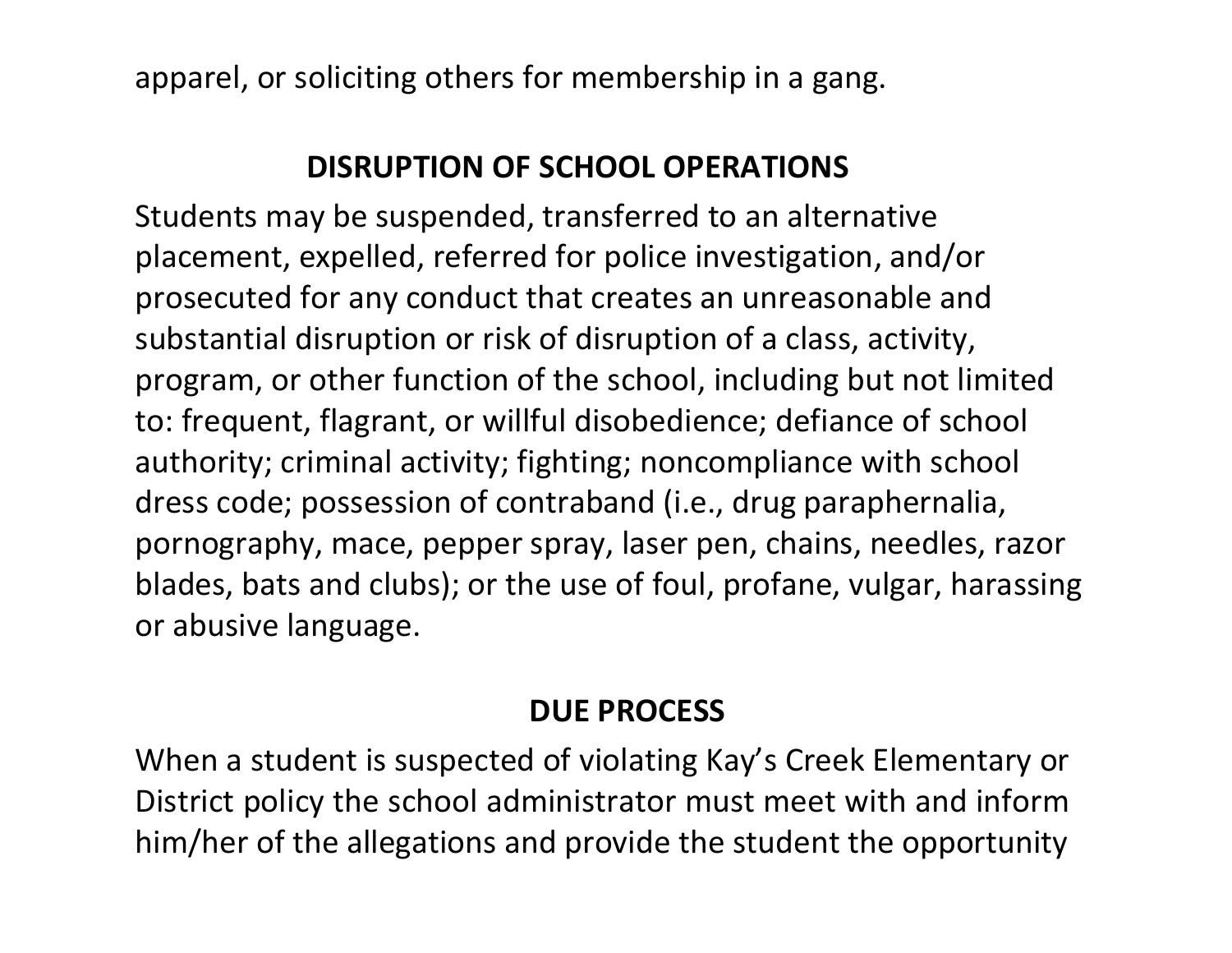apparel, or soliciting others for membership in a gang.

#### **DISRUPTION OF SCHOOL OPERATIONS**

Students may be suspended, transferred to an alternative placement, expelled, referred for police investigation, and/or prosecuted for any conduct that creates an unreasonable and substantial disruption or risk of disruption of a class, activity, program, or other function of the school, including but not limited to: frequent, flagrant, or willful disobedience; defiance of school authority; criminal activity; fighting; noncompliance with school dress code; possession of contraband (i.e., drug paraphernalia, pornography, mace, pepper spray, laser pen, chains, needles, razor blades, bats and clubs); or the use of foul, profane, vulgar, harassing or abusive language.

### **DUE PROCESS**

When a student is suspected of violating Kay's Creek Elementary or District policy the school administrator must meet with and inform him/her of the allegations and provide the student the opportunity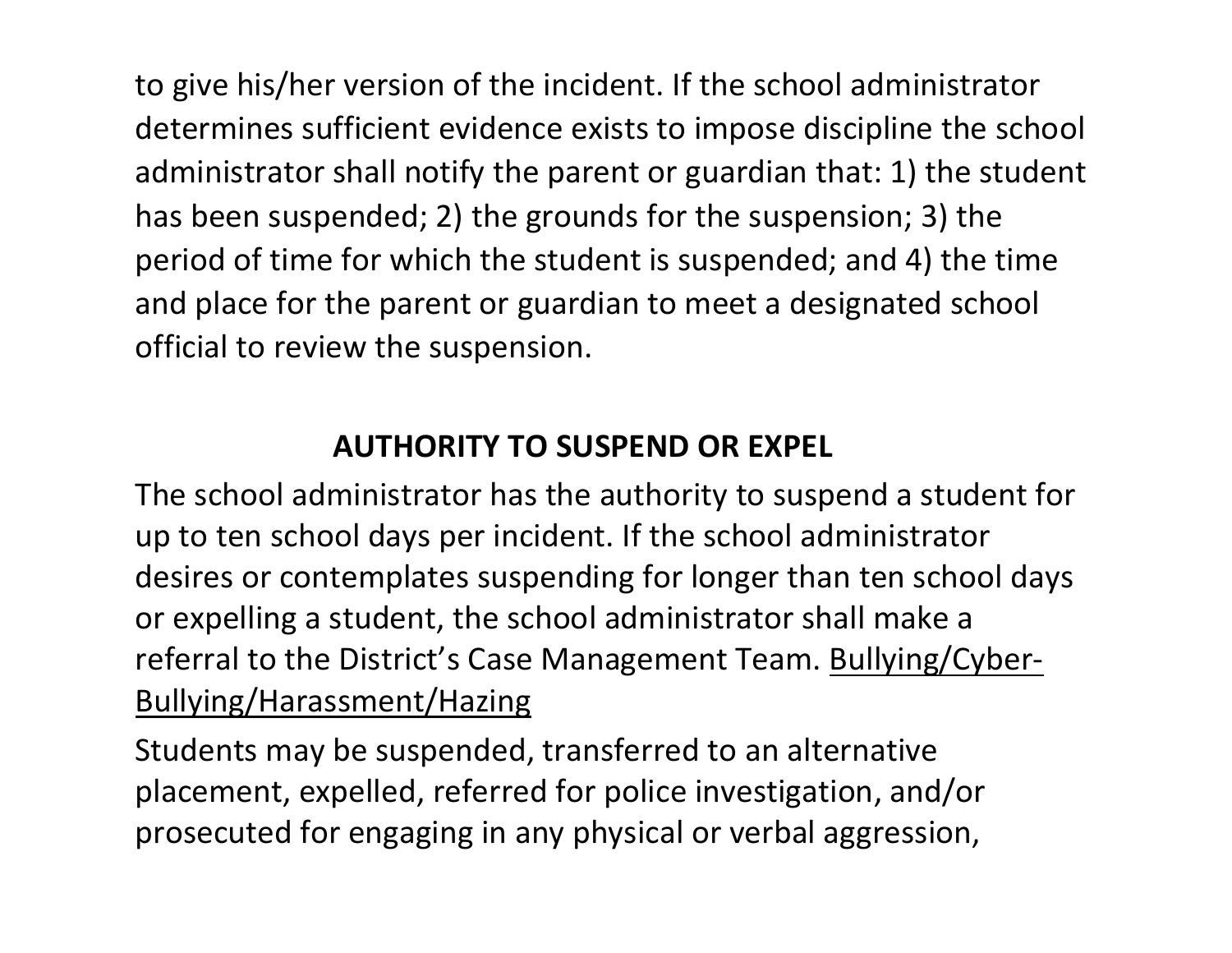to give his/her version of the incident. If the school administrator determines sufficient evidence exists to impose discipline the school administrator shall notify the parent or guardian that: 1) the student has been suspended; 2) the grounds for the suspension; 3) the period of time for which the student is suspended; and 4) the time and place for the parent or guardian to meet a designated school official to review the suspension.

### **AUTHORITY TO SUSPEND OR EXPEL**

The school administrator has the authority to suspend a student for up to ten school days per incident. If the school administrator desires or contemplates suspending for longer than ten school days or expelling a student, the school administrator shall make a referral to the District's Case Management Team. Bullying/Cyber-Bullying/Harassment/Hazing

Students may be suspended, transferred to an alternative placement, expelled, referred for police investigation, and/or prosecuted for engaging in any physical or verbal aggression,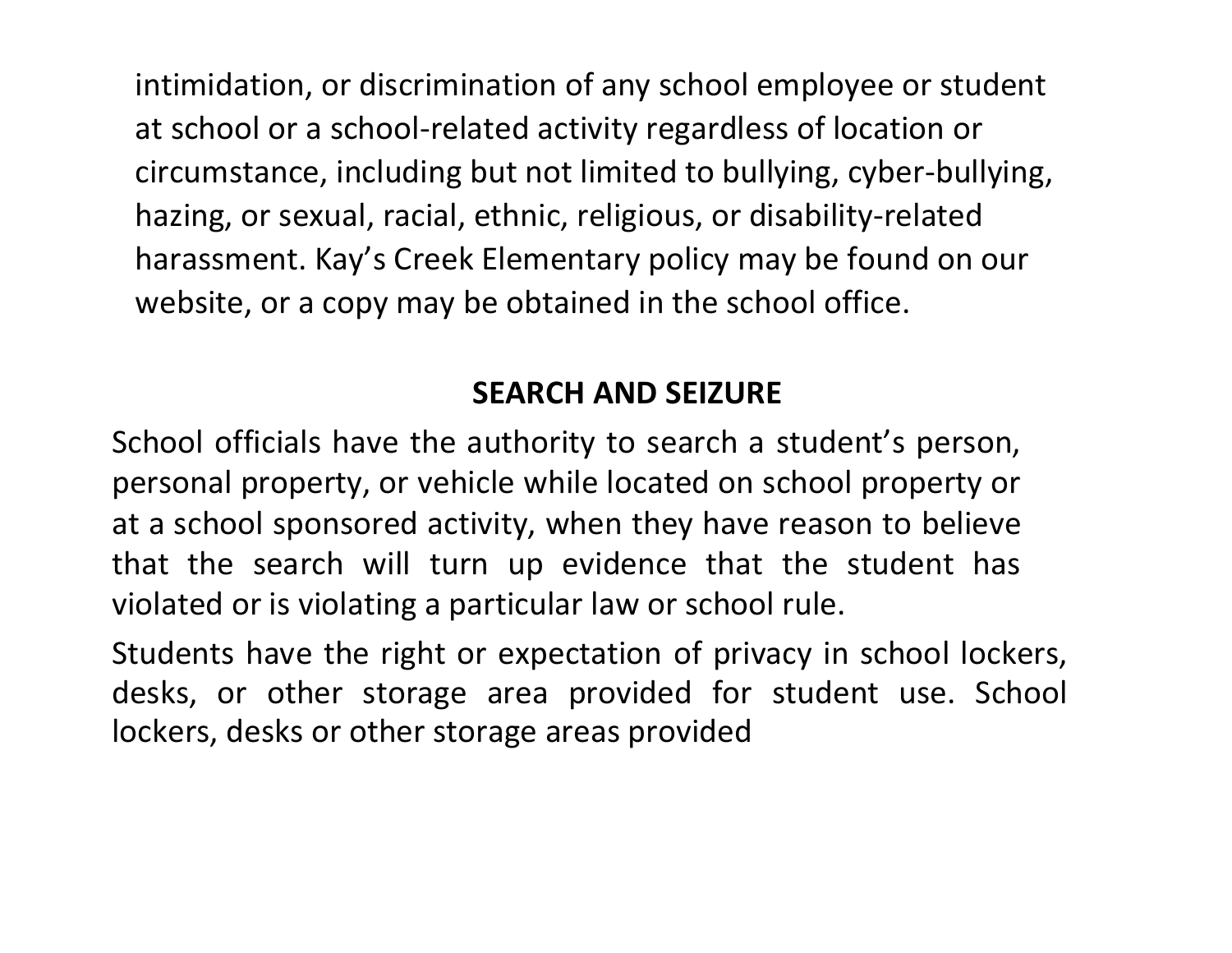intimidation, or discrimination of any school employee or student at school or a school-related activity regardless of location or circumstance, including but not limited to bullying, cyber-bullying, hazing, or sexual, racial, ethnic, religious, or disability-related harassment. Kay's Creek Elementary policy may be found on our website, or a copy may be obtained in the school office.

#### **SEARCH AND SEIZURE**

School officials have the authority to search a student's person, personal property, or vehicle while located on school property or at a school sponsored activity, when they have reason to believe that the search will turn up evidence that the student has violated or is violating a particular law or school rule.

Students have the right or expectation of privacy in school lockers, desks, or other storage area provided for student use. School lockers, desks or other storage areas provided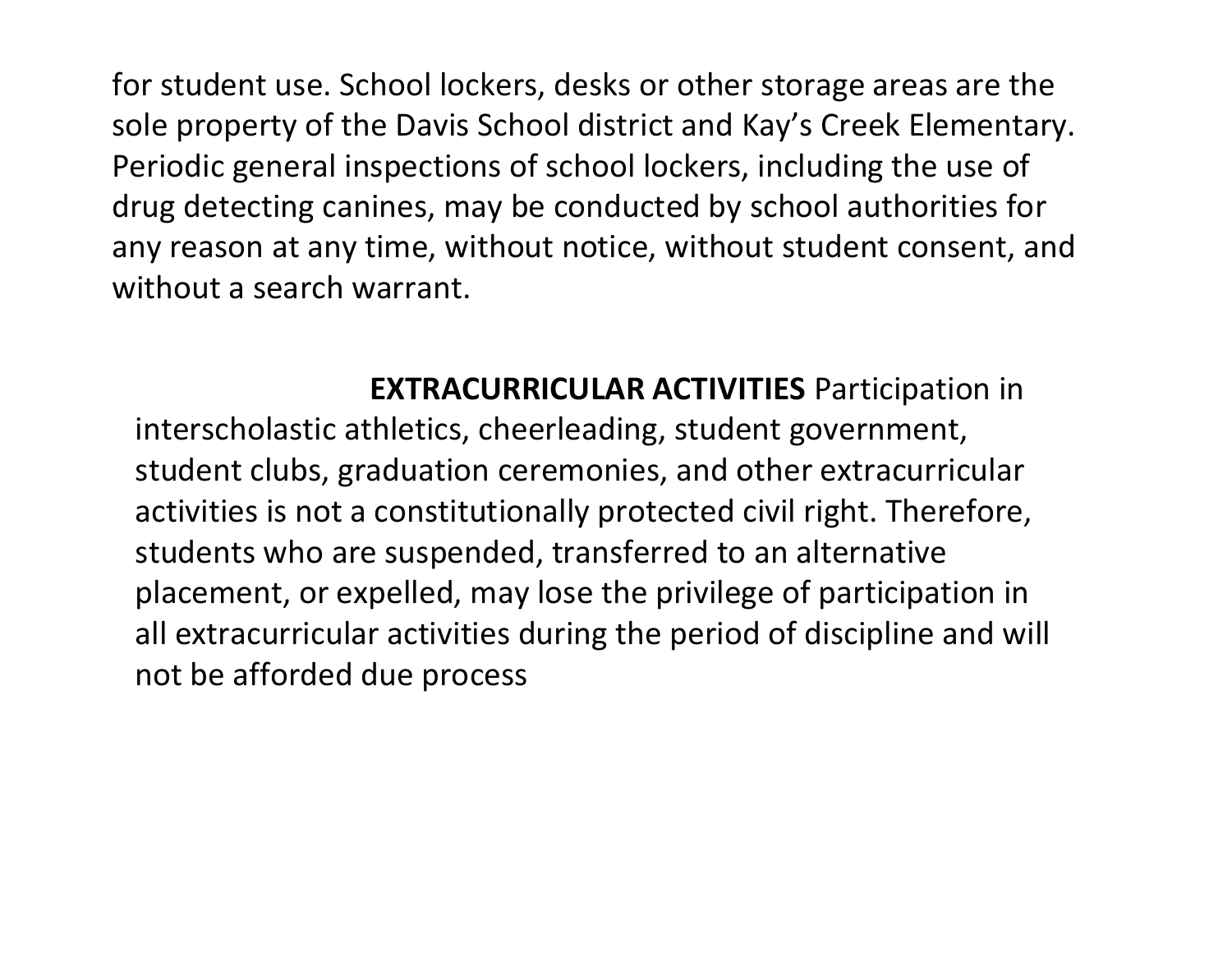for student use. School lockers, desks or other storage areas are the sole property of the Davis School district and Kay's Creek Elementary. Periodic general inspections of school lockers, including the use of drug detecting canines, may be conducted by school authorities for any reason at any time, without notice, without student consent, and without a search warrant.

#### **EXTRACURRICULAR ACTIVITIES** Participation in

interscholastic athletics, cheerleading, student government, student clubs, graduation ceremonies, and other extracurricular activities is not a constitutionally protected civil right. Therefore, students who are suspended, transferred to an alternative placement, or expelled, may lose the privilege of participation in all extracurricular activities during the period of discipline and will not be afforded due process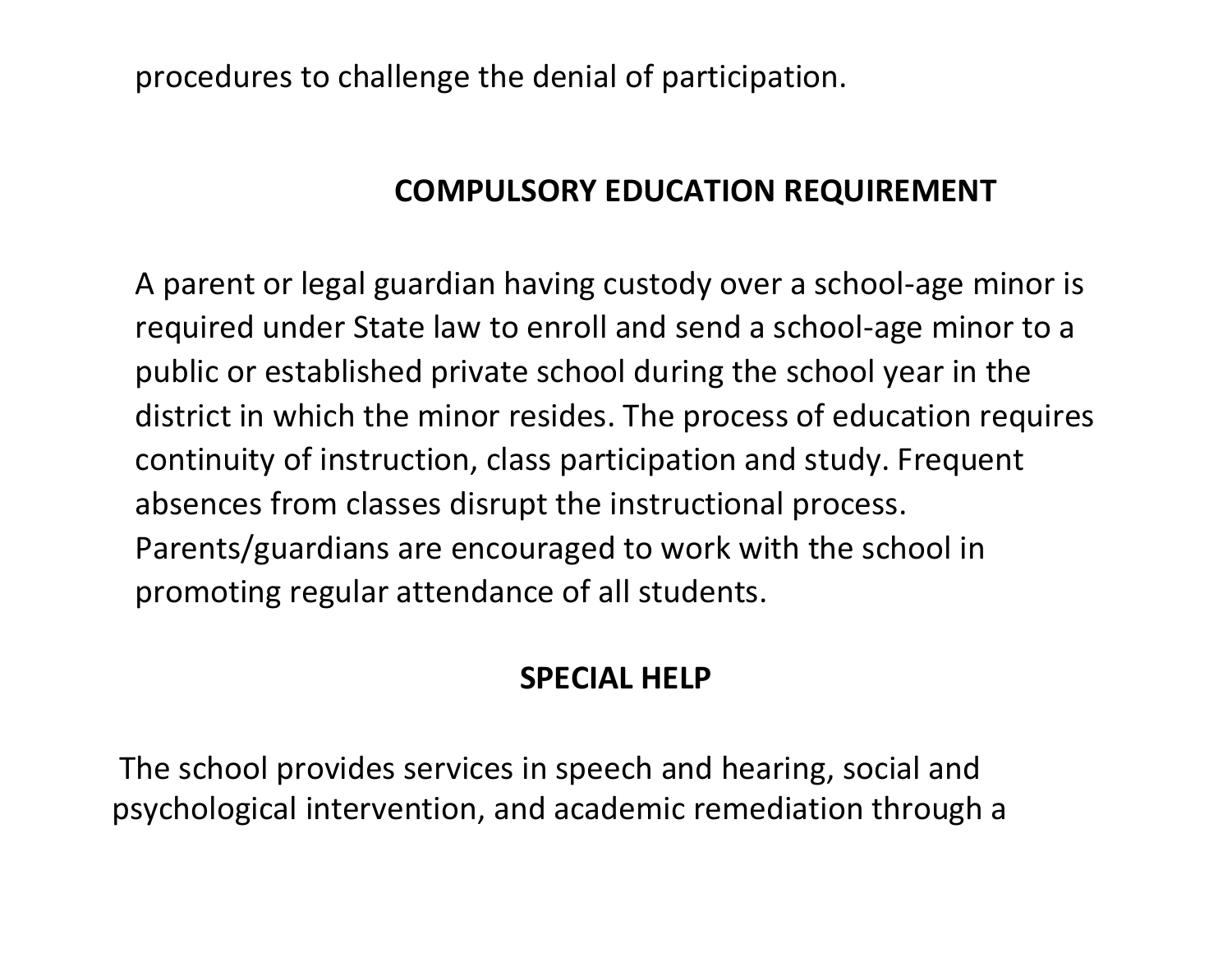procedures to challenge the denial of participation.

#### **COMPULSORY EDUCATION REQUIREMENT**

A parent or legal guardian having custody over a school-age minor is required under State law to enroll and send a school-age minor to a public or established private school during the school year in the district in which the minor resides. The process of education requires continuity of instruction, class participation and study. Frequent absences from classes disrupt the instructional process. Parents/guardians are encouraged to work with the school in promoting regular attendance of all students.

#### **SPECIAL HELP**

The school provides services in speech and hearing, social and psychological intervention, and academic remediation through a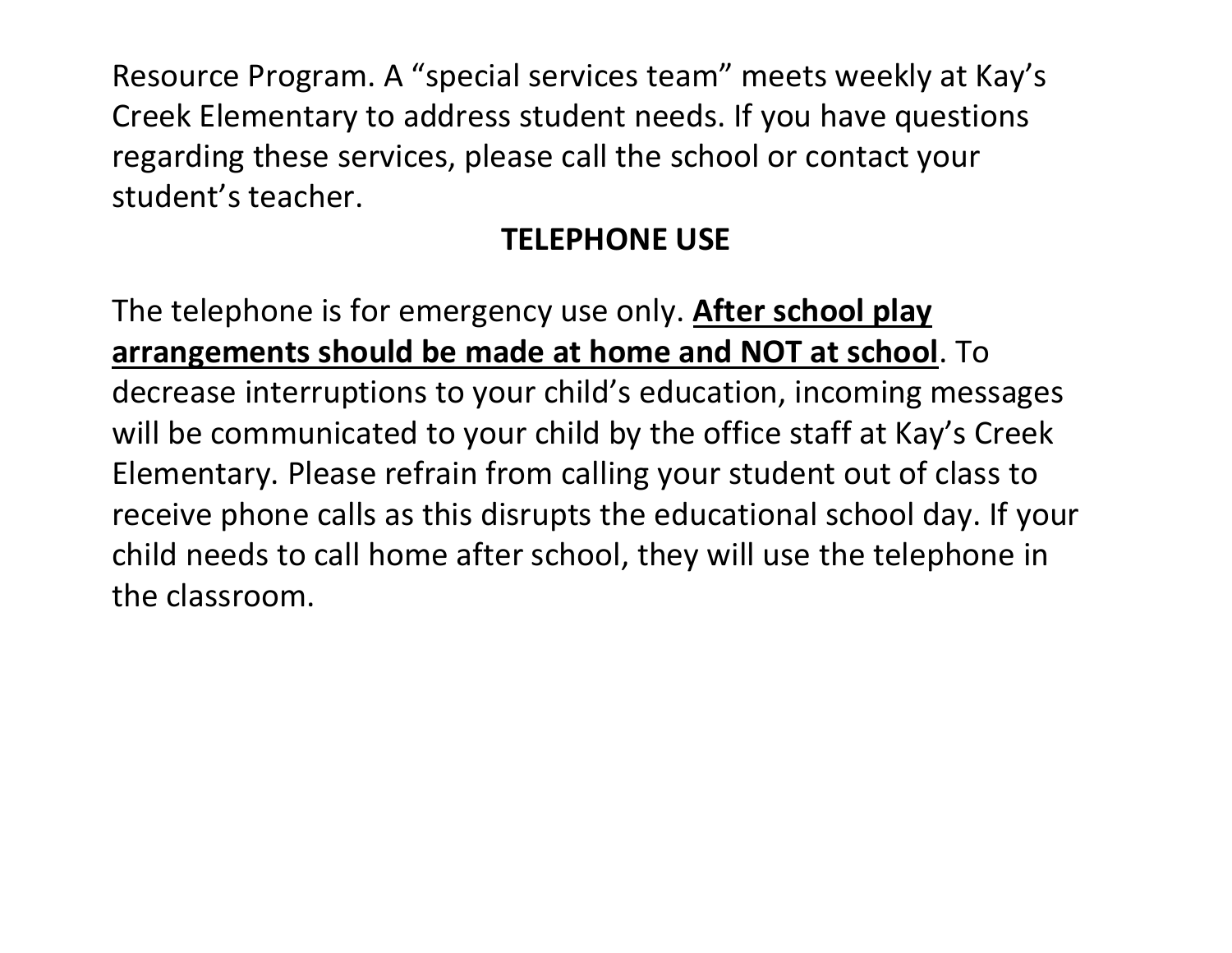Resource Program. A "special services team" meets weekly at Kay's Creek Elementary to address student needs. If you have questions regarding these services, please call the school or contact your student's teacher.

### **TELEPHONE USE**

The telephone is for emergency use only. **After school play arrangements should be made at home and NOT at school**. To decrease interruptions to your child's education, incoming messages will be communicated to your child by the office staff at Kay's Creek Elementary. Please refrain from calling your student out of class to receive phone calls as this disrupts the educational school day. If your child needs to call home after school, they will use the telephone in the classroom.